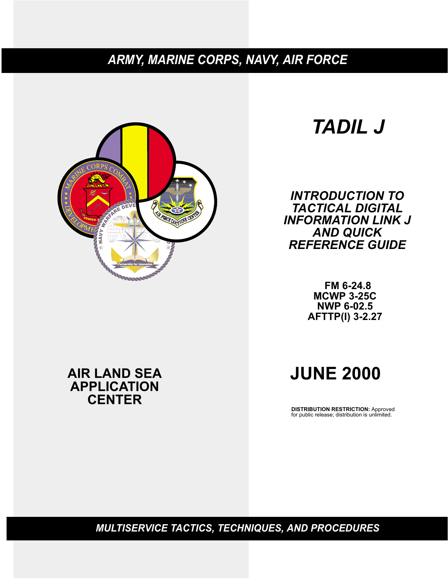# *ARMY, MARINE CORPS, NAVY, AIR FORCE*



# *TADIL J*

*INTRODUCTION TO TACTICAL DIGITAL INFORMATION LINK J AND QUICK REFERENCE GUIDE*

> **FM 6-24.8 MCWP 3-25C NWP 6-02.5 AFTTP(I) 3-2.27**

# **AIR LAND SEA APPLICATION CENTER**

# **JUNE 2000**

**DISTRIBUTION RESTRICTION:** Approved for public release; distribution is unlimited.

*MULTISERVICE TACTICS, TECHNIQUES, AND PROCEDURES*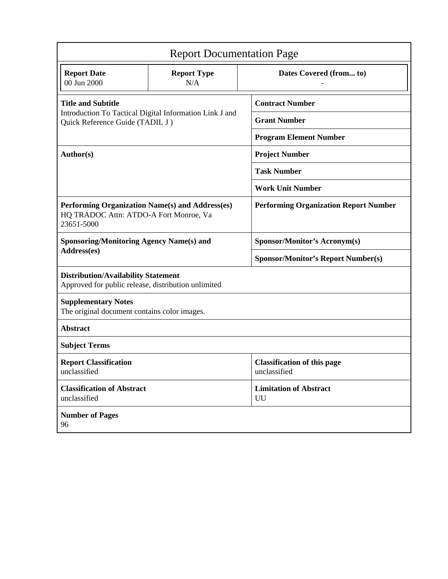| <b>Report Documentation Page</b>                                                                        |                                                         |                                                    |  |
|---------------------------------------------------------------------------------------------------------|---------------------------------------------------------|----------------------------------------------------|--|
| <b>Report Date</b><br>00 Jun 2000                                                                       | <b>Report Type</b><br>N/A                               | Dates Covered (from to)                            |  |
| <b>Title and Subtitle</b>                                                                               |                                                         | <b>Contract Number</b>                             |  |
| Quick Reference Guide (TADIL J)                                                                         | Introduction To Tactical Digital Information Link J and | <b>Grant Number</b>                                |  |
|                                                                                                         |                                                         | <b>Program Element Number</b>                      |  |
| Author(s)                                                                                               |                                                         | <b>Project Number</b>                              |  |
|                                                                                                         |                                                         | <b>Task Number</b>                                 |  |
|                                                                                                         |                                                         | <b>Work Unit Number</b>                            |  |
| Performing Organization Name(s) and Address(es)<br>HQ TRADOC Attn: ATDO-A Fort Monroe, Va<br>23651-5000 |                                                         | <b>Performing Organization Report Number</b>       |  |
| <b>Sponsoring/Monitoring Agency Name(s) and</b>                                                         |                                                         | <b>Sponsor/Monitor's Acronym(s)</b>                |  |
| Address(es)                                                                                             |                                                         | <b>Sponsor/Monitor's Report Number(s)</b>          |  |
| <b>Distribution/Availability Statement</b><br>Approved for public release, distribution unlimited       |                                                         |                                                    |  |
| <b>Supplementary Notes</b><br>The original document contains color images.                              |                                                         |                                                    |  |
| <b>Abstract</b>                                                                                         |                                                         |                                                    |  |
| <b>Subject Terms</b>                                                                                    |                                                         |                                                    |  |
| <b>Report Classification</b><br>unclassified                                                            |                                                         | <b>Classification of this page</b><br>unclassified |  |
| <b>Classification of Abstract</b><br>unclassified                                                       |                                                         | <b>Limitation of Abstract</b><br>UU                |  |
| <b>Number of Pages</b><br>96                                                                            |                                                         |                                                    |  |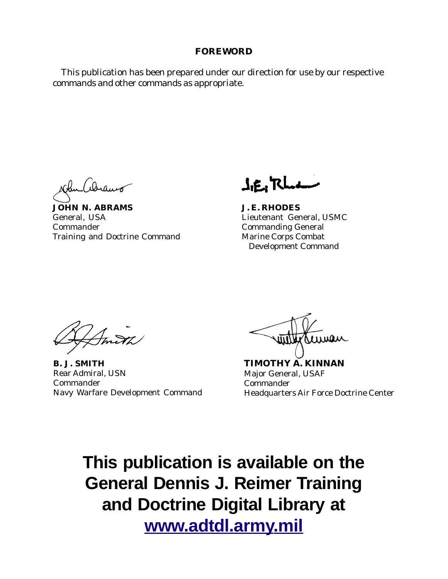### **FOREWORD**

 This publication has been prepared under our direction for use by our respective commands and other commands as appropriate.

**JOHN N. ABRAMS** General, USA Commander Training and Doctrine Command

**J.g^'RU-^**

**J. E. RHODES** Lieutenant General, USMC Commanding General Marine Corps Combat Development Command

**B. J. SMITH** Rear Admiral, USN Commander Navy Warfare Development Command

**TIMOTHY A. KINNAN** Major General, USAF Commander Headquarters Air Force Doctrine Center

**This publication is available on the General Dennis J. Reimer Training and Doctrine Digital Library at www.adtdl.army.mil**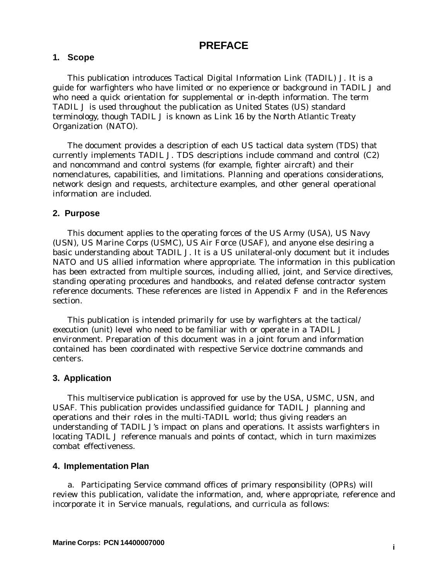## **PREFACE**

#### **1. Scope**

This publication introduces Tactical Digital Information Link (TADIL) J. It is a guide for warfighters who have limited or no experience or background in TADIL J and who need a quick orientation for supplemental or in-depth information. The term *TADIL J* is used throughout the publication as United States (US) standard terminology, though TADIL J is known as *Link 16* by the North Atlantic Treaty Organization (NATO).

The document provides a description of each US tactical data system (TDS) that currently implements TADIL J. TDS descriptions include command and control (C2) and noncommand and control systems (for example, fighter aircraft) and their nomenclatures, capabilities, and limitations. Planning and operations considerations, network design and requests, architecture examples, and other general operational information are included.

#### **2. Purpose**

This document applies to the operating forces of the US Army (USA), US Navy (USN), US Marine Corps (USMC), US Air Force (USAF), and anyone else desiring a basic understanding about TADIL J. It is a US unilateral-only document but it includes NATO and US allied information where appropriate. The information in this publication has been extracted from multiple sources, including allied, joint, and Service directives, standing operating procedures and handbooks, and related defense contractor system reference documents. These references are listed in Appendix F and in the References section.

This publication is intended primarily for use by warfighters at the tactical/ execution (unit) level who need to be familiar with or operate in a TADIL J environment. Preparation of this document was in a joint forum and information contained has been coordinated with respective Service doctrine commands and centers.

#### **3. Application**

This multiservice publication is approved for use by the USA, USMC, USN, and USAF. This publication provides unclassified guidance for TADIL J planning and operations and their roles in the multi-TADIL world; thus giving readers an understanding of TADIL J's impact on plans and operations. It assists warfighters in locating TADIL J reference manuals and points of contact, which in turn maximizes combat effectiveness.

#### **4. Implementation Plan**

a. Participating Service command offices of primary responsibility (OPRs) will review this publication, validate the information, and, where appropriate, reference and incorporate it in Service manuals, regulations, and curricula as follows: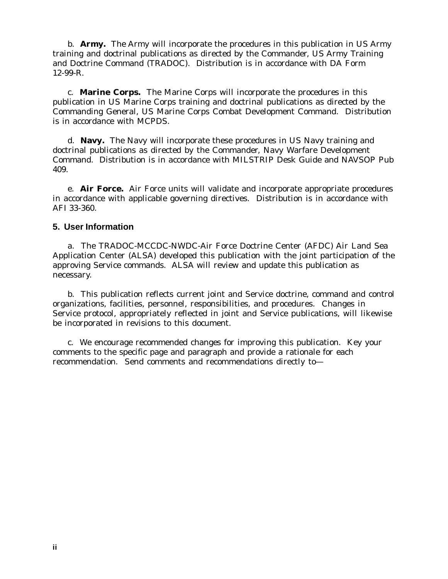b. **Army.** The Army will incorporate the procedures in this publication in US Army training and doctrinal publications as directed by the Commander, US Army Training and Doctrine Command (TRADOC). Distribution is in accordance with DA Form 12-99-R.

c. **Marine Corps.** The Marine Corps will incorporate the procedures in this publication in US Marine Corps training and doctrinal publications as directed by the Commanding General, US Marine Corps Combat Development Command. Distribution is in accordance with MCPDS.

d. **Navy.** The Navy will incorporate these procedures in US Navy training and doctrinal publications as directed by the Commander, Navy Warfare Development Command. Distribution is in accordance with MILSTRIP Desk Guide and NAVSOP Pub 409.

e. **Air Force.** Air Force units will validate and incorporate appropriate procedures in accordance with applicable governing directives. Distribution is in accordance with AFI 33-360.

#### **5. User Information**

a. The TRADOC-MCCDC-NWDC-Air Force Doctrine Center (AFDC) Air Land Sea Application Center (ALSA) developed this publication with the joint participation of the approving Service commands. ALSA will review and update this publication as necessary.

b. This publication reflects current joint and Service doctrine, command and control organizations, facilities, personnel, responsibilities, and procedures. Changes in Service protocol, appropriately reflected in joint and Service publications, will likewise be incorporated in revisions to this document.

c. We encourage recommended changes for improving this publication. Key your comments to the specific page and paragraph and provide a rationale for each recommendation. Send comments and recommendations directly to—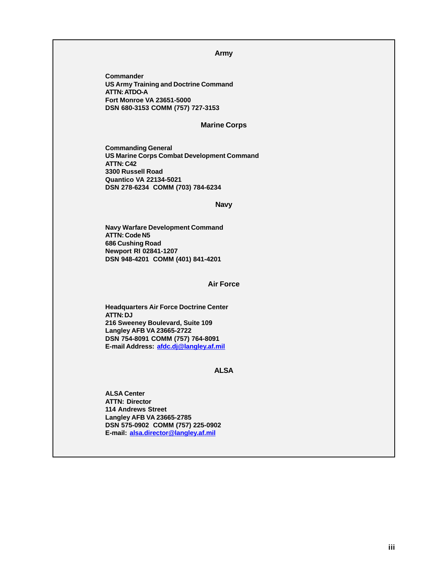#### **Army**

**Commander US Army Training and Doctrine Command ATTN: ATDO-A Fort Monroe VA 23651-5000 DSN 680-3153 COMM (757) 727-3153**

#### **Marine Corps**

**Commanding General US Marine Corps Combat Development Command ATTN: C42 3300 Russell Road Quantico VA 22134-5021 DSN 278-6234 COMM (703) 784-6234**

#### **Navy**

**Navy Warfare Development Command ATTN: Code N5 686 Cushing Road Newport RI 02841-1207 DSN 948-4201 COMM (401) 841-4201**

#### **Air Force**

**Headquarters Air Force Doctrine Center ATTN: DJ 216 Sweeney Boulevard, Suite 109 Langley AFB VA 23665-2722 DSN 754-8091 COMM (757) 764-8091 E-mail Address: afdc.dj@langley.af.mil**

#### **ALSA**

**ALSA Center ATTN: Director 114 Andrews Street Langley AFB VA 23665-2785 DSN 575-0902 COMM (757) 225-0902 E-mail: alsa.director@langley.af.mil**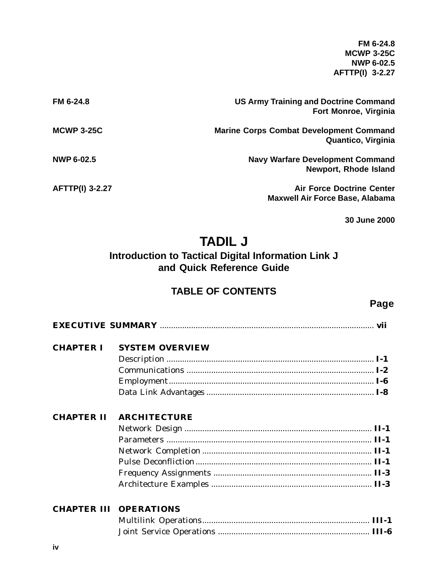**FM 6-24.8 MCWP 3-25C NWP 6-02.5 AFTTP(I) 3-2.27**

| FM 6-24.8              | <b>US Army Training and Doctrine Command</b><br>Fort Monroe, Virginia      |
|------------------------|----------------------------------------------------------------------------|
| <b>MCWP 3-25C</b>      | <b>Marine Corps Combat Development Command</b><br>Quantico, Virginia       |
| <b>NWP 6-02.5</b>      | <b>Navy Warfare Development Command</b><br><b>Newport, Rhode Island</b>    |
| <b>AFTTP(I) 3-2.27</b> | <b>Air Force Doctrine Center</b><br><b>Maxwell Air Force Base, Alabama</b> |

**30 June 2000**

# **TADIL J**

# **Introduction to Tactical Digital Information Link J and Quick Reference Guide**

# **TABLE OF CONTENTS**

**Page**

| <b>CHAPTER I</b>  | <b>SYSTEM OVERVIEW</b> |  |
|-------------------|------------------------|--|
|                   |                        |  |
|                   |                        |  |
|                   |                        |  |
|                   |                        |  |
|                   |                        |  |
| <b>CHAPTER II</b> | <b>ARCHITECTURE</b>    |  |
|                   |                        |  |
|                   |                        |  |
|                   |                        |  |
|                   |                        |  |
|                   |                        |  |
|                   |                        |  |

## **CHAPTER III OPERATIONS**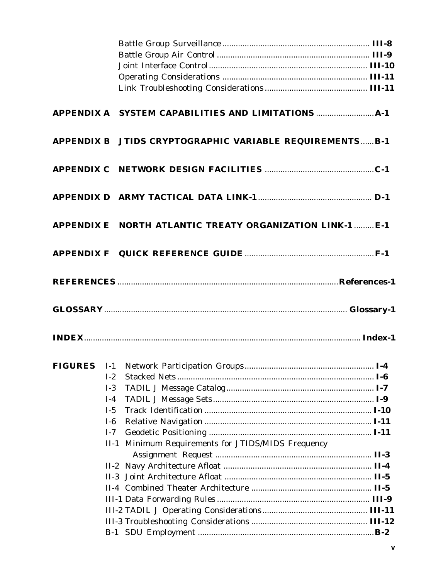|        | APPENDIX B JTIDS CRYPTOGRAPHIC VARIABLE REQUIREMENTSB-1   |  |
|--------|-----------------------------------------------------------|--|
|        |                                                           |  |
|        |                                                           |  |
|        | APPENDIX E NORTH ATLANTIC TREATY ORGANIZATION LINK-1  E-1 |  |
|        |                                                           |  |
|        |                                                           |  |
|        |                                                           |  |
|        |                                                           |  |
|        |                                                           |  |
| $I-2$  |                                                           |  |
| $I-3$  |                                                           |  |
| $I-4$  |                                                           |  |
| $I-5$  |                                                           |  |
| $I-6$  |                                                           |  |
| $I-7$  |                                                           |  |
| $II-1$ | Minimum Requirements for JTIDS/MIDS Frequency             |  |
|        |                                                           |  |
|        |                                                           |  |
|        |                                                           |  |
|        |                                                           |  |
|        |                                                           |  |
|        |                                                           |  |
|        |                                                           |  |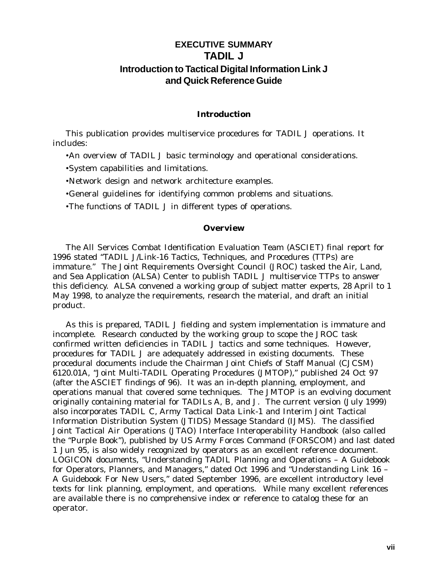# **EXECUTIVE SUMMARY TADIL J Introduction to Tactical Digital Information Link J and Quick Reference Guide**

#### **Introduction**

This publication provides multiservice procedures for TADIL J operations. It includes:

•An overview of TADIL J basic terminology and operational considerations.

•System capabilities and limitations.

•Network design and network architecture examples.

•General guidelines for identifying common problems and situations.

•The functions of TADIL J in different types of operations.

#### **Overview**

The All Services Combat Identification Evaluation Team (ASCIET) final report for 1996 stated "TADIL J/Link-16 Tactics, Techniques, and Procedures (TTPs) are immature." The Joint Requirements Oversight Council (JROC) tasked the Air, Land, and Sea Application (ALSA) Center to publish TADIL J multiservice TTPs to answer this deficiency. ALSA convened a working group of subject matter experts, 28 April to 1 May 1998, to analyze the requirements, research the material, and draft an initial product.

As this is prepared, TADIL J fielding and system implementation is immature and incomplete. Research conducted by the working group to scope the JROC task confirmed written deficiencies in TADIL J tactics and some techniques. However, procedures for TADIL J are adequately addressed in existing documents. These procedural documents include the Chairman Joint Chiefs of Staff Manual (CJCSM) 6120.01A, "Joint Multi-TADIL Operating Procedures (JMTOP)," published 24 Oct 97 (after the ASCIET findings of 96). It was an in-depth planning, employment, and operations manual that covered some techniques. The JMTOP is an evolving document originally containing material for TADILs A, B, and J. The current version (July 1999) also incorporates TADIL C, Army Tactical Data Link-1 and Interim Joint Tactical Information Distribution System (JTIDS) Message Standard (IJMS). The classified Joint Tactical Air Operations (JTAO) Interface Interoperability Handbook (also called the "Purple Book"), published by US Army Forces Command (FORSCOM) and last dated 1 Jun 95, is also widely recognized by operators as an excellent reference document. LOGICON documents, "Understanding TADIL Planning and Operations – A Guidebook for Operators, Planners, and Managers," dated Oct 1996 and "Understanding Link 16 – A Guidebook For New Users," dated September 1996, are excellent introductory level texts for link planning, employment, and operations. While many excellent references are available there is no comprehensive index or reference to catalog these for an operator.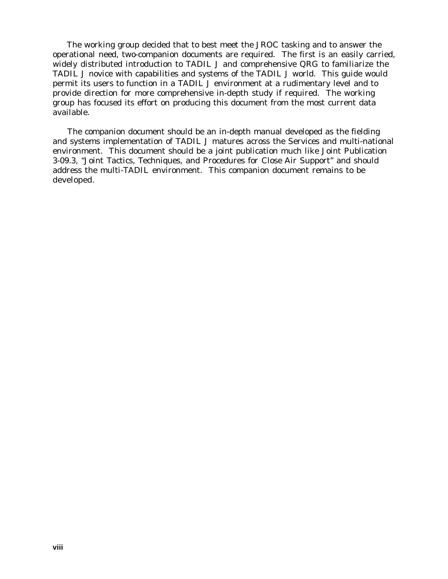The working group decided that to best meet the JROC tasking and to answer the operational need, two-companion documents are required. The first is an easily carried, widely distributed introduction to TADIL J and comprehensive QRG to familiarize the TADIL J novice with capabilities and systems of the TADIL J world. This guide would permit its users to function in a TADIL J environment at a rudimentary level and to provide direction for more comprehensive in-depth study if required. The working group has focused its effort on producing this document from the most current data available.

 The companion document should be an in-depth manual developed as the fielding and systems implementation of TADIL J matures across the Services and multi-national environment. This document should be a joint publication much like Joint Publication 3-09.3, "Joint Tactics, Techniques, and Procedures for Close Air Support" and should address the multi-TADIL environment. This companion document remains to be developed.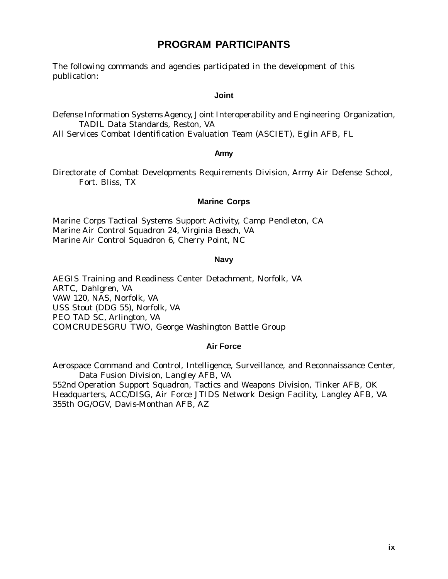# **PROGRAM PARTICIPANTS**

The following commands and agencies participated in the development of this publication:

#### **Joint**

Defense Information Systems Agency, Joint Interoperability and Engineering Organization, TADIL Data Standards, Reston, VA

All Services Combat Identification Evaluation Team (ASCIET), Eglin AFB, FL

#### **Army**

Directorate of Combat Developments Requirements Division, Army Air Defense School, Fort. Bliss, TX

#### **Marine Corps**

Marine Corps Tactical Systems Support Activity, Camp Pendleton, CA Marine Air Control Squadron 24, Virginia Beach, VA Marine Air Control Squadron 6, Cherry Point, NC

#### **Navy**

AEGIS Training and Readiness Center Detachment, Norfolk, VA ARTC, Dahlgren, VA VAW 120, NAS, Norfolk, VA USS Stout (DDG 55), Norfolk, VA PEO TAD SC, Arlington, VA COMCRUDESGRU TWO, George Washington Battle Group

#### **Air Force**

Aerospace Command and Control, Intelligence, Surveillance, and Reconnaissance Center, Data Fusion Division, Langley AFB, VA

552nd Operation Support Squadron, Tactics and Weapons Division, Tinker AFB, OK Headquarters, ACC/DISG, Air Force JTIDS Network Design Facility, Langley AFB, VA 355th OG/OGV, Davis-Monthan AFB, AZ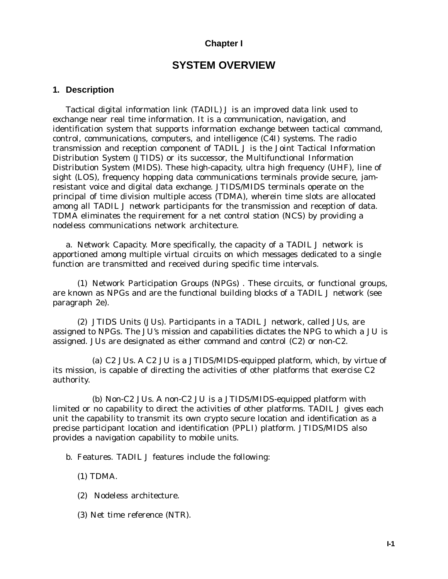#### **Chapter I**

# **SYSTEM OVERVIEW**

#### **1. Description**

Tactical digital information link (TADIL) J is an improved data link used to exchange near real time information. It is a communication, navigation, and identification system that supports information exchange between tactical command, control, communications, computers, and intelligence (C4I) systems. The radio transmission and reception component of TADIL J is the Joint Tactical Information Distribution System (JTIDS) or its successor, the Multifunctional Information Distribution System (MIDS). These high-capacity, ultra high frequency (UHF), line of sight (LOS), frequency hopping data communications terminals provide secure, jamresistant voice and digital data exchange. JTIDS/MIDS terminals operate on the principal of time division multiple access (TDMA), wherein time slots are allocated among all TADIL J network participants for the transmission and reception of data. TDMA eliminates the requirement for a net control station (NCS) by providing a nodeless communications network architecture.

a. Network Capacity. More specifically, the capacity of a TADIL J network is apportioned among multiple *virtual circuits* on which messages dedicated to a single function are transmitted and received during specific time intervals.

(1) Network Participation Groups (NPGs) . These circuits, or functional groups, are known as NPGs and are the functional building blocks of a TADIL J network (see paragraph 2e).

(2) JTIDS Units (JUs). Participants in a TADIL J network, called JUs, are assigned to NPGs. The JU's mission and capabilities dictates the NPG to which a JU is assigned. JUs are designated as either command and control (C2) or non-C2.

(a) C2 JUs. A C2 JU is a JTIDS/MIDS-equipped platform, which, by virtue of its mission, is capable of directing the activities of other platforms that exercise C2 authority.

(b) Non-C2 JUs. A non-C2 JU is a JTIDS/MIDS-equipped platform with limited or no capability to direct the activities of other platforms. TADIL J gives each unit the capability to transmit its own crypto secure location and identification as a precise participant location and identification (PPLI) platform. JTIDS/MIDS also provides a navigation capability to mobile units.

b. Features. TADIL J features include the following:

(1) TDMA.

- (2) Nodeless architecture.
- (3) Net time reference (NTR).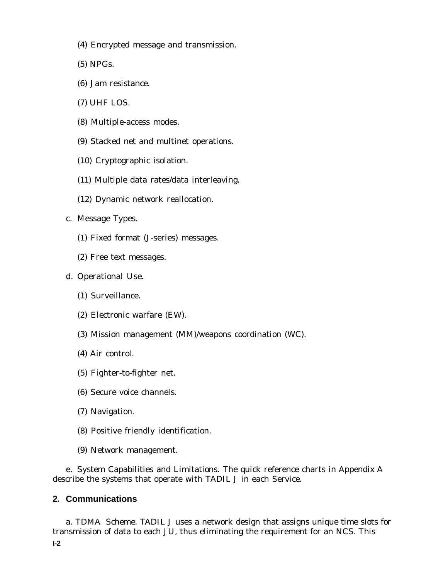- (4) Encrypted message and transmission.
- (5) NPGs.
- (6) Jam resistance.
- (7) UHF LOS.
- (8) Multiple-access modes.
- (9) Stacked net and multinet operations.
- (10) Cryptographic isolation.
- (11) Multiple data rates/data interleaving.
- (12) Dynamic network reallocation.
- c. Message Types.
	- (1) Fixed format (J-series) messages.
	- (2) Free text messages.
- d. Operational Use.
	- (1) Surveillance.
	- (2) Electronic warfare (EW).
	- (3) Mission management (MM)/weapons coordination (WC).
	- (4) Air control.
	- (5) Fighter-to-fighter net.
	- (6) Secure voice channels.
	- (7) Navigation.
	- (8) Positive friendly identification.
	- (9) Network management.

e. System Capabilities and Limitations. The quick reference charts in Appendix A describe the systems that operate with TADIL J in each Service.

#### **2. Communications**

a. TDMA Scheme. TADIL J uses a network design that assigns unique time slots for transmission of data to each JU, thus eliminating the requirement for an NCS. This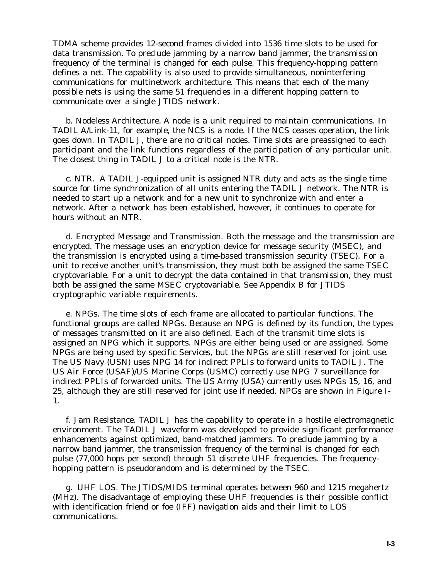TDMA scheme provides 12-second frames divided into 1536 time slots to be used for data transmission. To preclude jamming by a narrow band jammer, the transmission frequency of the terminal is changed for each pulse. This frequency-hopping pattern defines a *net*. The capability is also used to provide simultaneous, noninterfering communications for multinetwork architecture. This means that each of the many possible nets is using the same 51 frequencies in a different hopping pattern to communicate over a single JTIDS network.

b. Nodeless Architecture. A node is a unit required to maintain communications. In TADIL A/Link-11, for example, the NCS is a node. If the NCS ceases operation, the link goes down. In TADIL J, there are no critical nodes. Time slots are preassigned to each participant and the link functions regardless of the participation of any particular unit. The closest thing in TADIL J to a critical node is the NTR.

c. NTR. A TADIL J-equipped unit is assigned NTR duty and acts as the single time source for time synchronization of all units entering the TADIL J network. The NTR is needed to start up a network and for a new unit to synchronize with and enter a network. After a network has been established, however, it continues to operate for hours without an NTR.

d. Encrypted Message and Transmission. Both the message and the transmission are encrypted. The message uses an encryption device for message security (MSEC), and the transmission is encrypted using a time-based transmission security (TSEC). For a unit to receive another unit's transmission, they must both be assigned the same TSEC cryptovariable. For a unit to decrypt the data contained in that transmission, they must both be assigned the same MSEC cryptovariable. See Appendix B for JTIDS cryptographic variable requirements.

e. NPGs. The time slots of each frame are allocated to particular functions. The functional groups are called NPGs. Because an NPG is defined by its function, the types of messages transmitted on it are also defined. Each of the transmit time slots is assigned an NPG which it supports. NPGs are either being used or are assigned. Some NPGs are being used by specific Services, but the NPGs are still reserved for joint use. The US Navy (USN) uses NPG 14 for indirect PPLIs to forward units to TADIL J. The US Air Force (USAF)/US Marine Corps (USMC) correctly use NPG 7 surveillance for indirect PPLIs of forwarded units. The US Army (USA) currently uses NPGs 15, 16, and 25, although they are still reserved for joint use if needed. NPGs are shown in Figure I-1.

f. Jam Resistance. TADIL J has the capability to operate in a hostile electromagnetic environment. The TADIL J waveform was developed to provide significant performance enhancements against optimized, band-matched jammers. To preclude jamming by a narrow band jammer, the transmission frequency of the terminal is changed for each pulse (77,000 hops per second) through 51 discrete UHF frequencies. The frequencyhopping pattern is pseudorandom and is determined by the TSEC.

g. UHF LOS. The JTIDS/MIDS terminal operates between 960 and 1215 megahertz (MHz). The disadvantage of employing these UHF frequencies is their possible conflict with identification friend or foe (IFF) navigation aids and their limit to LOS communications.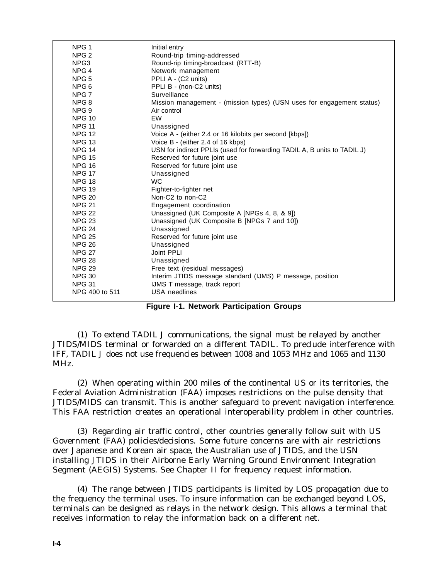| NPG <sub>1</sub> | Initial entry                                                            |
|------------------|--------------------------------------------------------------------------|
| NPG <sub>2</sub> | Round-trip timing-addressed                                              |
| NPG3             | Round-rip timing-broadcast (RTT-B)                                       |
| NPG <sub>4</sub> | Network management                                                       |
| NPG <sub>5</sub> | PPLI A - (C2 units)                                                      |
| NPG 6            | PPLI B - (non-C2 units)                                                  |
| NPG <sub>7</sub> | Surveillance                                                             |
| NPG <sub>8</sub> | Mission management - (mission types) (USN uses for engagement status)    |
| NPG 9            | Air control                                                              |
| <b>NPG 10</b>    | EW                                                                       |
| <b>NPG 11</b>    | Unassigned                                                               |
| <b>NPG 12</b>    | Voice A - (either 2.4 or 16 kilobits per second [kbps])                  |
| <b>NPG 13</b>    | Voice B - (either 2.4 of 16 kbps)                                        |
| <b>NPG 14</b>    | USN for indirect PPLIs (used for forwarding TADIL A, B units to TADIL J) |
| <b>NPG 15</b>    | Reserved for future joint use                                            |
| <b>NPG 16</b>    | Reserved for future joint use                                            |
| <b>NPG 17</b>    | Unassigned                                                               |
| <b>NPG 18</b>    | <b>WC</b>                                                                |
| <b>NPG 19</b>    | Fighter-to-fighter net                                                   |
| <b>NPG 20</b>    | Non-C <sub>2</sub> to non-C <sub>2</sub>                                 |
| <b>NPG 21</b>    | Engagement coordination                                                  |
| <b>NPG 22</b>    | Unassigned (UK Composite A [NPGs 4, 8, & 9])                             |
| <b>NPG 23</b>    | Unassigned (UK Composite B [NPGs 7 and 10])                              |
| <b>NPG 24</b>    | Unassigned                                                               |
| <b>NPG 25</b>    | Reserved for future joint use                                            |
| <b>NPG 26</b>    | Unassigned                                                               |
| <b>NPG 27</b>    | Joint PPLI                                                               |
| <b>NPG 28</b>    | Unassigned                                                               |
| <b>NPG 29</b>    | Free text (residual messages)                                            |
| <b>NPG 30</b>    | Interim JTIDS message standard (IJMS) P message, position                |
| <b>NPG 31</b>    | IJMS T message, track report                                             |
| NPG 400 to 511   | <b>USA</b> needlines                                                     |
|                  |                                                                          |

**Figure I-1. Network Participation Groups**

(1) To extend TADIL J communications, the signal must be relayed by another JTIDS/MIDS terminal or forwarded on a different TADIL. To preclude interference with IFF, TADIL J does not use frequencies between 1008 and 1053 MHz and 1065 and 1130 MHz.

(2) When operating within 200 miles of the continental US or its territories, the Federal Aviation Administration (FAA) imposes restrictions on the pulse density that JTIDS/MIDS can transmit. This is another safeguard to prevent navigation interference. This FAA restriction creates an operational interoperability problem in other countries.

(3) Regarding air traffic control, other countries generally follow suit with US Government (FAA) policies/decisions. Some future concerns are with air restrictions over Japanese and Korean air space, the Australian use of JTIDS, and the USN installing JTIDS in their Airborne Early Warning Ground Environment Integration Segment (AEGIS) Systems. See Chapter II for frequency request information.

(4) The range between JTIDS participants is limited by LOS propagation due to the frequency the terminal uses. To insure information can be exchanged beyond LOS, terminals can be designed as relays in the network design. This allows a terminal that receives information to relay the information back on a different net.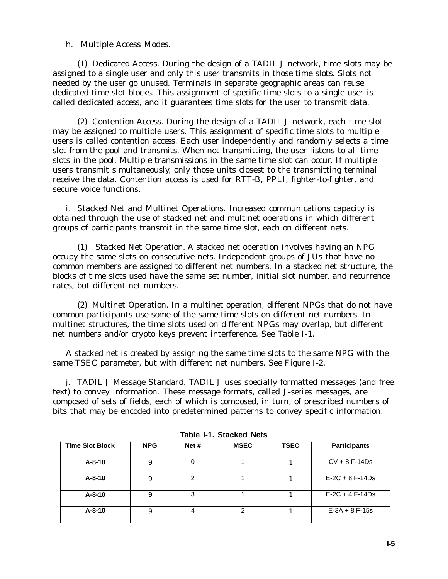#### h. Multiple Access Modes.

(1) Dedicated Access. During the design of a TADIL J network, time slots may be assigned to a single user and only this user transmits in those time slots. Slots not needed by the user go unused. Terminals in separate geographic areas can reuse dedicated time slot blocks. This assignment of specific time slots to a single user is called *dedicated access*, and it guarantees time slots for the user to transmit data.

(2) Contention Access. During the design of a TADIL J network, each time slot may be assigned to multiple users. This assignment of specific time slots to multiple users is called *contention access*. Each user independently and randomly selects a time slot from the pool and transmits. When not transmitting, the user listens to all time slots in the pool. Multiple transmissions in the same time slot can occur. If multiple users transmit simultaneously, only those units closest to the transmitting terminal receive the data. Contention access is used for RTT-B, PPLI, fighter-to-fighter, and secure voice functions.

i. Stacked Net and Multinet Operations. Increased communications capacity is obtained through the use of stacked net and multinet operations in which different groups of participants transmit in the same time slot, each on different nets.

(1) Stacked Net Operation. A stacked net operation involves having an NPG occupy the same slots on consecutive nets. Independent groups of JUs that have no common members are assigned to different net numbers. In a stacked net structure, the blocks of time slots used have the same set number, initial slot number, and recurrence rates, but different net numbers.

(2) Multinet Operation. In a multinet operation, different NPGs that do not have common participants use some of the same time slots on different net numbers. In multinet structures, the time slots used on different NPGs may overlap, but different net numbers and/or crypto keys prevent interference. See Table I-1.

A stacked net is created by assigning the same time slots to the same NPG with the same TSEC parameter, but with different net numbers. See Figure I-2.

j. TADIL J Message Standard. TADIL J uses specially formatted messages (and free text) to convey information. These message formats, called *J-series messages*, are composed of sets of fields, each of which is composed, in turn, of prescribed numbers of bits that may be encoded into predetermined patterns to convey specific information.

| TUDIU T T. ULUUNUU TIULU |            |         |             |             |                     |
|--------------------------|------------|---------|-------------|-------------|---------------------|
| <b>Time Slot Block</b>   | <b>NPG</b> | Net $#$ | <b>MSEC</b> | <b>TSEC</b> | <b>Participants</b> |
| $A - 8 - 10$             | 9          |         |             |             | $CV + 8 F-14Ds$     |
| $A - 8 - 10$             | 9          | 2       |             |             | $E-2C + 8F-14Ds$    |
| $A - 8 - 10$             | 9          | 3       |             |             | $E-2C + 4F-14Ds$    |
| A-8-10                   | 9          |         |             |             | $E-3A + 8F-15s$     |

| <b>Table I-1. Stacked Nets</b> |  |  |
|--------------------------------|--|--|
|--------------------------------|--|--|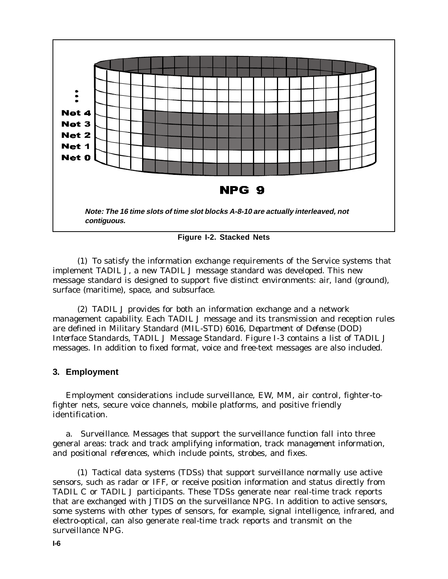

**Figure I-2. Stacked Nets**

(1) To satisfy the information exchange requirements of the Service systems that implement TADIL J, a new TADIL J message standard was developed. This new message standard is designed to support five distinct environments: air, land (ground), surface (maritime), space, and subsurface.

(2) TADIL J provides for both an information exchange and a network management capability. Each TADIL J message and its transmission and reception rules are defined in Military Standard (MIL-STD) 6016, *Department of Defense (DOD) Interface Standards, TADIL J Message Standard*. Figure I-3 contains a list of TADIL J messages. In addition to fixed format, voice and free-text messages are also included.

#### **3. Employment**

Employment considerations include surveillance, EW, MM, air control, fighter-tofighter nets, secure voice channels, mobile platforms, and positive friendly identification.

a. Surveillance. Messages that support the surveillance function fall into three general areas: *track and track amplifying information, track management information, and positional references*, which include points, strobes, and fixes.

(1) Tactical data systems (TDSs) that support surveillance normally use active sensors, such as radar or IFF, or receive position information and status directly from TADIL C or TADIL J participants. These TDSs generate near real-time track reports that are exchanged with JTIDS on the surveillance NPG. In addition to active sensors, some systems with other types of sensors, for example, signal intelligence, infrared, and electro-optical, can also generate real-time track reports and transmit on the surveillance NPG.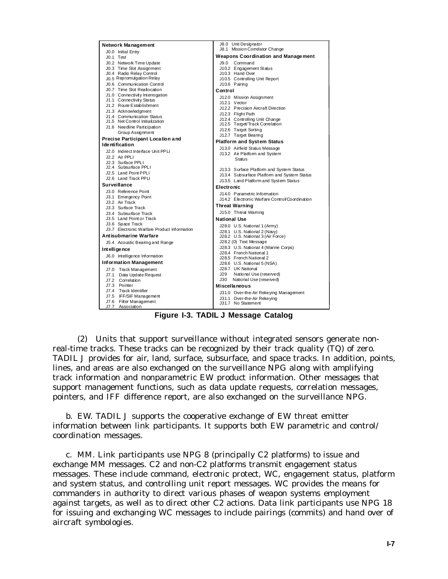| Network Management                                           | J8.0 Unit Designator                                            |  |  |
|--------------------------------------------------------------|-----------------------------------------------------------------|--|--|
| J0.0 Initial Entry                                           | J8.1 Mission Correlator Change                                  |  |  |
| J0.1 Test                                                    | <b>Weapons Coordination and Management</b>                      |  |  |
| J0.2 Network Time Update                                     | J9.0 Command                                                    |  |  |
| J0.3 Time Slot Assignment                                    | J10.2 Engagement Status                                         |  |  |
| J0.4 Radio Relay Control                                     | J10.3 Hand Over                                                 |  |  |
| J0.5 Repromulgation Relay                                    | J10.5 Controlling Unit Report                                   |  |  |
| J0.6 Communication Control                                   | J10.6 Pairing                                                   |  |  |
| J0.7 Time Slot Reallocation                                  | Control                                                         |  |  |
| J1.0 Connectivity Interrogation                              | J12.0 Mission Assignment                                        |  |  |
| J1.1 Connectivity Status                                     | J12.1 Vector                                                    |  |  |
| J1.2 Route Establishment                                     | J12.2 Precision Aircraft Direction                              |  |  |
| J1.3 Acknowledgment                                          | J12.3 Flight Path                                               |  |  |
| J1.4 Communication Status<br>J1.5 Net Control Initialization | J12.4 Controlling Unit Change                                   |  |  |
| J1.6 Needline Participation                                  | J12.5 Target/Track Correlation                                  |  |  |
| Group Assignment                                             | J12.6 Target Sorting                                            |  |  |
|                                                              | J12.7 Target Bearing                                            |  |  |
| Precise Participant Location and<br><b>Identification</b>    | <b>Platform and System Status</b>                               |  |  |
|                                                              | J13.0 Airfield Status Message                                   |  |  |
| J2.0 Indirect Interface Unit PPLI                            | J13.2 Air Platform and System                                   |  |  |
| J2.2 Air PPLI                                                | <b>Status</b>                                                   |  |  |
| J2.3 Surface PPLI<br>J2.4 Subsurface PPLI                    |                                                                 |  |  |
| J2.5 Land Point PPLI                                         | J13.3 Surface Platform and System Status                        |  |  |
| J2.6 Land Track PPLI                                         | J13.4 Subsurface Platform and System Status                     |  |  |
|                                                              | J13.5 Land Platform and System Status                           |  |  |
| Surveillance                                                 | Electronic                                                      |  |  |
| J3.0 Reference Point                                         | J14.0 Parametric Information                                    |  |  |
| J3.1 Emergency Point                                         | J14.2 Electronic Warfare Control/Coordination                   |  |  |
| J3.2 Air Track                                               | <b>Threat Warning</b>                                           |  |  |
| J3.3 Surface Track                                           | J15.0 Threat Waming                                             |  |  |
| J3.4 Subsurface Track<br>J3.5 Land Point or Track            |                                                                 |  |  |
| J3.6 Space Track                                             | <b>National Use</b>                                             |  |  |
| J3.7 Electronic Warfare Product Information                  | J28.0 U.S. National 1 (Army)                                    |  |  |
| Antisubmarine Warfare                                        | J28.1 U.S. National 2 (Navy)                                    |  |  |
|                                                              | J28.2 U.S. National 3 (Air Force)                               |  |  |
| J5.4 Acoustic Bearing and Range                              | J28.2 (0) Text Message                                          |  |  |
| Intelligence                                                 | J28.3 U.S. National 4 (Marine Corps)<br>J28.4 French National 1 |  |  |
| J6.0 Intelligence Information                                | J28.5 French National 2                                         |  |  |
| Information Management                                       | J28.6 U.S. National 5 (NSA)                                     |  |  |
| J7.0 Track Management                                        | J28.7 UK National                                               |  |  |
| J7.1 Data Update Request                                     | J29<br>National Use (reserved)                                  |  |  |
| J7.2 Correlation                                             | J30 National Use (reserved)                                     |  |  |
| J7.3 Pointer                                                 | <b>Miscellaneous</b>                                            |  |  |
| J7.4 Track Identifier                                        |                                                                 |  |  |
| J7.5 IFF/SIF Management                                      | J31.0 Over-the-Air Rekeying Management                          |  |  |
| J7.6 Filter Management                                       | J31.1 Over-the-Air Rekeying<br>J31.7 No Statement               |  |  |
| J7.7 Association                                             |                                                                 |  |  |

**Figure I-3. TADIL J Message Catalog**

(2) Units that support surveillance without integrated sensors generate nonreal-time tracks. These tracks can be recognized by their track quality (TQ) of zero. TADIL J provides for air, land, surface, subsurface, and space tracks. In addition, points, lines, and areas are also exchanged on the surveillance NPG along with amplifying track information and nonparametric EW product information. Other messages that support management functions, such as data update requests, correlation messages, pointers, and IFF difference report, are also exchanged on the surveillance NPG.

b. EW. TADIL J supports the cooperative exchange of EW threat emitter information between link participants. It supports both EW parametric and control/ coordination messages.

c. MM. Link participants use NPG 8 (principally C2 platforms) to issue and exchange MM messages. C2 and non-C2 platforms transmit engagement status messages. These include command, electronic protect, WC, engagement status, platform and system status, and controlling unit report messages. WC provides the means for commanders in authority to direct various phases of weapon systems employment against targets, as well as to direct other C2 actions. Data link participants use NPG 18 for issuing and exchanging WC messages to include pairings (commits) and hand over of aircraft symbologies.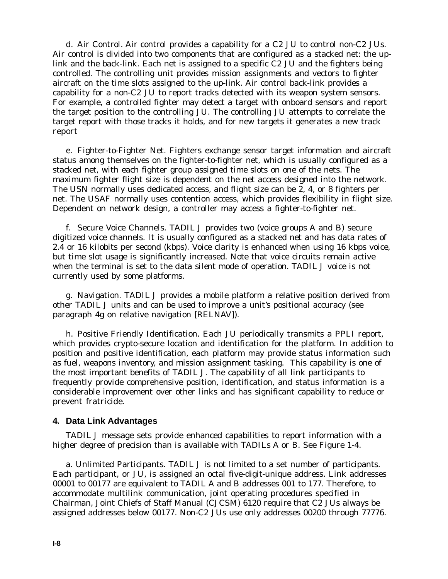d. Air Control. Air control provides a capability for a C2 JU to control non-C2 JUs. Air control is divided into two components that are configured as a stacked net: the uplink and the back-link. Each net is assigned to a specific C2 JU and the fighters being controlled. The controlling unit provides mission assignments and vectors to fighter aircraft on the time slots assigned to the up-link. Air control back-link provides a capability for a non-C2 JU to report tracks detected with its weapon system sensors. For example, a controlled fighter may detect a target with onboard sensors and report the target position to the controlling JU. The controlling JU attempts to correlate the target report with those tracks it holds, and for new targets it generates a new track report

e. Fighter-to-Fighter Net. Fighters exchange sensor target information and aircraft status among themselves on the fighter-to-fighter net, which is usually configured as a stacked net, with each fighter group assigned time slots on one of the nets. The maximum fighter flight size is dependent on the net access designed into the network. The USN normally uses dedicated access, and flight size can be 2, 4, or 8 fighters per net. The USAF normally uses contention access, which provides flexibility in flight size. Dependent on network design, a controller may access a fighter-to-fighter net.

f. Secure Voice Channels. TADIL J provides two (voice groups A and B) secure digitized voice channels. It is usually configured as a stacked net and has data rates of 2.4 or 16 kilobits per second (kbps). Voice clarity is enhanced when using 16 kbps voice, but time slot usage is significantly increased. Note that voice circuits remain active when the terminal is set to the *data silent* mode of operation. TADIL J voice is not currently used by some platforms.

g. Navigation. TADIL J provides a mobile platform a relative position derived from other TADIL J units and can be used to improve a unit's positional accuracy (see paragraph 4g on relative navigation [RELNAV]).

h. Positive Friendly Identification. Each JU periodically transmits a PPLI report, which provides crypto-secure location and identification for the platform. In addition to position and positive identification, each platform may provide status information such as fuel, weapons inventory, and mission assignment tasking. This capability is one of the most important benefits of TADIL J. The capability of all link participants to frequently provide comprehensive position, identification, and status information is a considerable improvement over other links and has significant capability to reduce or prevent fratricide.

#### **4. Data Link Advantages**

TADIL J message sets provide enhanced capabilities to report information with a higher degree of precision than is available with TADILs A or B. See Figure 1-4.

a. Unlimited Participants. TADIL J is not limited to a set number of participants. Each participant, or JU, is assigned an octal five-digit-unique address. Link addresses 00001 to 00177 are equivalent to TADIL A and B addresses 001 to 177. Therefore, to accommodate multilink communication, joint operating procedures specified in Chairman, Joint Chiefs of Staff Manual (CJCSM) 6120 require that C2 JUs always be assigned addresses below 00177. Non-C2 JUs use only addresses 00200 through 77776.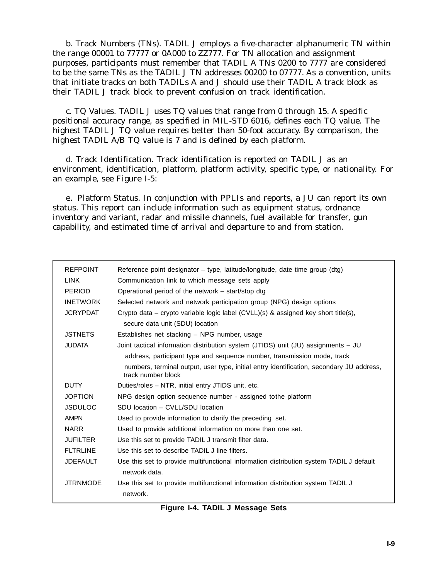b. Track Numbers (TNs). TADIL J employs a five-character alphanumeric TN within the range 00001 to 77777 or 0A000 to ZZ777. For TN allocation and assignment purposes, participants must remember that TADIL A TNs 0200 to 7777 are considered to be the same TNs as the TADIL J TN addresses 00200 to 07777. As a convention, units that initiate tracks on both TADILs A and J should use their TADIL A track block as their TADIL J track block to prevent confusion on track identification.

c. TQ Values. TADIL J uses TQ values that range from 0 through 15. A specific positional accuracy range, as specified in MIL-STD 6016, defines each TQ value. The highest TADIL J TQ value requires better than 50-foot accuracy. By comparison, the highest TADIL A/B TQ value is 7 and is defined by each platform.

d. Track Identification. Track identification is reported on TADIL J as an environment, identification, platform, platform activity, specific type, or nationality. For an example, see Figure I-5:

e. Platform Status. In conjunction with PPLIs and reports, a JU can report its own status. This report can include information such as equipment status, ordnance inventory and variant, radar and missile channels, fuel available for transfer, gun capability, and estimated time of arrival and departure to and from station.

| <b>REFPOINT</b> | Reference point designator – type, latitude/longitude, date time group (dtg)                                   |
|-----------------|----------------------------------------------------------------------------------------------------------------|
| <b>LINK</b>     | Communication link to which message sets apply                                                                 |
| <b>PERIOD</b>   | Operational period of the network – start/stop dtg                                                             |
| <b>INETWORK</b> | Selected network and network participation group (NPG) design options                                          |
| <b>JCRYPDAT</b> | Crypto data – crypto variable logic label $(CVLL)(s)$ & assigned key short title(s),                           |
|                 | secure data unit (SDU) location                                                                                |
| <b>JSTNETS</b>  | Establishes net stacking - NPG number, usage                                                                   |
| <b>JUDATA</b>   | Joint tactical information distribution system (JTIDS) unit (JU) assignments - JU                              |
|                 | address, participant type and sequence number, transmission mode, track                                        |
|                 | numbers, terminal output, user type, initial entry identification, secondary JU address,<br>track number block |
| <b>DUTY</b>     | Duties/roles - NTR, initial entry JTIDS unit, etc.                                                             |
| <b>JOPTION</b>  | NPG design option sequence number - assigned tothe platform                                                    |
| <b>JSDULOC</b>  | SDU location - CVLL/SDU location                                                                               |
| <b>AMPN</b>     | Used to provide information to clarify the preceding set.                                                      |
| <b>NARR</b>     | Used to provide additional information on more than one set.                                                   |
| <b>JUFILTER</b> | Use this set to provide TADIL J transmit filter data.                                                          |
| <b>FLTRLINE</b> | Use this set to describe TADIL J line filters.                                                                 |
| <b>JDEFAULT</b> | Use this set to provide multifunctional information distribution system TADIL J default<br>network data.       |
| <b>JTRNMODE</b> | Use this set to provide multifunctional information distribution system TADIL J<br>network.                    |

**Figure I-4. TADIL J Message Sets**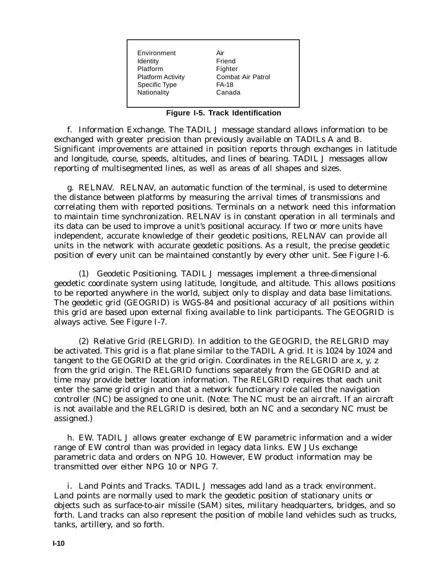Environment Air Identity **Friend** Platform Fighter Platform Activity Combat Air Patrol Specific Type FA-18 Nationality Canada

#### **Figure I-5. Track Identification**

f. Information Exchange. The TADIL J message standard allows information to be exchanged with greater precision than previously available on TADILs A and B. Significant improvements are attained in position reports through exchanges in latitude and longitude, course, speeds, altitudes, and lines of bearing. TADIL J messages allow reporting of multisegmented lines, as well as areas of all shapes and sizes.

g. RELNAV. RELNAV, an automatic function of the terminal, is used to determine the distance between platforms by measuring the arrival times of transmissions and correlating them with reported positions. Terminals on a network need this information to maintain time synchronization. RELNAV is in constant operation in all terminals and its data can be used to improve a unit's positional accuracy. If two or more units have independent, accurate knowledge of their geodetic positions, RELNAV can provide all units in the network with accurate geodetic positions. As a result, the precise geodetic position of every unit can be maintained constantly by every other unit. See Figure I-6.

(1) Geodetic Positioning. TADIL J messages implement a three-dimensional geodetic coordinate system using latitude, longitude, and altitude. This allows positions to be reported anywhere in the world, subject only to display and data base limitations. The geodetic grid (GEOGRID) is WGS-84 and positional accuracy of all positions within this grid are based upon external fixing available to link participants. The GEOGRID is always active. See Figure I-7.

(2) Relative Grid (RELGRID). In addition to the GEOGRID, the RELGRID may be activated. This grid is a flat plane similar to the TADIL A grid. It is 1024 by 1024 and tangent to the GEOGRID at the grid origin. Coordinates in the RELGRID are x, y, z from the grid origin. The RELGRID functions separately from the GEOGRID and at time may provide better location information. The RELGRID requires that each unit enter the same grid origin and that a network functionary role called the navigation controller (NC) be assigned to one unit. (Note: The NC must be an aircraft. If an aircraft is not available and the RELGRID is desired, both an NC and a secondary NC must be assigned.)

h. EW. TADIL J allows greater exchange of EW parametric information and a wider range of EW control than was provided in legacy data links. EW JUs exchange parametric data and orders on NPG 10. However, EW product information may be transmitted over either NPG 10 or NPG 7.

i. Land Points and Tracks. TADIL J messages add land as a track environment. Land points are normally used to mark the geodetic position of stationary units or objects such as surface-to-air missile (SAM) sites, military headquarters, bridges, and so forth. Land tracks can also represent the position of mobile land vehicles such as trucks, tanks, artillery, and so forth.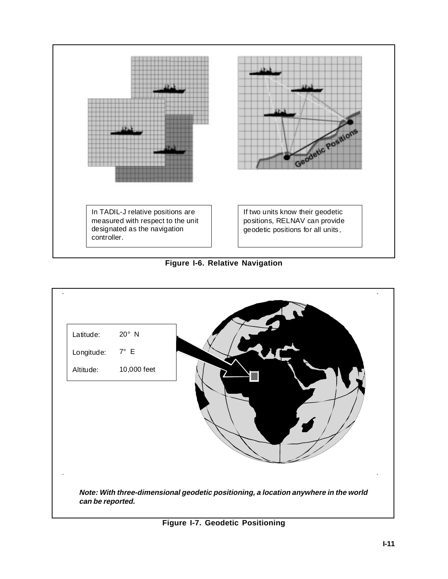

**Figure I-6. Relative Navigation**



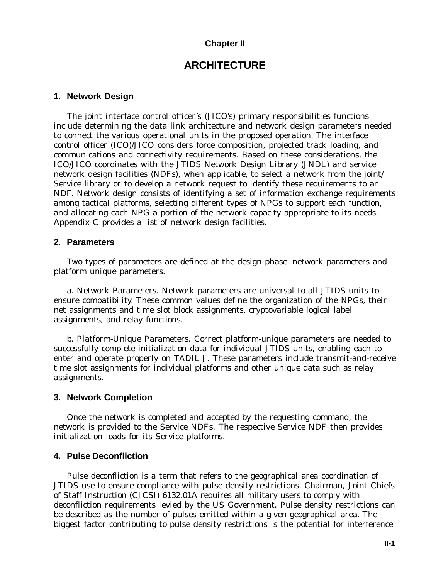### **Chapter II**

# **ARCHITECTURE**

#### **1. Network Design**

The joint interface control officer's (JICO's) primary responsibilities functions include determining the data link architecture and network design parameters needed to connect the various operational units in the proposed operation. The interface control officer (ICO)/JICO considers force composition, projected track loading, and communications and connectivity requirements. Based on these considerations, the ICO/JICO coordinates with the JTIDS Network Design Library (JNDL) and service network design facilities (NDFs), when applicable, to select a network from the joint/ Service library or to develop a network request to identify these requirements to an NDF. Network design consists of identifying a set of information exchange requirements among tactical platforms, selecting different types of NPGs to support each function, and allocating each NPG a portion of the network capacity appropriate to its needs. Appendix C provides a list of network design facilities.

#### **2. Parameters**

Two types of parameters are defined at the design phase: network parameters and platform unique parameters.

a. Network Parameters. Network parameters are universal to all JTIDS units to ensure compatibility. These common values define the organization of the NPGs, their net assignments and time slot block assignments, cryptovariable logical label assignments, and relay functions.

b. Platform-Unique Parameters. Correct platform-unique parameters are needed to successfully complete initialization data for individual JTIDS units, enabling each to enter and operate properly on TADIL J. These parameters include transmit-and-receive time slot assignments for individual platforms and other unique data such as relay assignments.

#### **3. Network Completion**

Once the network is completed and accepted by the requesting command, the network is provided to the Service NDFs. The respective Service NDF then provides initialization loads for its Service platforms.

#### **4. Pulse Deconfliction**

Pulse deconfliction is a term that refers to the geographical area coordination of JTIDS use to ensure compliance with pulse density restrictions. Chairman, Joint Chiefs of Staff Instruction (CJCSI) 6132.01A requires all military users to comply with deconfliction requirements levied by the US Government. Pulse density restrictions can be described as the number of pulses emitted within a given geographical area. The biggest factor contributing to pulse density restrictions is the potential for interference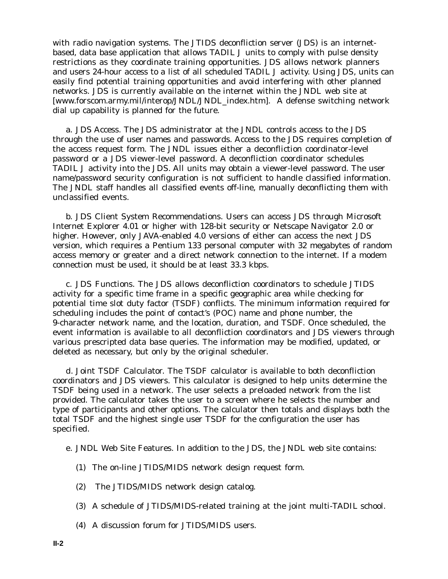with radio navigation systems. The JTIDS deconfliction server (JDS) is an internetbased, data base application that allows TADIL J units to comply with pulse density restrictions as they coordinate training opportunities. JDS allows network planners and users 24-hour access to a list of all scheduled TADIL J activity. Using JDS, units can easily find potential training opportunities and avoid interfering with other planned networks. JDS is currently available on the internet within the JNDL web site at [www.forscom.army.mil/interop/JNDL/JNDL\_index.htm]. A defense switching network dial up capability is planned for the future.

a. JDS Access. The JDS administrator at the JNDL controls access to the JDS through the use of user names and passwords. Access to the JDS requires completion of the access request form. The JNDL issues either a deconfliction coordinator-level password or a JDS viewer-level password. A deconfliction coordinator schedules TADIL J activity into the JDS. All units may obtain a viewer-level password. The user name/password security configuration is not sufficient to handle classified information. The JNDL staff handles all classified events off-line, manually deconflicting them with unclassified events.

b. JDS Client System Recommendations. Users can access JDS through Microsoft Internet Explorer 4.01 or higher with 128-bit security or Netscape Navigator 2.0 or higher. However, only JAVA-enabled 4.0 versions of either can access the next JDS version, which requires a Pentium 133 personal computer with 32 megabytes of random access memory or greater and a direct network connection to the internet. If a modem connection must be used, it should be at least 33.3 kbps.

c. JDS Functions. The JDS allows deconfliction coordinators to schedule JTIDS activity for a specific time frame in a specific geographic area while checking for potential time slot duty factor (TSDF) conflicts. The minimum information required for scheduling includes the point of contact's (POC) name and phone number, the 9-character network name, and the location, duration, and TSDF. Once scheduled, the event information is available to all deconfliction coordinators and JDS viewers through various prescripted data base queries. The information may be modified, updated, or deleted as necessary, but only by the original scheduler.

d. Joint TSDF Calculator. The TSDF calculator is available to both deconfliction coordinators and JDS viewers. This calculator is designed to help units determine the TSDF being used in a network. The user selects a preloaded network from the list provided. The calculator takes the user to a screen where he selects the number and type of participants and other options. The calculator then totals and displays both the total TSDF and the highest single user TSDF for the configuration the user has specified.

- e. JNDL Web Site Features. In addition to the JDS, the JNDL web site contains:
	- (1) The on-line JTIDS/MIDS network design request form.
	- (2) The JTIDS/MIDS network design catalog.
	- (3) A schedule of JTIDS/MIDS-related training at the joint multi-TADIL school.
	- (4) A discussion forum for JTIDS/MIDS users.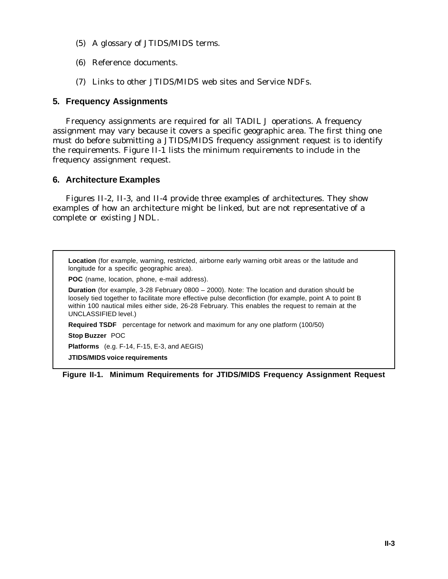- (5) A glossary of JTIDS/MIDS terms.
- (6) Reference documents.
- (7) Links to other JTIDS/MIDS web sites and Service NDFs.

### **5. Frequency Assignments**

Frequency assignments are required for all TADIL J operations. A frequency assignment may vary because it covers a specific geographic area. The first thing one must do before submitting a JTIDS/MIDS frequency assignment request is to identify the requirements. Figure II-1 lists the minimum requirements to include in the frequency assignment request.

#### **6. Architecture Examples**

Figures II-2, II-3, and II-4 provide three examples of architectures. They show examples of how an architecture might be linked, but are not representative of a complete or existing JNDL.

**Location** (for example, warning, restricted, airborne early warning orbit areas or the latitude and longitude for a specific geographic area). **POC** (name, location, phone, e-mail address). **Duration** (for example, 3-28 February 0800 – 2000). Note: The location and duration should be loosely tied together to facilitate more effective pulse deconfliction (for example, point A to point B within 100 nautical miles either side, 26-28 February. This enables the request to remain at the UNCLASSIFIED level.) **Required TSDF** percentage for network and maximum for any one platform (100/50) **Stop Buzzer** POC **Platforms** (e.g. F-14, F-15, E-3, and AEGIS)

**JTIDS/MIDS voice requirements**

**Figure II-1. Minimum Requirements for JTIDS/MIDS Frequency Assignment Request**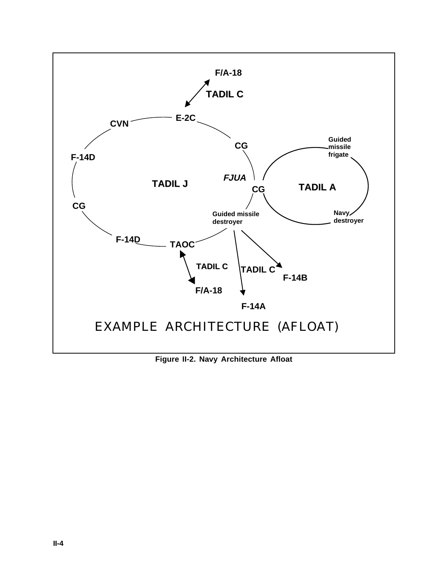

**Figure II-2. Navy Architecture Afloat**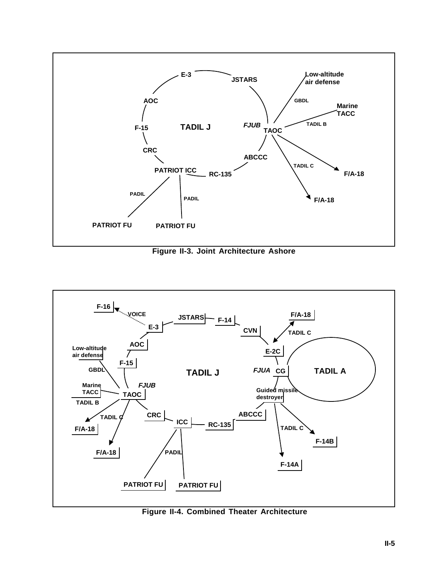

**Figure II-3. Joint Architecture Ashore**



**Figure II-4. Combined Theater Architecture**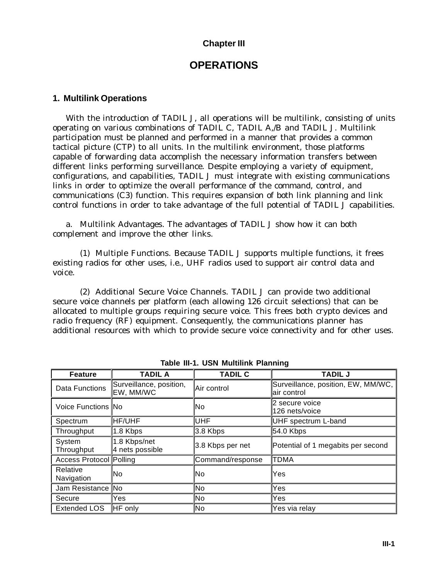## **Chapter III**

# **OPERATIONS**

#### **1. Multilink Operations**

With the introduction of TADIL J, all operations will be multilink, consisting of units operating on various combinations of TADIL C, TADIL A,/B and TADIL J. Multilink participation must be planned and performed in a manner that provides a common tactical picture (CTP) to all units. In the multilink environment, those platforms capable of forwarding data accomplish the necessary information transfers between different links performing surveillance. Despite employing a variety of equipment, configurations, and capabilities, TADIL J must integrate with existing communications links in order to optimize the overall performance of the command, control, and communications (C3) function. This requires expansion of both link planning and link control functions in order to take advantage of the full potential of TADIL J capabilities.

a. Multilink Advantages. The advantages of TADIL J show how it can both complement and improve the other links.

(1) Multiple Functions. Because TADIL J supports multiple functions, it frees existing radios for other uses, i.e., UHF radios used to support air control data and voice.

(2) Additional Secure Voice Channels. TADIL J can provide two additional secure voice channels per platform (each allowing 126 circuit selections) that can be allocated to multiple groups requiring secure voice. This frees both crypto devices and radio frequency (RF) equipment. Consequently, the communications planner has additional resources with which to provide secure voice connectivity and for other uses.

| <b>Feature</b>          | <b>TADIL A</b>                       | <b>TADIL C</b>   | <b>TADIL J</b>                                    |  |  |
|-------------------------|--------------------------------------|------------------|---------------------------------------------------|--|--|
| Data Functions          | Surveillance, position,<br>EW, MM/WC | Air control      | Surveillance, position, EW, MM/WC,<br>air control |  |  |
| Voice Functions No      |                                      | No               | 2 secure voice<br>126 nets/voice                  |  |  |
| Spectrum                | <b>HF/UHF</b>                        | <b>UHF</b>       | <b>UHF</b> spectrum L-band                        |  |  |
| Throughput              | 1.8 Kbps                             | 3.8 Kbps         | 54.0 Kbps                                         |  |  |
| System<br>Throughput    | 1.8 Kbps/net<br>4 nets possible      | 3.8 Kbps per net | Potential of 1 megabits per second                |  |  |
| Access Protocol Polling |                                      | Command/response | TDMA                                              |  |  |
| Relative<br>Navigation  | No                                   | No               | Yes                                               |  |  |
| Jam Resistance No       |                                      | No               | Yes                                               |  |  |
| Secure                  | Yes                                  | No               | Yes                                               |  |  |
| <b>Extended LOS</b>     | <b>HF</b> only                       | lNo              | Yes via relay                                     |  |  |

**Table III-1. USN Multilink Planning**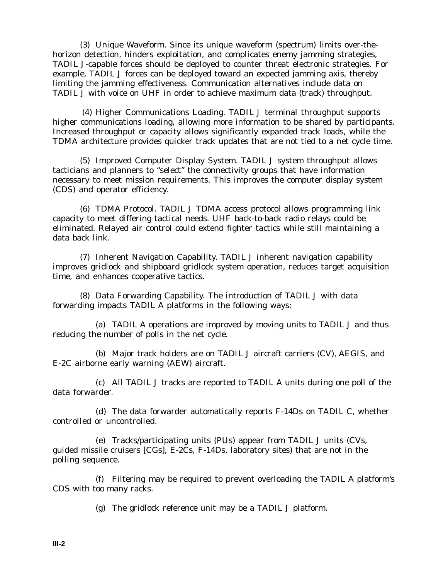(3) Unique Waveform. Since its unique waveform (spectrum) limits over-thehorizon detection, hinders exploitation, and complicates enemy jamming strategies, TADIL J-capable forces should be deployed to counter threat electronic strategies. For example, TADIL J forces can be deployed toward an expected jamming axis, thereby limiting the jamming effectiveness. Communication alternatives include data on TADIL J with voice on UHF in order to achieve maximum data (track) throughput.

 (4) Higher Communications Loading. TADIL J terminal throughput supports higher communications loading, allowing more information to be shared by participants. Increased throughput or capacity allows significantly expanded track loads, while the TDMA architecture provides quicker track updates that are not tied to a net cycle time.

(5) Improved Computer Display System. TADIL J system throughput allows tacticians and planners to "select" the connectivity groups that have information necessary to meet mission requirements. This improves the computer display system (CDS) and operator efficiency.

(6) TDMA Protocol. TADIL J TDMA access protocol allows programming link capacity to meet differing tactical needs. UHF back-to-back radio relays could be eliminated. Relayed air control could extend fighter tactics while still maintaining a data back link.

(7) Inherent Navigation Capability. TADIL J inherent navigation capability improves gridlock and shipboard gridlock system operation, reduces target acquisition time, and enhances cooperative tactics.

(8) Data Forwarding Capability. The introduction of TADIL J with data forwarding impacts TADIL A platforms in the following ways:

(a) TADIL A operations are improved by moving units to TADIL J and thus reducing the number of polls in the net cycle.

(b) Major track holders are on TADIL J aircraft carriers (CV), AEGIS, and E-2C airborne early warning (AEW) aircraft.

(c) All TADIL J tracks are reported to TADIL A units during one poll of the data forwarder.

(d) The data forwarder automatically reports F-14Ds on TADIL C, whether controlled or uncontrolled.

(e) Tracks/participating units (PUs) appear from TADIL J units (CVs, guided missile cruisers [CGs], E-2Cs, F-14Ds, laboratory sites) that are not in the polling sequence.

(f) Filtering may be required to prevent overloading the TADIL A platform's CDS with too many racks.

(g) The gridlock reference unit may be a TADIL J platform.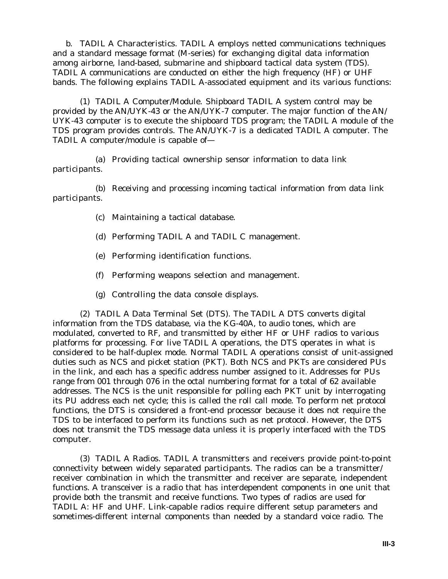b. TADIL A Characteristics. TADIL A employs netted communications techniques and a standard message format (M-series) for exchanging digital data information among airborne, land-based, submarine and shipboard tactical data system (TDS). TADIL A communications are conducted on either the high frequency (HF) or UHF bands. The following explains TADIL A-associated equipment and its various functions:

(1) TADIL A Computer/Module. Shipboard TADIL A system control may be provided by the AN/UYK-43 or the AN/UYK-7 computer. The major function of the AN/ UYK-43 computer is to execute the shipboard TDS program; the TADIL A module of the TDS program provides controls. The AN/UYK-7 is a dedicated TADIL A computer. The TADIL A computer/module is capable of—

(a) Providing tactical ownership sensor information to data link participants.

(b) Receiving and processing incoming tactical information from data link participants.

- (c) Maintaining a tactical database.
- (d) Performing TADIL A and TADIL C management.
- (e) Performing identification functions.
- (f) Performing weapons selection and management.
- (g) Controlling the data console displays.

(2) TADIL A Data Terminal Set (DTS). The TADIL A DTS converts digital information from the TDS database, via the KG-40A, to audio tones, which are modulated, converted to RF, and transmitted by either HF or UHF radios to various platforms for processing. For live TADIL A operations, the DTS operates in what is considered to be half-duplex mode. Normal TADIL A operations consist of unit-assigned duties such as NCS and picket station (PKT). Both NCS and PKTs are considered PUs in the link, and each has a specific address number assigned to it. Addresses for PUs range from 001 through 076 in the octal numbering format for a total of 62 available addresses. The NCS is the unit responsible for polling each PKT unit by interrogating its PU address each net cycle; this is called the roll call mode. To perform net protocol functions, the DTS is considered a front-end processor because it does not require the TDS to be interfaced to perform its functions such as net protocol. However, the DTS does not transmit the TDS message data unless it is properly interfaced with the TDS computer.

(3) TADIL A Radios. TADIL A transmitters and receivers provide point-to-point connectivity between widely separated participants. The radios can be a transmitter/ receiver combination in which the transmitter and receiver are separate, independent functions. A transceiver is a radio that has interdependent components in one unit that provide both the transmit and receive functions. Two types of radios are used for TADIL A: HF and UHF. Link-capable radios require different setup parameters and sometimes-different internal components than needed by a standard voice radio. The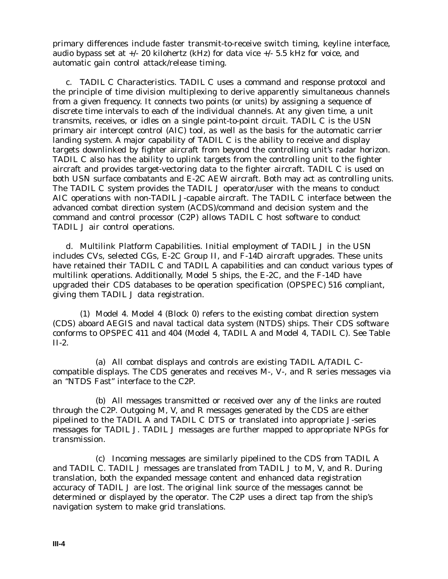primary differences include faster transmit-to-receive switch timing, keyline interface, audio bypass set at  $+/- 20$  kilohertz (kHz) for data vice  $+/- 5.5$  kHz for voice, and automatic gain control attack/release timing.

c. TADIL C Characteristics. TADIL C uses a command and response protocol and the principle of time division multiplexing to derive apparently simultaneous channels from a given frequency. It connects two points (or units) by assigning a sequence of discrete time intervals to each of the individual channels. At any given time, a unit transmits, receives, or idles on a single point-to-point circuit. TADIL C is the USN primary air intercept control (AIC) tool, as well as the basis for the automatic carrier landing system. A major capability of TADIL C is the ability to receive and display targets downlinked by fighter aircraft from beyond the controlling unit's radar horizon. TADIL C also has the ability to uplink targets from the controlling unit to the fighter aircraft and provides target-vectoring data to the fighter aircraft. TADIL C is used on both USN surface combatants and E-2C AEW aircraft. Both may act as controlling units. The TADIL C system provides the TADIL J operator/user with the means to conduct AIC operations with non-TADIL J-capable aircraft. The TADIL C interface between the advanced combat direction system (ACDS)/command and decision system and the command and control processor (C2P) allows TADIL C host software to conduct TADIL J air control operations.

d. Multilink Platform Capabilities. Initial employment of TADIL J in the USN includes CVs, selected CGs, E-2C Group II, and F-14D aircraft upgrades. These units have retained their TADIL C and TADIL A capabilities and can conduct various types of multilink operations. Additionally, Model 5 ships, the E-2C, and the F-14D have upgraded their CDS databases to be operation specification (OPSPEC) 516 compliant, giving them TADIL J data registration.

(1) Model 4. Model 4 (Block 0) refers to the existing combat direction system (CDS) aboard AEGIS and naval tactical data system (NTDS) ships. Their CDS software conforms to OPSPEC 411 and 404 (Model 4, TADIL A and Model 4, TADIL C). See Table II-2.

(a) All combat displays and controls are existing TADIL A/TADIL Ccompatible displays. The CDS generates and receives M-, V-, and R series messages via an "NTDS Fast" interface to the C2P.

(b) All messages transmitted or received over any of the links are routed through the C2P. Outgoing M, V, and R messages generated by the CDS are either pipelined to the TADIL A and TADIL C DTS or translated into appropriate J-series messages for TADIL J. TADIL J messages are further mapped to appropriate NPGs for transmission.

(c) Incoming messages are similarly pipelined to the CDS from TADIL A and TADIL C. TADIL J messages are translated from TADIL J to M, V, and R. During translation, both the expanded message content and enhanced data registration accuracy of TADIL J are lost. The original link source of the messages cannot be determined or displayed by the operator. The C2P uses a direct tap from the ship's navigation system to make grid translations.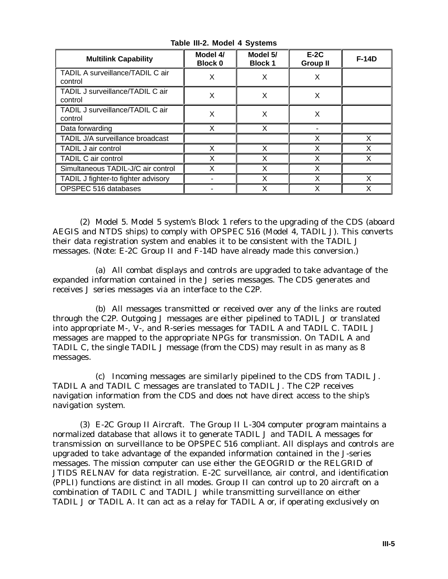| <b>Multilink Capability</b>                 | Model 4/<br>Block 0 | Model 5/<br><b>Block 1</b> | $E-2C$<br><b>Group II</b> | <b>F-14D</b> |
|---------------------------------------------|---------------------|----------------------------|---------------------------|--------------|
| TADIL A surveillance/TADIL C air<br>control | X                   | X                          | X                         |              |
| TADIL J surveillance/TADIL C air<br>control | X                   | X                          | X                         |              |
| TADIL J surveillance/TADIL C air<br>control | X                   | X                          | Χ                         |              |
| Data forwarding                             | X                   | X                          |                           |              |
| TADIL J/A surveillance broadcast            |                     |                            | X                         | X            |
| TADIL J air control                         | X                   | X                          | X                         | X            |
| TADIL C air control                         | Χ                   | X                          | X                         | X            |
| Simultaneous TADIL-J/C air control          |                     | Χ                          | X                         |              |
| TADIL J fighter-to fighter advisory         |                     | Χ                          | x                         | x            |
| OPSPEC 516 databases                        |                     | X                          | Χ                         | X            |

**Table III-2. Model 4 Systems**

(2) Model 5. Model 5 system's Block 1 refers to the upgrading of the CDS (aboard AEGIS and NTDS ships) to comply with OPSPEC 516 (Model 4, TADIL J). This converts their data registration system and enables it to be consistent with the TADIL J messages. (Note: E-2C Group II and F-14D have already made this conversion.)

(a) All combat displays and controls are upgraded to take advantage of the expanded information contained in the J series messages. The CDS generates and receives J series messages via an interface to the C2P.

(b) All messages transmitted or received over any of the links are routed through the C2P. Outgoing J messages are either pipelined to TADIL J or translated into appropriate M-, V-, and R-series messages for TADIL A and TADIL C. TADIL J messages are mapped to the appropriate NPGs for transmission. On TADIL A and TADIL C, the single TADIL J message (from the CDS) may result in as many as 8 messages.

(c) Incoming messages are similarly pipelined to the CDS from TADIL J. TADIL A and TADIL C messages are translated to TADIL J. The C2P receives navigation information from the CDS and does not have direct access to the ship's navigation system.

(3) E-2C Group II Aircraft. The Group II L-304 computer program maintains a normalized database that allows it to generate TADIL J and TADIL A messages for transmission on surveillance to be OPSPEC 516 compliant. All displays and controls are upgraded to take advantage of the expanded information contained in the J-series messages. The mission computer can use either the GEOGRID or the RELGRID of JTIDS RELNAV for data registration. E-2C surveillance, air control, and identification (PPLI) functions are distinct in all modes. Group II can control up to 20 aircraft on a combination of TADIL C and TADIL J while transmitting surveillance on either TADIL J or TADIL A. It can act as a relay for TADIL A or, if operating exclusively on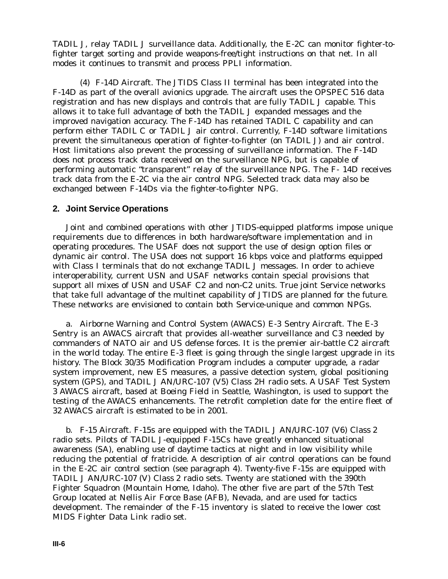TADIL J, relay TADIL J surveillance data. Additionally, the E-2C can monitor fighter-tofighter target sorting and provide weapons-free/tight instructions on that net. In all modes it continues to transmit and process PPLI information.

(4) F-14D Aircraft. The JTIDS Class II terminal has been integrated into the F-14D as part of the overall avionics upgrade. The aircraft uses the OPSPEC 516 data registration and has new displays and controls that are fully TADIL J capable. This allows it to take full advantage of both the TADIL J expanded messages and the improved navigation accuracy. The F-14D has retained TADIL C capability and can perform either TADIL C or TADIL J air control. Currently, F-14D software limitations prevent the simultaneous operation of fighter-to-fighter (on TADIL J) and air control. Host limitations also prevent the processing of surveillance information. The F-14D does not process track data received on the surveillance NPG, but is capable of performing automatic "transparent" relay of the surveillance NPG. The F- 14D receives track data from the E-2C via the air control NPG. Selected track data may also be exchanged between F-14Ds via the fighter-to-fighter NPG.

#### **2. Joint Service Operations**

Joint and combined operations with other JTIDS-equipped platforms impose unique requirements due to differences in both hardware/software implementation and in operating procedures. The USAF does not support the use of design option files or dynamic air control. The USA does not support 16 kbps voice and platforms equipped with Class I terminals that do not exchange TADIL J messages. In order to achieve interoperability, current USN and USAF networks contain special provisions that support all mixes of USN and USAF C2 and non-C2 units. True joint Service networks that take full advantage of the multinet capability of JTIDS are planned for the future. These networks are envisioned to contain both Service-unique and common NPGs.

a. Airborne Warning and Control System (AWACS) E-3 Sentry Aircraft. The E-3 Sentry is an AWACS aircraft that provides all-weather surveillance and C3 needed by commanders of NATO air and US defense forces. It is the premier air-battle C2 aircraft in the world today. The entire E-3 fleet is going through the single largest upgrade in its history. The Block 30/35 Modification Program includes a computer upgrade, a radar system improvement, new ES measures, a passive detection system, global positioning system (GPS), and TADIL J AN/URC-107 (V5) Class 2H radio sets. A USAF Test System 3 AWACS aircraft, based at Boeing Field in Seattle, Washington, is used to support the testing of the AWACS enhancements. The retrofit completion date for the entire fleet of 32 AWACS aircraft is estimated to be in 2001.

b. F-15 Aircraft. F-15s are equipped with the TADIL J AN/URC-107 (V6) Class 2 radio sets. Pilots of TADIL J-equipped F-15Cs have greatly enhanced situational awareness (SA), enabling use of daytime tactics at night and in low visibility while reducing the potential of fratricide. A description of air control operations can be found in the E-2C air control section (see paragraph 4). Twenty-five F-15s are equipped with TADIL J AN/URC-107 (V) Class 2 radio sets. Twenty are stationed with the 390th Fighter Squadron (Mountain Home, Idaho). The other five are part of the 57th Test Group located at Nellis Air Force Base (AFB), Nevada, and are used for tactics development. The remainder of the F-15 inventory is slated to receive the lower cost MIDS Fighter Data Link radio set.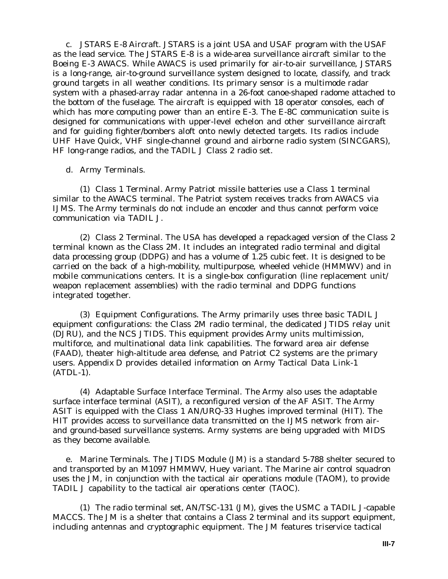c. JSTARS E-8 Aircraft. JSTARS is a joint USA and USAF program with the USAF as the lead service. The JSTARS E-8 is a wide-area surveillance aircraft similar to the Boeing E-3 AWACS. While AWACS is used primarily for air-to-air surveillance, JSTARS is a long-range, air-to-ground surveillance system designed to locate, classify, and track ground targets in all weather conditions. Its primary sensor is a multimode radar system with a phased-array radar antenna in a 26-foot canoe-shaped radome attached to the bottom of the fuselage. The aircraft is equipped with 18 operator consoles, each of which has more computing power than an entire E-3. The E-8C communication suite is designed for communications with upper-level echelon and other surveillance aircraft and for guiding fighter/bombers aloft onto newly detected targets. Its radios include UHF Have Quick, VHF single-channel ground and airborne radio system (SINCGARS), HF long-range radios, and the TADIL J Class 2 radio set.

#### d. Army Terminals.

(1) Class 1 Terminal. Army Patriot missile batteries use a Class 1 terminal similar to the AWACS terminal. The Patriot system receives tracks from AWACS via IJMS. The Army terminals do not include an encoder and thus cannot perform voice communication via TADIL J.

(2) Class 2 Terminal. The USA has developed a repackaged version of the Class 2 terminal known as the Class 2M. It includes an integrated radio terminal and digital data processing group (DDPG) and has a volume of 1.25 cubic feet. It is designed to be carried on the back of a high-mobility, multipurpose, wheeled vehicle (HMMWV) and in mobile communications centers. It is a single-box configuration (line replacement unit/ weapon replacement assemblies) with the radio terminal and DDPG functions integrated together.

(3) Equipment Configurations. The Army primarily uses three basic TADIL J equipment configurations: the Class 2M radio terminal, the dedicated JTIDS relay unit (DJRU), and the NCS JTIDS. This equipment provides Army units multimission, multiforce, and multinational data link capabilities. The forward area air defense (FAAD), theater high-altitude area defense, and Patriot C2 systems are the primary users. Appendix D provides detailed information on Army Tactical Data Link-1 (ATDL-1).

(4) Adaptable Surface Interface Terminal. The Army also uses the adaptable surface interface terminal (ASIT), a reconfigured version of the AF ASIT. The Army ASIT is equipped with the Class 1 AN/URQ-33 Hughes improved terminal (HIT). The HIT provides access to surveillance data transmitted on the IJMS network from airand ground-based surveillance systems. Army systems are being upgraded with MIDS as they become available.

e. Marine Terminals. The JTIDS Module (JM) is a standard 5-788 shelter secured to and transported by an M1097 HMMWV, Huey variant. The Marine air control squadron uses the JM, in conjunction with the tactical air operations module (TAOM), to provide TADIL J capability to the tactical air operations center (TAOC).

(1) The radio terminal set, AN/TSC-131 (JM), gives the USMC a TADIL J-capable MACCS. The JM is a shelter that contains a Class 2 terminal and its support equipment, including antennas and cryptographic equipment. The JM features triservice tactical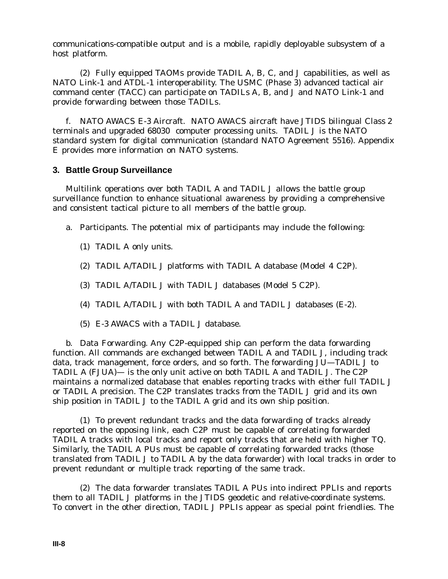communications-compatible output and is a mobile, rapidly deployable subsystem of a host platform.

(2) Fully equipped TAOMs provide TADIL A, B, C, and J capabilities, as well as NATO Link-1 and ATDL-1 interoperability. The USMC (Phase 3) advanced tactical air command center (TACC) can participate on TADILs A, B, and J and NATO Link-1 and provide forwarding between those TADILs.

f. NATO AWACS E-3 Aircraft. NATO AWACS aircraft have JTIDS bilingual Class 2 terminals and upgraded 68030 computer processing units. TADIL J is the NATO standard system for digital communication (standard NATO Agreement 5516). Appendix E provides more information on NATO systems.

#### **3. Battle Group Surveillance**

Multilink operations over both TADIL A and TADIL J allows the battle group surveillance function to enhance situational awareness by providing a comprehensive and consistent tactical picture to all members of the battle group.

- a. Participants. The potential mix of participants may include the following:
	- (1) TADIL A only units.
	- (2) TADIL A/TADIL J platforms with TADIL A database (Model 4 C2P).
	- (3) TADIL A/TADIL J with TADIL J databases (Model 5 C2P).
	- (4) TADIL A/TADIL J with both TADIL A and TADIL J databases (E-2).
	- (5) E-3 AWACS with a TADIL J database.

b. Data Forwarding. Any C2P-equipped ship can perform the data forwarding function. All commands are exchanged between TADIL A and TADIL J, including track data, track management, force orders, and so forth. The forwarding JU—TADIL J to TADIL A (FJUA)— is the only unit active on both TADIL A and TADIL J. The C2P maintains a normalized database that enables reporting tracks with either full TADIL J or TADIL A precision. The C2P translates tracks from the TADIL J grid and its own ship position in TADIL J to the TADIL A grid and its own ship position.

(1) To prevent redundant tracks and the data forwarding of tracks already reported on the opposing link, each C2P must be capable of correlating forwarded TADIL A tracks with local tracks and report only tracks that are held with higher TQ. Similarly, the TADIL A PUs must be capable of correlating forwarded tracks (those translated from TADIL J to TADIL A by the data forwarder) with local tracks in order to prevent redundant or multiple track reporting of the same track.

(2) The data forwarder translates TADIL A PUs into indirect PPLIs and reports them to all TADIL J platforms in the JTIDS geodetic and relative-coordinate systems. To convert in the other direction, TADIL J PPLIs appear as special point friendlies. The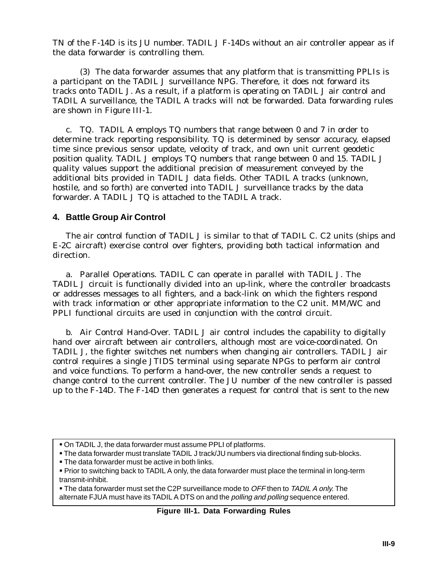TN of the F-14D is its JU number. TADIL J F-14Ds without an air controller appear as if the data forwarder is controlling them.

(3) The data forwarder assumes that any platform that is transmitting PPLIs is a participant on the TADIL J surveillance NPG. Therefore, it does not forward its tracks onto TADIL J. As a result, if a platform is operating on TADIL J air control and TADIL A surveillance, the TADIL A tracks will not be forwarded. Data forwarding rules are shown in Figure III-1.

c. TQ. TADIL A employs TQ numbers that range between 0 and 7 in order to determine track reporting responsibility. TQ is determined by sensor accuracy, elapsed time since previous sensor update, velocity of track, and own unit current geodetic position quality. TADIL J employs TQ numbers that range between 0 and 15. TADIL J quality values support the additional precision of measurement conveyed by the additional bits provided in TADIL J data fields. Other TADIL A tracks (unknown, hostile, and so forth) are converted into TADIL J surveillance tracks by the data forwarder. A TADIL J TQ is attached to the TADIL A track.

## **4. Battle Group Air Control**

The air control function of TADIL J is similar to that of TADIL C. C2 units (ships and E-2C aircraft) exercise control over fighters, providing both tactical information and direction.

a. Parallel Operations. TADIL C can operate in parallel with TADIL J. The TADIL J circuit is functionally divided into an up-link, where the controller broadcasts or addresses messages to all fighters, and a back-link on which the fighters respond with track information or other appropriate information to the C2 unit. MM/WC and PPLI functional circuits are used in conjunction with the control circuit.

b. Air Control Hand-Over. TADIL J air control includes the capability to digitally hand over aircraft between air controllers, although most are voice-coordinated. On TADIL J, the fighter switches net numbers when changing air controllers. TADIL J air control requires a single JTIDS terminal using separate NPGs to perform air control and voice functions. To perform a hand-over, the new controller sends a request to change control to the current controller. The JU number of the new controller is passed up to the F-14D. The F-14D then generates a request for control that is sent to the new

**The data forwarder must be active in both links.** 

• The data forwarder must set the C2P surveillance mode to OFF then to TADIL A only. The alternate FJUA must have its TADIL A DTS on and the polling and polling sequence entered.

### **Figure III-1. Data Forwarding Rules**

On TADIL J, the data forwarder must assume PPLI of platforms.

The data forwarder must translate TADIL J track/JU numbers via directional finding sub-blocks.

Prior to switching back to TADIL A only, the data forwarder must place the terminal in long-term transmit-inhibit.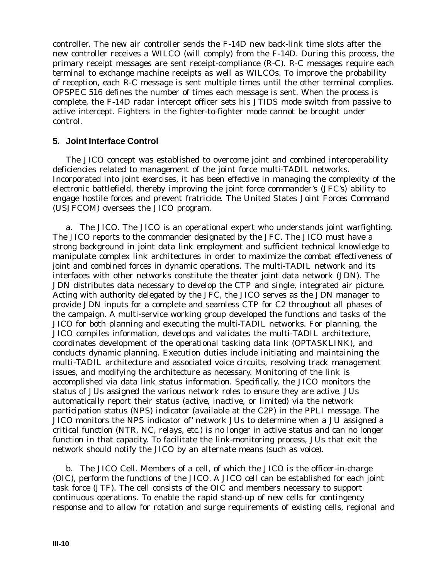controller. The new air controller sends the F-14D new back-link time slots after the new controller receives a WILCO (will comply) from the F-14D. During this process, the primary receipt messages are sent receipt-compliance (R-C). R-C messages require each terminal to exchange machine receipts as well as WILCOs. To improve the probability of reception, each R-C message is sent multiple times until the other terminal complies. OPSPEC 516 defines the number of times each message is sent. When the process is complete, the F-14D radar intercept officer sets his JTIDS mode switch from passive to active intercept. Fighters in the fighter-to-fighter mode cannot be brought under control.

### **5. Joint Interface Control**

The JICO concept was established to overcome joint and combined interoperability deficiencies related to management of the joint force multi-TADIL networks. Incorporated into joint exercises, it has been effective in managing the complexity of the electronic battlefield, thereby improving the joint force commander's (JFC's) ability to engage hostile forces and prevent fratricide. The United States Joint Forces Command (USJFCOM) oversees the JICO program.

a. The JICO. The JICO is an operational expert who understands joint warfighting. The JICO reports to the commander designated by the JFC. The JICO must have a strong background in joint data link employment and sufficient technical knowledge to manipulate complex link architectures in order to maximize the combat effectiveness of joint and combined forces in dynamic operations. The multi-TADIL network and its interfaces with other networks constitute the theater joint data network (JDN). The JDN distributes data necessary to develop the CTP and single, integrated air picture. Acting with authority delegated by the JFC, the JICO serves as the JDN manager to provide JDN inputs for a complete and seamless CTP for C2 throughout all phases of the campaign. A multi-service working group developed the functions and tasks of the JICO for both planning and executing the multi-TADIL networks. For planning, the JICO compiles information, develops and validates the multi-TADIL architecture, coordinates development of the operational tasking data link (OPTASKLINK), and conducts dynamic planning. Execution duties include initiating and maintaining the multi-TADIL architecture and associated voice circuits, resolving track management issues, and modifying the architecture as necessary. Monitoring of the link is accomplished via data link status information. Specifically, the JICO monitors the status of JUs assigned the various network roles to ensure they are active. JUs automatically report their status (active, inactive, or limited) via the network participation status (NPS) indicator (available at the C2P) in the PPLI message. The JICO monitors the NPS indicator of' network JUs to determine when a JU assigned a critical function (NTR, NC, relays, etc.) is no longer in active status and can no longer function in that capacity. To facilitate the link-monitoring process, JUs that exit the network should notify the JICO by an alternate means (such as voice).

b. The JICO Cell. Members of a cell, of which the JICO is the officer-in-charge (OIC), perform the functions of the JICO. A JICO cell can be established for each joint task force (JTF). The cell consists of the OIC and members necessary to support continuous operations. To enable the rapid stand-up of new cells for contingency response and to allow for rotation and surge requirements of existing cells, regional and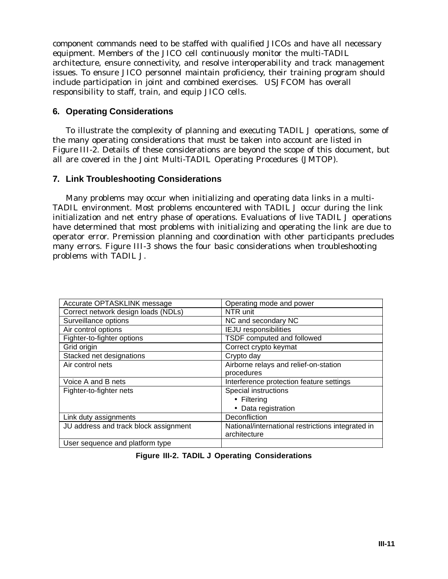component commands need to be staffed with qualified JICOs and have all necessary equipment. Members of the JICO cell continuously monitor the multi-TADIL architecture, ensure connectivity, and resolve interoperability and track management issues. To ensure JICO personnel maintain proficiency, their training program should include participation in joint and combined exercises. USJFCOM has overall responsibility to staff, train, and equip JICO cells.

## **6. Operating Considerations**

To illustrate the complexity of planning and executing TADIL J operations, some of the many operating considerations that must be taken into account are listed in Figure III-2. Details of these considerations are beyond the scope of this document, but all are covered in the Joint Multi-TADIL Operating Procedures (JMTOP).

## **7. Link Troubleshooting Considerations**

Many problems may occur when initializing and operating data links in a multi-TADIL environment. Most problems encountered with TADIL J occur during the link initialization and net entry phase of operations. Evaluations of live TADIL J operations have determined that most problems with initializing and operating the link are due to operator error. Premission planning and coordination with other participants precludes many errors. Figure III-3 shows the four basic considerations when troubleshooting problems with TADIL J.

| Accurate OPTASKLINK message           | Operating mode and power                          |
|---------------------------------------|---------------------------------------------------|
| Correct network design loads (NDLs)   | NTR unit                                          |
| Surveillance options                  | NC and secondary NC                               |
| Air control options                   | <b>IEJU</b> responsibilities                      |
| Fighter-to-fighter options            | TSDF computed and followed                        |
| Grid origin                           | Correct crypto keymat                             |
| Stacked net designations              | Crypto day                                        |
| Air control nets                      | Airborne relays and relief-on-station             |
|                                       | procedures                                        |
| Voice A and B nets                    | Interference protection feature settings          |
| Fighter-to-fighter nets               | Special instructions                              |
|                                       | $\bullet$ Filtering                               |
|                                       | • Data registration                               |
| Link duty assignments                 | Deconfliction                                     |
| JU address and track block assignment | National/international restrictions integrated in |
|                                       | architecture                                      |
| User sequence and platform type       |                                                   |

**Figure III-2. TADIL J Operating Considerations**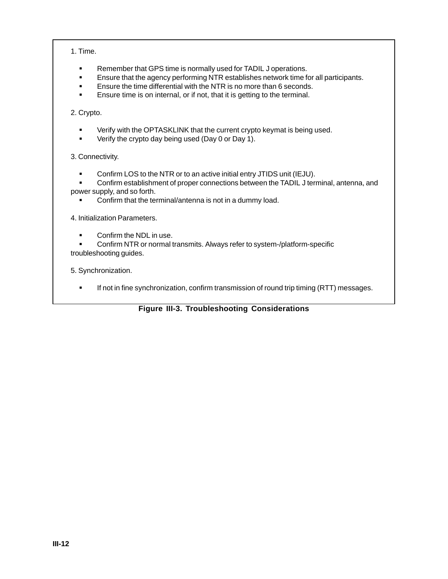1. Time.

- Remember that GPS time is normally used for TADIL J operations.
- Ensure that the agency performing NTR establishes network time for all participants.
- **Ensure the time differential with the NTR is no more than 6 seconds.**
- **Ensure time is on internal, or if not, that it is getting to the terminal.**

2. Crypto.

- **•** Verify with the OPTASKLINK that the current crypto keymat is being used.
- Verify the crypto day being used (Day 0 or Day 1).
- 3. Connectivity.
	- Confirm LOS to the NTR or to an active initial entry JTIDS unit (IEJU).
- Confirm establishment of proper connections between the TADIL J terminal, antenna, and power supply, and so forth.
	- **Confirm that the terminal/antenna is not in a dummy load.**

4. Initialization Parameters.

- Confirm the NDL in use.
- Confirm NTR or normal transmits. Always refer to system-/platform-specific troubleshooting guides.

5. Synchronization.

**If not in fine synchronization, confirm transmission of round trip timing (RTT) messages.** 

### **Figure III-3. Troubleshooting Considerations**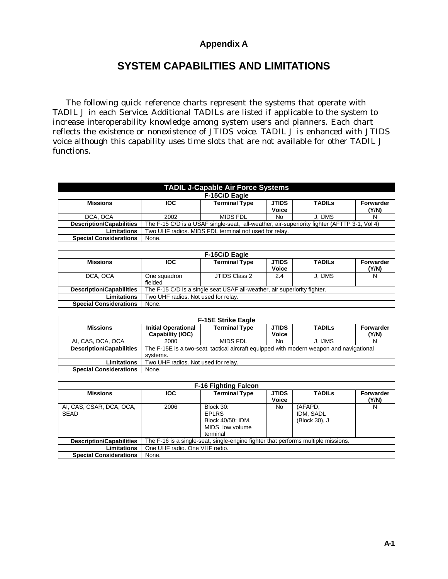## **Appendix A**

# **SYSTEM CAPABILITIES AND LIMITATIONS**

The following quick reference charts represent the systems that operate with TADIL J in each Service. Additional TADILs are listed if applicable to the system to increase interoperability knowledge among system users and planners. Each chart reflects the existence or nonexistence of JTIDS voice. TADIL J is enhanced with JTIDS voice although this capability uses time slots that are not available for other TADIL J functions.

| <b>TADIL J-Capable Air Force Systems</b> |                                                                                  |                                                                                             |              |         |       |  |  |
|------------------------------------------|----------------------------------------------------------------------------------|---------------------------------------------------------------------------------------------|--------------|---------|-------|--|--|
|                                          |                                                                                  | F-15C/D Eagle                                                                               |              |         |       |  |  |
| <b>Missions</b>                          | <b>Terminal Type</b><br><b>JTIDS</b><br><b>TADILS</b><br><b>IOC</b><br>Forwarder |                                                                                             |              |         |       |  |  |
|                                          |                                                                                  |                                                                                             | <b>Voice</b> |         | (Y/N) |  |  |
| DCA, OCA                                 | 2002                                                                             | <b>MIDS FDL</b>                                                                             | No           | J. IJMS |       |  |  |
| <b>Description/Capabilities</b>          |                                                                                  | The F-15 C/D is a USAF single-seat, all-weather, air-superiority fighter (AFTTP 3-1, Vol 4) |              |         |       |  |  |
| Limitations                              | Two UHF radios. MIDS FDL terminal not used for relay.                            |                                                                                             |              |         |       |  |  |
| <b>Special Considerations</b>            | None.                                                                            |                                                                                             |              |         |       |  |  |

| F-15C/D Eagle                   |                                     |                                                                          |                              |               |                    |  |  |
|---------------------------------|-------------------------------------|--------------------------------------------------------------------------|------------------------------|---------------|--------------------|--|--|
| <b>Missions</b>                 | <b>IOC</b>                          | <b>Terminal Type</b>                                                     | <b>JTIDS</b><br><b>Voice</b> | <b>TADILS</b> | Forwarder<br>(Y/N) |  |  |
| DCA, OCA                        | One squadron<br>fielded             | JTIDS Class 2                                                            | 2.4                          | J. IJMS       | N                  |  |  |
| <b>Description/Capabilities</b> |                                     | The F-15 C/D is a single seat USAF all-weather, air superiority fighter. |                              |               |                    |  |  |
| Limitations                     | Two UHF radios. Not used for relay. |                                                                          |                              |               |                    |  |  |
| <b>Special Considerations</b>   | None.                               |                                                                          |                              |               |                    |  |  |

| <b>F-15E Strike Eagle</b>       |                                                                                                     |                      |                       |               |                    |  |  |
|---------------------------------|-----------------------------------------------------------------------------------------------------|----------------------|-----------------------|---------------|--------------------|--|--|
| <b>Missions</b>                 | <b>Initial Operational</b><br>Capability (IOC)                                                      | <b>Terminal Type</b> | <b>JTIDS</b><br>Voice | <b>TADILS</b> | Forwarder<br>(Y/N) |  |  |
| AI, CAS, DCA, OCA               | 2000                                                                                                | MIDS FDL             | No                    | J. IJMS       | N                  |  |  |
| <b>Description/Capabilities</b> | The F-15E is a two-seat, tactical aircraft equipped with modern weapon and navigational<br>systems. |                      |                       |               |                    |  |  |
| Limitations                     | Two UHF radios. Not used for relay.                                                                 |                      |                       |               |                    |  |  |
| <b>Special Considerations</b>   | None.                                                                                               |                      |                       |               |                    |  |  |

| <b>F-16 Fighting Falcon</b>      |            |                                                                                   |                              |                                       |                    |  |  |
|----------------------------------|------------|-----------------------------------------------------------------------------------|------------------------------|---------------------------------------|--------------------|--|--|
| <b>Missions</b>                  | <b>IOC</b> | <b>Terminal Type</b>                                                              | <b>JTIDS</b><br><b>Voice</b> | <b>TADILS</b>                         | Forwarder<br>(Y/N) |  |  |
| AI, CAS, CSAR, DCA, OCA,<br>SEAD | 2006       | Block 30:<br><b>EPLRS</b><br>Block 40/50: IDM,<br>MIDS low volume<br>terminal     | No.                          | (AFAPD.<br>IDM, SADL<br>(Block 30), J | N                  |  |  |
| <b>Description/Capabilities</b>  |            | The F-16 is a single-seat, single-engine fighter that performs multiple missions. |                              |                                       |                    |  |  |
| Limitations                      |            | One UHF radio, One VHF radio.                                                     |                              |                                       |                    |  |  |
| <b>Special Considerations</b>    | None.      |                                                                                   |                              |                                       |                    |  |  |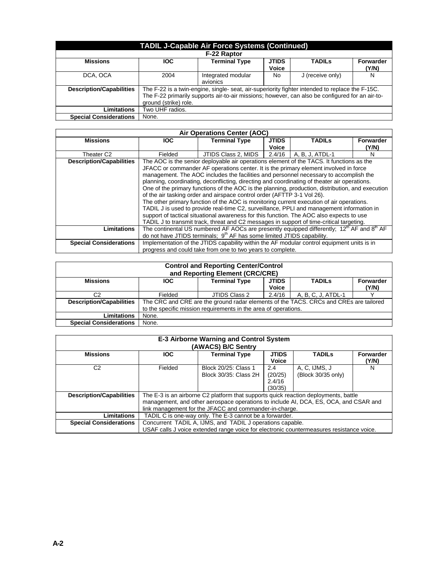| <b>TADIL J-Capable Air Force Systems (Continued)</b> |                       |                                                                                                                                                                                                    |                       |                  |                           |  |
|------------------------------------------------------|-----------------------|----------------------------------------------------------------------------------------------------------------------------------------------------------------------------------------------------|-----------------------|------------------|---------------------------|--|
|                                                      |                       | F-22 Raptor                                                                                                                                                                                        |                       |                  |                           |  |
| <b>Missions</b>                                      | <b>IOC</b>            | <b>Terminal Type</b>                                                                                                                                                                               | <b>JTIDS</b><br>Voice | <b>TADILS</b>    | <b>Forwarder</b><br>(Y/N) |  |
| DCA, OCA                                             | 2004                  | Integrated modular<br>avionics                                                                                                                                                                     | No.                   | J (receive only) | N                         |  |
| <b>Description/Capabilities</b>                      | ground (strike) role. | The F-22 is a twin-engine, single- seat, air-superiority fighter intended to replace the F-15C.<br>The F-22 primarily supports air-to-air missions; however, can also be configured for an air-to- |                       |                  |                           |  |
| <b>Limitations</b>                                   | Two UHF radios.       |                                                                                                                                                                                                    |                       |                  |                           |  |
| <b>Special Considerations</b>                        | None.                 |                                                                                                                                                                                                    |                       |                  |                           |  |

| Air Operations Center (AOC)     |                                                                                           |                                                                                                  |              |                 |                  |  |
|---------------------------------|-------------------------------------------------------------------------------------------|--------------------------------------------------------------------------------------------------|--------------|-----------------|------------------|--|
| <b>Missions</b>                 | <b>IOC</b>                                                                                | <b>Terminal Type</b>                                                                             | <b>JTIDS</b> | <b>TADILS</b>   | <b>Forwarder</b> |  |
|                                 |                                                                                           |                                                                                                  | <b>Voice</b> |                 | (Y/N)            |  |
| Theater C2                      | Fielded                                                                                   | JTIDS Class 2, MIDS   2.4/16                                                                     |              | A, B, J, ATDL-1 | N                |  |
| <b>Description/Capabilities</b> |                                                                                           | The AOC is the senior deployable air operations element of the TACS. It functions as the         |              |                 |                  |  |
|                                 |                                                                                           | JFACC or commander AF operations center. It is the primary element involved in force             |              |                 |                  |  |
|                                 |                                                                                           | management. The AOC includes the facilities and personnel necessary to accomplish the            |              |                 |                  |  |
|                                 |                                                                                           | planning, coordinating, deconflicting, directing and coordinating of theater air operations.     |              |                 |                  |  |
|                                 |                                                                                           | One of the primary functions of the AOC is the planning, production, distribution, and execution |              |                 |                  |  |
|                                 |                                                                                           | of the air tasking order and airspace control order (AFTTP 3-1 Vol 26).                          |              |                 |                  |  |
|                                 | The other primary function of the AOC is monitoring current execution of air operations.  |                                                                                                  |              |                 |                  |  |
|                                 | TADIL J is used to provide real-time C2, surveillance, PPLI and management information in |                                                                                                  |              |                 |                  |  |
|                                 |                                                                                           | support of tactical situational awareness for this function. The AOC also expects to use         |              |                 |                  |  |
|                                 |                                                                                           | TADIL J to transmit track, threat and C2 messages in support of time-critical targeting.         |              |                 |                  |  |
| Limitations                     |                                                                                           | The continental US numbered AF AOCs are presently equipped differently: $12th$ AF and $8th$ AF   |              |                 |                  |  |
|                                 |                                                                                           | do not have JTIDS terminals; 9 <sup>th</sup> AF has some limited JTIDS capability.               |              |                 |                  |  |
| <b>Special Considerations</b>   |                                                                                           | Implementation of the JTIDS capability within the AF modular control equipment units is in       |              |                 |                  |  |
|                                 |                                                                                           | progress and could take from one to two years to complete.                                       |              |                 |                  |  |

| <b>Control and Reporting Center/Control</b><br>and Reporting Element (CRC/CRE) |                                                                 |                                                                                             |        |                    |  |  |  |
|--------------------------------------------------------------------------------|-----------------------------------------------------------------|---------------------------------------------------------------------------------------------|--------|--------------------|--|--|--|
| <b>Missions</b>                                                                | <b>IOC</b>                                                      | <b>Terminal Type</b><br><b>JTIDS</b><br><b>TADILS</b><br><b>Forwarder</b><br>Voice<br>(Y/N) |        |                    |  |  |  |
|                                                                                |                                                                 |                                                                                             |        |                    |  |  |  |
| C2                                                                             | Fielded                                                         | JTIDS Class 2                                                                               | 2.4/16 | A, B, C, J, ATDL-1 |  |  |  |
| <b>Description/Capabilities</b>                                                |                                                                 | The CRC and CRE are the ground radar elements of the TACS. CRCs and CREs are tailored       |        |                    |  |  |  |
|                                                                                | to the specific mission requirements in the area of operations. |                                                                                             |        |                    |  |  |  |
| <b>Limitations</b>                                                             | None.                                                           |                                                                                             |        |                    |  |  |  |
| <b>Special Considerations</b>                                                  | None.                                                           |                                                                                             |        |                    |  |  |  |

|                                 | <b>E-3 Airborne Warning and Control System</b>                                          |                                                                                          |         |                    |       |  |  |
|---------------------------------|-----------------------------------------------------------------------------------------|------------------------------------------------------------------------------------------|---------|--------------------|-------|--|--|
|                                 |                                                                                         | (AWACS) B/C Sentry                                                                       |         |                    |       |  |  |
| <b>Missions</b>                 | <b>IOC</b><br><b>Terminal Type</b><br><b>JTIDS</b><br><b>TADILS</b><br><b>Forwarder</b> |                                                                                          |         |                    |       |  |  |
|                                 |                                                                                         |                                                                                          | Voice   |                    | (Y/N) |  |  |
| C <sub>2</sub>                  | Fielded                                                                                 | Block 20/25: Class 1                                                                     | 2.4     | A, C, IJMS, J      | N     |  |  |
|                                 |                                                                                         | Block 30/35: Class 2H                                                                    | (20/25) | (Block 30/35 only) |       |  |  |
|                                 |                                                                                         |                                                                                          | 2.4/16  |                    |       |  |  |
|                                 |                                                                                         |                                                                                          | (30/35) |                    |       |  |  |
| <b>Description/Capabilities</b> |                                                                                         | The E-3 is an airborne C2 platform that supports quick reaction deployments, battle      |         |                    |       |  |  |
|                                 |                                                                                         | management, and other aerospace operations to include AI, DCA, ES, OCA, and CSAR and     |         |                    |       |  |  |
|                                 | link management for the JFACC and commander-in-charge.                                  |                                                                                          |         |                    |       |  |  |
| <b>Limitations</b>              | TADIL C is one-way only. The E-3 cannot be a forwarder.                                 |                                                                                          |         |                    |       |  |  |
| <b>Special Considerations</b>   |                                                                                         | Concurrent TADIL A, IJMS, and TADIL J operations capable.                                |         |                    |       |  |  |
|                                 |                                                                                         | USAF calls J voice extended range voice for electronic countermeasures resistance voice. |         |                    |       |  |  |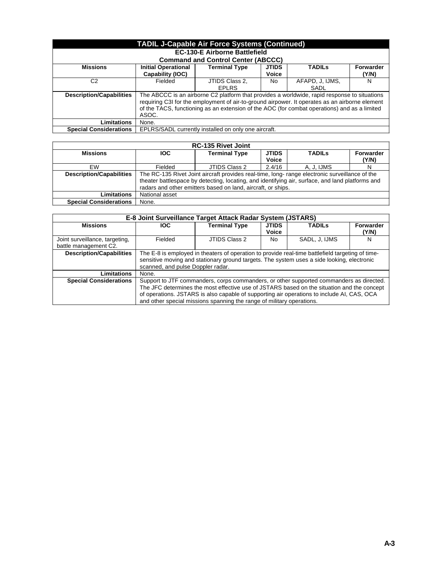| <b>TADIL J-Capable Air Force Systems (Continued)</b> |                                                                                              |                                                                                                |              |                 |                  |  |
|------------------------------------------------------|----------------------------------------------------------------------------------------------|------------------------------------------------------------------------------------------------|--------------|-----------------|------------------|--|
|                                                      |                                                                                              | <b>EC-130-E Airborne Battlefield</b>                                                           |              |                 |                  |  |
|                                                      |                                                                                              | <b>Command and Control Center (ABCCC)</b>                                                      |              |                 |                  |  |
| <b>Missions</b>                                      | <b>Initial Operational</b>                                                                   | <b>Terminal Type</b>                                                                           | <b>JTIDS</b> | <b>TADILS</b>   | <b>Forwarder</b> |  |
|                                                      | Capability (IOC)                                                                             |                                                                                                | Voice        |                 | (Y/N)            |  |
| C2                                                   | Fielded                                                                                      | JTIDS Class 2,                                                                                 | No.          | AFAPD, J, IJMS, | N                |  |
|                                                      |                                                                                              | <b>EPLRS</b>                                                                                   |              | SADL            |                  |  |
| <b>Description/Capabilities</b>                      |                                                                                              | The ABCCC is an airborne C2 platform that provides a worldwide, rapid response to situations   |              |                 |                  |  |
|                                                      |                                                                                              | requiring C3I for the employment of air-to-ground airpower. It operates as an airborne element |              |                 |                  |  |
|                                                      | of the TACS, functioning as an extension of the AOC (for combat operations) and as a limited |                                                                                                |              |                 |                  |  |
|                                                      | ASOC.                                                                                        |                                                                                                |              |                 |                  |  |
| <b>Limitations</b>                                   | None.                                                                                        |                                                                                                |              |                 |                  |  |
| <b>Special Considerations</b>                        |                                                                                              | EPLRS/SADL currently installed on only one aircraft.                                           |              |                 |                  |  |

| <b>RC-135 Rivet Joint</b>       |                                                                                                                                                                                                                                                                    |                      |                       |               |                    |  |  |
|---------------------------------|--------------------------------------------------------------------------------------------------------------------------------------------------------------------------------------------------------------------------------------------------------------------|----------------------|-----------------------|---------------|--------------------|--|--|
| <b>Missions</b>                 | <b>IOC</b>                                                                                                                                                                                                                                                         | <b>Terminal Type</b> | <b>JTIDS</b><br>Voice | <b>TADILS</b> | Forwarder<br>(Y/N) |  |  |
|                                 |                                                                                                                                                                                                                                                                    |                      |                       |               |                    |  |  |
| EW                              | Fielded                                                                                                                                                                                                                                                            | JTIDS Class 2        | 2.4/16                | A. J. IJMS    | N                  |  |  |
| <b>Description/Capabilities</b> | The RC-135 Rivet Joint aircraft provides real-time, long- range electronic surveillance of the<br>theater battlespace by detecting, locating, and identifying air, surface, and land platforms and<br>radars and other emitters based on land, aircraft, or ships. |                      |                       |               |                    |  |  |
| Limitations                     | National asset                                                                                                                                                                                                                                                     |                      |                       |               |                    |  |  |
| <b>Special Considerations</b>   | None.                                                                                                                                                                                                                                                              |                      |                       |               |                    |  |  |

| E-8 Joint Surveillance Target Attack Radar System (JSTARS) |            |                                                                                                                                                                                                                                                                                                                                                              |                              |               |                    |  |  |
|------------------------------------------------------------|------------|--------------------------------------------------------------------------------------------------------------------------------------------------------------------------------------------------------------------------------------------------------------------------------------------------------------------------------------------------------------|------------------------------|---------------|--------------------|--|--|
| <b>Missions</b>                                            | <b>IOC</b> | <b>Terminal Type</b>                                                                                                                                                                                                                                                                                                                                         | <b>JTIDS</b><br><b>Voice</b> | <b>TADILS</b> | Forwarder<br>(Y/N) |  |  |
| Joint surveillance, targeting,<br>battle management C2.    | Fielded    | JTIDS Class 2                                                                                                                                                                                                                                                                                                                                                | No.                          | SADL, J, IJMS | N                  |  |  |
| <b>Description/Capabilities</b>                            |            | The E-8 is employed in theaters of operation to provide real-time battlefield targeting of time-<br>sensitive moving and stationary ground targets. The system uses a side looking, electronic<br>scanned, and pulse Doppler radar.                                                                                                                          |                              |               |                    |  |  |
| Limitations                                                | None.      |                                                                                                                                                                                                                                                                                                                                                              |                              |               |                    |  |  |
| <b>Special Considerations</b>                              |            | Support to JTF commanders, corps commanders, or other supported commanders as directed.<br>The JFC determines the most effective use of JSTARS based on the situation and the concept<br>of operations. JSTARS is also capable of supporting air operations to include AI, CAS, OCA<br>and other special missions spanning the range of military operations. |                              |               |                    |  |  |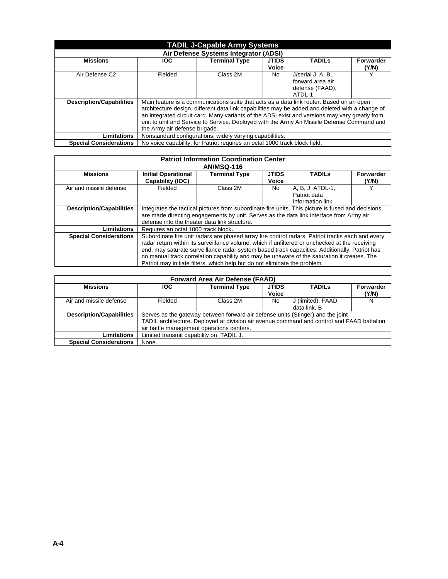| <b>TADIL J-Capable Army Systems</b>   |            |                                                                                                 |              |                   |                  |  |  |  |  |
|---------------------------------------|------------|-------------------------------------------------------------------------------------------------|--------------|-------------------|------------------|--|--|--|--|
| Air Defense Systems Integrator (ADSI) |            |                                                                                                 |              |                   |                  |  |  |  |  |
| <b>Missions</b>                       | <b>IOC</b> | <b>Terminal Type</b>                                                                            | <b>JTIDS</b> | <b>TADILS</b>     | <b>Forwarder</b> |  |  |  |  |
|                                       |            |                                                                                                 | Voice        |                   | (Y/N)            |  |  |  |  |
| Air Defense C <sub>2</sub>            | Fielded    | Class 2M                                                                                        | No.          | J/serial J, A, B, | $\check{ }$      |  |  |  |  |
|                                       |            |                                                                                                 |              | forward area air  |                  |  |  |  |  |
|                                       |            |                                                                                                 |              | defense (FAAD),   |                  |  |  |  |  |
|                                       |            |                                                                                                 |              | ATDI-1            |                  |  |  |  |  |
| <b>Description/Capabilities</b>       |            | Main feature is a communications suite that acts as a data link router. Based on an open        |              |                   |                  |  |  |  |  |
|                                       |            | architecture design, different data link capabilities may be added and deleted with a change of |              |                   |                  |  |  |  |  |
|                                       |            | an integrated circuit card. Many variants of the ADSI exist and versions may vary greatly from  |              |                   |                  |  |  |  |  |
|                                       |            | unit to unit and Service to Service. Deployed with the Army Air Missile Defense Command and     |              |                   |                  |  |  |  |  |
|                                       |            | the Army air defense brigade.                                                                   |              |                   |                  |  |  |  |  |
| Limitations                           |            | Nonstandard configurations, widely varying capabilities.                                        |              |                   |                  |  |  |  |  |
| <b>Special Considerations</b>         |            | No voice capability; for Patriot requires an octal 1000 track block field.                      |              |                   |                  |  |  |  |  |

| <b>Patriot Information Coordination Center</b><br><b>AN/MSQ-116</b> |                                                |                                                                                                                                                                                                                                                                                                                                                                                                                                                                                  |                              |                                                      |                    |  |  |  |
|---------------------------------------------------------------------|------------------------------------------------|----------------------------------------------------------------------------------------------------------------------------------------------------------------------------------------------------------------------------------------------------------------------------------------------------------------------------------------------------------------------------------------------------------------------------------------------------------------------------------|------------------------------|------------------------------------------------------|--------------------|--|--|--|
| <b>Missions</b>                                                     | <b>Initial Operational</b><br>Capability (IOC) | <b>Terminal Type</b>                                                                                                                                                                                                                                                                                                                                                                                                                                                             | <b>JTIDS</b><br><b>Voice</b> | <b>TADILS</b>                                        | Forwarder<br>(Y/N) |  |  |  |
| Air and missile defense                                             | Fielded                                        | Class 2M                                                                                                                                                                                                                                                                                                                                                                                                                                                                         | No.                          | A, B, J, ATDL-1,<br>Patriot data<br>information link | $\checkmark$       |  |  |  |
| <b>Description/Capabilities</b>                                     |                                                | Integrates the tactical pictures from subordinate fire units. This picture is fused and decisions<br>are made directing engagements by unit. Serves as the data link interface from Army air<br>defense into the theater data link structure.                                                                                                                                                                                                                                    |                              |                                                      |                    |  |  |  |
| Limitations                                                         | Requires an octal 1000 track block.            |                                                                                                                                                                                                                                                                                                                                                                                                                                                                                  |                              |                                                      |                    |  |  |  |
| <b>Special Considerations</b>                                       |                                                | Subordinate fire unit radars are phased array fire control radars. Patriot tracks each and every<br>radar return within its surveillance volume, which if unfiltered or unchecked at the receiving<br>end, may saturate surveillance radar system based track capacities. Additionally, Patriot has<br>no manual track correlation capability and may be unaware of the saturation it creates. The<br>Patriot may initiate filters, which help but do not eliminate the problem. |                              |                                                      |                    |  |  |  |

| <b>Forward Area Air Defense (FAAD)</b> |            |                                                                                                                                                                                                                            |                              |                                   |                    |  |  |  |  |
|----------------------------------------|------------|----------------------------------------------------------------------------------------------------------------------------------------------------------------------------------------------------------------------------|------------------------------|-----------------------------------|--------------------|--|--|--|--|
| <b>Missions</b>                        | <b>IOC</b> | <b>Terminal Type</b>                                                                                                                                                                                                       | <b>JTIDS</b><br><b>Voice</b> | <b>TADILS</b>                     | Forwarder<br>(Y/N) |  |  |  |  |
| Air and missile defense                | Fielded    | Class 2M                                                                                                                                                                                                                   | No                           | J (limited), FAAD<br>data link. B | N                  |  |  |  |  |
| <b>Description/Capabilities</b>        |            | Serves as the gateway between forward air defense units (Stinger) and the joint<br>TADIL architecture. Deployed at division air avenue command and control and FAAD battalion<br>air battle management operations centers. |                              |                                   |                    |  |  |  |  |
| <b>Limitations</b>                     |            | Limited transmit capability on TADIL J.                                                                                                                                                                                    |                              |                                   |                    |  |  |  |  |
| <b>Special Considerations</b>          | None.      |                                                                                                                                                                                                                            |                              |                                   |                    |  |  |  |  |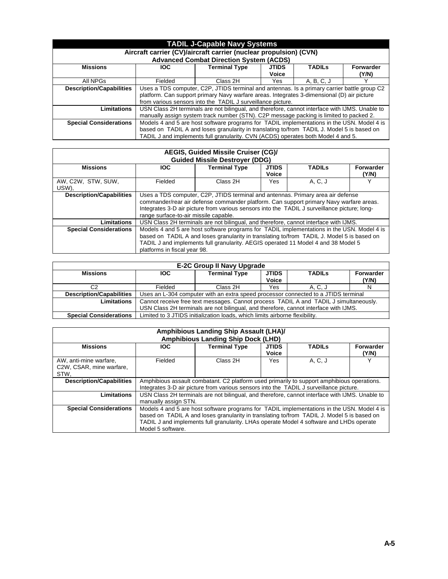| <b>TADIL J-Capable Navy Systems</b>                                                                                 |            |                                                                                                                                                                                                                                                                              |                              |               |                    |  |  |  |
|---------------------------------------------------------------------------------------------------------------------|------------|------------------------------------------------------------------------------------------------------------------------------------------------------------------------------------------------------------------------------------------------------------------------------|------------------------------|---------------|--------------------|--|--|--|
| Aircraft carrier (CV)/aircraft carrier (nuclear propulsion) (CVN)<br><b>Advanced Combat Direction System (ACDS)</b> |            |                                                                                                                                                                                                                                                                              |                              |               |                    |  |  |  |
| <b>Missions</b>                                                                                                     | <b>IOC</b> | <b>Terminal Type</b>                                                                                                                                                                                                                                                         | <b>JTIDS</b><br><b>Voice</b> | <b>TADILS</b> | Forwarder<br>(Y/N) |  |  |  |
| All NPGs                                                                                                            | Fielded    | Class 2H                                                                                                                                                                                                                                                                     | Yes.                         | A, B, C, J    |                    |  |  |  |
| <b>Description/Capabilities</b>                                                                                     |            | Uses a TDS computer, C2P, JTIDS terminal and antennas. Is a primary carrier battle group C2<br>platform. Can support primary Navy warfare areas. Integrates 3-dimensional (D) air picture<br>from various sensors into the TADIL J surveillance picture.                     |                              |               |                    |  |  |  |
| <b>Limitations</b>                                                                                                  |            | USN Class 2H terminals are not bilingual, and therefore, cannot interface with IJMS. Unable to<br>manually assign system track number (STN). C2P message packing is limited to packed 2.                                                                                     |                              |               |                    |  |  |  |
| <b>Special Considerations</b>                                                                                       |            | Models 4 and 5 are host software programs for TADIL implementations in the USN. Model 4 is<br>based on TADIL A and loses granularity in translating to/from TADIL J. Model 5 is based on<br>TADIL J and implements full granularity. CVN (ACDS) operates both Model 4 and 5. |                              |               |                    |  |  |  |

| AEGIS, Guided Missile Cruiser (CG)/<br><b>Guided Missile Destroyer (DDG)</b> |                              |                                                                                                                                                                                                                                                                                                                    |                       |               |                    |  |  |  |
|------------------------------------------------------------------------------|------------------------------|--------------------------------------------------------------------------------------------------------------------------------------------------------------------------------------------------------------------------------------------------------------------------------------------------------------------|-----------------------|---------------|--------------------|--|--|--|
| <b>Missions</b>                                                              | <b>IOC</b>                   | <b>Terminal Type</b>                                                                                                                                                                                                                                                                                               | <b>JTIDS</b><br>Voice | <b>TADILS</b> | Forwarder<br>(Y/N) |  |  |  |
| AW, C2W, STW, SUW,<br>USW),                                                  | Fielded                      | A, C, J<br>Class 2H<br>Yes.                                                                                                                                                                                                                                                                                        |                       |               |                    |  |  |  |
| <b>Description/Capabilities</b>                                              |                              | Uses a TDS computer, C2P, JTIDS terminal and antennas. Primary area air defense<br>commander/rear air defense commander platform. Can support primary Navy warfare areas.<br>Integrates 3-D air picture from various sensors into the TADIL J surveillance picture; long-<br>range surface-to-air missile capable. |                       |               |                    |  |  |  |
| <b>Limitations</b>                                                           |                              | USN Class 2H terminals are not bilingual, and therefore, cannot interface with IJMS.                                                                                                                                                                                                                               |                       |               |                    |  |  |  |
| <b>Special Considerations</b>                                                | platforms in fiscal year 98. | Models 4 and 5 are host software programs for TADIL implementations in the USN. Model 4 is<br>based on TADIL A and loses granularity in translating to/from TADIL J. Model 5 is based on<br>TADIL J and implements full granularity. AEGIS operated 11 Model 4 and 38 Model 5                                      |                       |               |                    |  |  |  |

| <b>E-2C Group II Navy Upgrade</b> |            |                                                                                       |              |               |           |  |  |  |
|-----------------------------------|------------|---------------------------------------------------------------------------------------|--------------|---------------|-----------|--|--|--|
| <b>Missions</b>                   | <b>IOC</b> | <b>Terminal Type</b>                                                                  | <b>JTIDS</b> | <b>TADILS</b> | Forwarder |  |  |  |
|                                   |            |                                                                                       | <b>Voice</b> |               | (Y/N)     |  |  |  |
| C2                                | Fielded    | Class 2H                                                                              | Yes          | A. C. J       |           |  |  |  |
| <b>Description/Capabilities</b>   |            | Uses an L-304 computer with an extra speed processor connected to a JTIDS terminal    |              |               |           |  |  |  |
| <b>Limitations</b>                |            | Cannot receive free text messages. Cannot process TADIL A and TADIL J simultaneously. |              |               |           |  |  |  |
|                                   |            | USN Class 2H terminals are not bilingual, and therefore, cannot interface with IJMS.  |              |               |           |  |  |  |
| <b>Special Considerations</b>     |            | Limited to 3 JTIDS initialization loads, which limits airborne flexibility.           |              |               |           |  |  |  |

| <b>Amphibious Landing Ship Assault (LHA)/</b><br><b>Amphibious Landing Ship Dock (LHD)</b> |                                                                                                                                                                                                                                                                                                          |                                                                                                                                                                                      |                       |               |                    |  |  |  |
|--------------------------------------------------------------------------------------------|----------------------------------------------------------------------------------------------------------------------------------------------------------------------------------------------------------------------------------------------------------------------------------------------------------|--------------------------------------------------------------------------------------------------------------------------------------------------------------------------------------|-----------------------|---------------|--------------------|--|--|--|
| <b>Missions</b>                                                                            | <b>IOC</b>                                                                                                                                                                                                                                                                                               | <b>Terminal Type</b>                                                                                                                                                                 | <b>JTIDS</b><br>Voice | <b>TADILS</b> | Forwarder<br>(Y/N) |  |  |  |
| AW, anti-mine warfare,<br>C2W, CSAR, mine warfare,<br>STW.                                 | Fielded                                                                                                                                                                                                                                                                                                  | A. C. J<br>v<br>Class 2H<br>Yes                                                                                                                                                      |                       |               |                    |  |  |  |
| <b>Description/Capabilities</b>                                                            |                                                                                                                                                                                                                                                                                                          | Amphibious assault combatant. C2 platform used primarily to support amphibious operations.<br>Integrates 3-D air picture from various sensors into the TADIL J surveillance picture. |                       |               |                    |  |  |  |
| Limitations                                                                                | manually assign STN.                                                                                                                                                                                                                                                                                     | USN Class 2H terminals are not bilingual, and therefore, cannot interface with IJMS. Unable to                                                                                       |                       |               |                    |  |  |  |
| <b>Special Considerations</b>                                                              | Models 4 and 5 are host software programs for TADIL implementations in the USN. Model 4 is<br>based on TADIL A and loses granularity in translating to/from TADIL J. Model 5 is based on<br>TADIL J and implements full granularity. LHAs operate Model 4 software and LHDs operate<br>Model 5 software. |                                                                                                                                                                                      |                       |               |                    |  |  |  |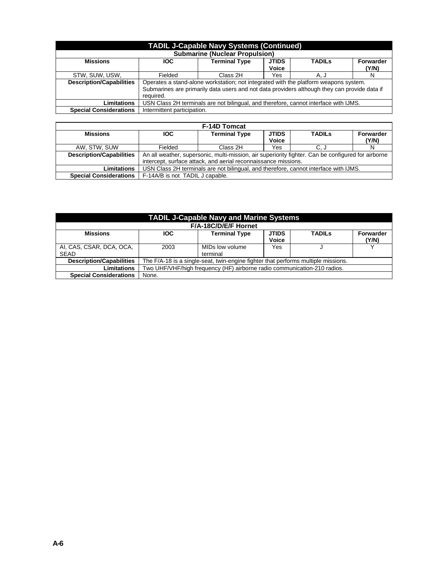| <b>TADIL J-Capable Navy Systems (Continued)</b> |                                                                                                           |                                                                                                                                                                                      |     |      |   |  |  |  |
|-------------------------------------------------|-----------------------------------------------------------------------------------------------------------|--------------------------------------------------------------------------------------------------------------------------------------------------------------------------------------|-----|------|---|--|--|--|
| <b>Submarine (Nuclear Propulsion)</b>           |                                                                                                           |                                                                                                                                                                                      |     |      |   |  |  |  |
| <b>Missions</b>                                 | <b>JTIDS</b><br><b>Terminal Type</b><br>Forwarder<br><b>TADILS</b><br><b>IOC</b><br><b>Voice</b><br>(Y/N) |                                                                                                                                                                                      |     |      |   |  |  |  |
| STW, SUW, USW,                                  | Fielded                                                                                                   | Class 2H                                                                                                                                                                             | Yes | A, J | N |  |  |  |
| <b>Description/Capabilities</b>                 | required.                                                                                                 | Operates a stand-alone workstation; not integrated with the platform weapons system.<br>Submarines are primarily data users and not data providers although they can provide data if |     |      |   |  |  |  |
| <b>Limitations</b>                              |                                                                                                           | USN Class 2H terminals are not bilingual, and therefore, cannot interface with IJMS.                                                                                                 |     |      |   |  |  |  |
| <b>Special Considerations</b>                   | Intermittent participation.                                                                               |                                                                                                                                                                                      |     |      |   |  |  |  |
|                                                 |                                                                                                           |                                                                                                                                                                                      |     |      |   |  |  |  |

| <b>F-14D Tomcat</b>             |                                 |                                                                                                    |                              |               |                    |  |  |  |
|---------------------------------|---------------------------------|----------------------------------------------------------------------------------------------------|------------------------------|---------------|--------------------|--|--|--|
| <b>Missions</b>                 | <b>IOC</b>                      | <b>Terminal Type</b>                                                                               | <b>JTIDS</b><br><b>Voice</b> | <b>TADILS</b> | Forwarder<br>(Y/N) |  |  |  |
| AW. STW. SUW                    | Fielded                         | Class 2H                                                                                           | Yes                          | C. J          |                    |  |  |  |
| <b>Description/Capabilities</b> |                                 | An all weather, supersonic, multi-mission, air superiority fighter. Can be configured for airborne |                              |               |                    |  |  |  |
|                                 |                                 | intercept, surface attack, and aerial reconnaissance missions.                                     |                              |               |                    |  |  |  |
| Limitations                     |                                 | USN Class 2H terminals are not bilingual, and therefore, cannot interface with IJMS.               |                              |               |                    |  |  |  |
| <b>Special Considerations</b>   | F-14A/B is not TADIL J capable. |                                                                                                    |                              |               |                    |  |  |  |

| <b>TADIL J-Capable Navy and Marine Systems</b> |                      |                                                                                   |                  |  |       |  |  |  |  |  |
|------------------------------------------------|----------------------|-----------------------------------------------------------------------------------|------------------|--|-------|--|--|--|--|--|
|                                                | F/A-18C/D/E/F Hornet |                                                                                   |                  |  |       |  |  |  |  |  |
| <b>Missions</b>                                | <b>IOC</b>           | <b>TADILS</b>                                                                     | <b>Forwarder</b> |  |       |  |  |  |  |  |
|                                                |                      |                                                                                   | Voice            |  | (Y/N) |  |  |  |  |  |
| AI, CAS, CSAR, DCA, OCA,                       | 2003                 | MIDs low volume                                                                   | Yes              |  |       |  |  |  |  |  |
| <b>SEAD</b>                                    |                      | terminal                                                                          |                  |  |       |  |  |  |  |  |
| <b>Description/Capabilities</b>                |                      | The F/A-18 is a single-seat, twin-engine fighter that performs multiple missions. |                  |  |       |  |  |  |  |  |
| <b>Limitations</b>                             |                      | Two UHF/VHF/high frequency (HF) airborne radio communication-210 radios.          |                  |  |       |  |  |  |  |  |
| <b>Special Considerations</b>                  | None.                |                                                                                   |                  |  |       |  |  |  |  |  |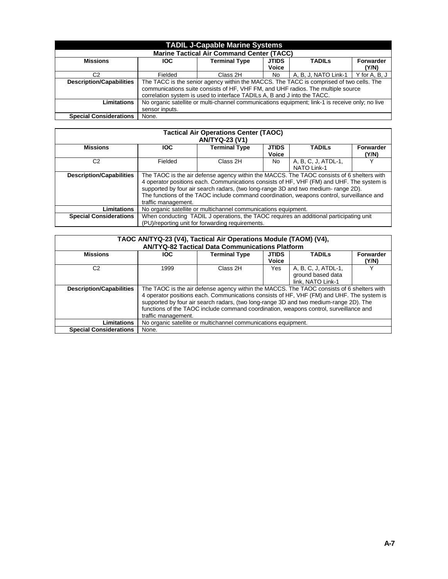| <b>TADIL J-Capable Marine Systems</b>            |                |                                                                                                 |              |                      |               |  |  |  |
|--------------------------------------------------|----------------|-------------------------------------------------------------------------------------------------|--------------|----------------------|---------------|--|--|--|
| <b>Marine Tactical Air Command Center (TACC)</b> |                |                                                                                                 |              |                      |               |  |  |  |
| <b>Missions</b>                                  | <b>IOC</b>     | <b>Terminal Type</b>                                                                            | <b>JTIDS</b> | <b>TADILS</b>        | Forwarder     |  |  |  |
|                                                  |                |                                                                                                 | <b>Voice</b> |                      | (Y/N)         |  |  |  |
| C2                                               | Fielded        | Class 2H                                                                                        | No           | A, B, J, NATO Link-1 | Y for A, B, J |  |  |  |
| <b>Description/Capabilities</b>                  |                | The TACC is the senior agency within the MACCS. The TACC is comprised of two cells. The         |              |                      |               |  |  |  |
|                                                  |                | communications suite consists of HF, VHF FM, and UHF radios. The multiple source                |              |                      |               |  |  |  |
|                                                  |                | correlation system is used to interface TADILs A, B and J into the TACC.                        |              |                      |               |  |  |  |
| Limitations                                      |                | No organic satellite or multi-channel communications equipment; link-1 is receive only; no live |              |                      |               |  |  |  |
|                                                  | sensor inputs. |                                                                                                 |              |                      |               |  |  |  |
| <b>Special Considerations</b>                    | None.          |                                                                                                 |              |                      |               |  |  |  |

| <b>Tactical Air Operations Center (TAOC)</b><br><b>AN/TYQ-23 (V1)</b> |                     |                                                                                                                                                                                                                                                                                                                                                                           |                              |                                           |                           |  |  |  |
|-----------------------------------------------------------------------|---------------------|---------------------------------------------------------------------------------------------------------------------------------------------------------------------------------------------------------------------------------------------------------------------------------------------------------------------------------------------------------------------------|------------------------------|-------------------------------------------|---------------------------|--|--|--|
| <b>Missions</b>                                                       | <b>IOC</b>          | <b>Terminal Type</b>                                                                                                                                                                                                                                                                                                                                                      | <b>JTIDS</b><br><b>Voice</b> | <b>TADILS</b>                             | <b>Forwarder</b><br>(Y/N) |  |  |  |
| C2                                                                    | Fielded             | Class 2H                                                                                                                                                                                                                                                                                                                                                                  | No.                          | A, B, C, J, ATDL-1,<br><b>NATO Link-1</b> |                           |  |  |  |
| <b>Description/Capabilities</b>                                       | traffic management. | The TAOC is the air defense agency within the MACCS. The TAOC consists of 6 shelters with<br>4 operator positions each. Communications consists of HF, VHF (FM) and UHF. The system is<br>supported by four air search radars, (two long-range 3D and two medium- range 2D).<br>The functions of the TAOC include command coordination, weapons control, surveillance and |                              |                                           |                           |  |  |  |
| <b>Limitations</b>                                                    |                     | No organic satellite or multichannel communications equipment.                                                                                                                                                                                                                                                                                                            |                              |                                           |                           |  |  |  |
| <b>Special Considerations</b>                                         |                     | When conducting TADIL J operations, the TAOC requires an additional participating unit<br>(PU)/reporting unit for forwarding requirements.                                                                                                                                                                                                                                |                              |                                           |                           |  |  |  |

| TAOC AN/TYQ-23 (V4), Tactical Air Operations Module (TAOM) (V4), |                                                                                           |                                                        |              |                     |                  |
|------------------------------------------------------------------|-------------------------------------------------------------------------------------------|--------------------------------------------------------|--------------|---------------------|------------------|
|                                                                  |                                                                                           | <b>AN/TYQ-82 Tactical Data Communications Platform</b> |              |                     |                  |
| <b>Missions</b>                                                  | <b>JTIDS</b><br><b>IOC</b><br><b>Terminal Type</b><br><b>TADILS</b>                       |                                                        |              |                     | <b>Forwarder</b> |
|                                                                  |                                                                                           |                                                        | <b>Voice</b> |                     | (Y/N)            |
| C2                                                               | 1999                                                                                      | Class 2H                                               | Yes          | A, B, C, J, ATDL-1. |                  |
|                                                                  |                                                                                           |                                                        |              | ground based data   |                  |
|                                                                  |                                                                                           |                                                        |              | link. NATO Link-1   |                  |
| <b>Description/Capabilities</b>                                  | The TAOC is the air defense agency within the MACCS. The TAOC consists of 6 shelters with |                                                        |              |                     |                  |
|                                                                  | 4 operator positions each. Communications consists of HF, VHF (FM) and UHF. The system is |                                                        |              |                     |                  |
|                                                                  | supported by four air search radars, (two long-range 3D and two medium-range 2D). The     |                                                        |              |                     |                  |
|                                                                  | functions of the TAOC include command coordination, weapons control, surveillance and     |                                                        |              |                     |                  |
|                                                                  | traffic management.                                                                       |                                                        |              |                     |                  |
| Limitations                                                      | No organic satellite or multichannel communications equipment.                            |                                                        |              |                     |                  |
| <b>Special Considerations</b>                                    | None.                                                                                     |                                                        |              |                     |                  |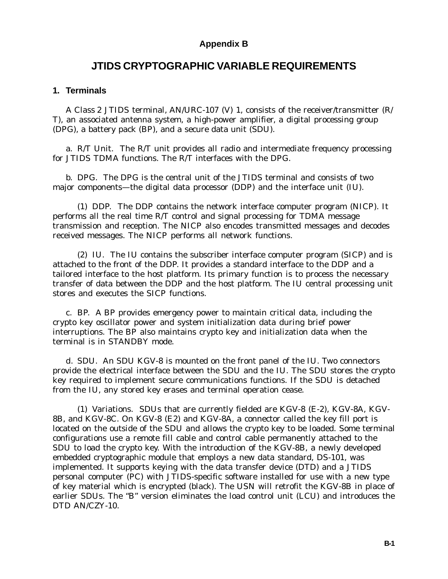## **Appendix B**

## **JTIDS CRYPTOGRAPHIC VARIABLE REQUIREMENTS**

### **1. Terminals**

A Class 2 JTIDS terminal, AN/URC-107 (V) 1, consists of the receiver/transmitter (R/ T), an associated antenna system, a high-power amplifier, a digital processing group (DPG), a battery pack (BP), and a secure data unit (SDU).

a. R/T Unit. The R/T unit provides all radio and intermediate frequency processing for JTIDS TDMA functions. The R/T interfaces with the DPG.

b. DPG. The DPG is the central unit of the JTIDS terminal and consists of two major components—the digital data processor (DDP) and the interface unit (IU).

(1) DDP. The DDP contains the network interface computer program (NICP). It performs all the real time R/T control and signal processing for TDMA message transmission and reception. The NICP also encodes transmitted messages and decodes received messages. The NICP performs all network functions.

(2) IU. The IU contains the subscriber interface computer program (SICP) and is attached to the front of the DDP. It provides a standard interface to the DDP and a tailored interface to the host platform. Its primary function is to process the necessary transfer of data between the DDP and the host platform. The IU central processing unit stores and executes the SICP functions.

c. BP. A BP provides emergency power to maintain critical data, including the crypto key oscillator power and system initialization data during brief power interruptions. The BP also maintains crypto key and initialization data when the terminal is in STANDBY mode.

d. SDU. An SDU KGV-8 is mounted on the front panel of the IU. Two connectors provide the electrical interface between the SDU and the IU. The SDU stores the crypto key required to implement secure communications functions. If the SDU is detached from the IU, any stored key erases and terminal operation cease.

(1) Variations. SDUs that are currently fielded are KGV-8 (E-2), KGV-8A, KGV-8B, and KGV-8C. On KGV-8 (E2) and KGV-8A, a connector called the key fill port is located on the outside of the SDU and allows the crypto key to be loaded. Some terminal configurations use a remote fill cable and control cable permanently attached to the SDU to load the crypto key. With the introduction of the KGV-8B, a newly developed embedded cryptographic module that employs a new data standard, DS-101, was implemented. It supports keying with the data transfer device (DTD) and a JTIDS personal computer (PC) with JTIDS-specific software installed for use with a new type of key material which is encrypted (black). The USN will retrofit the KGV-8B in place of earlier SDUs. The "B" version eliminates the load control unit (LCU) and introduces the DTD AN/CZY-10.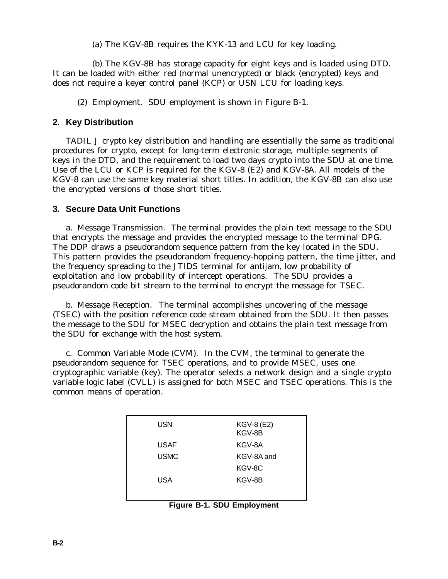(a) The KGV-8B requires the KYK-13 and LCU for key loading.

(b) The KGV-8B has storage capacity for eight keys and is loaded using DTD. It can be loaded with either red (normal unencrypted) or black (encrypted) keys and does not require a keyer control panel (KCP) or USN LCU for loading keys.

(2) Employment. SDU employment is shown in Figure B-1.

## **2. Key Distribution**

TADIL J crypto key distribution and handling are essentially the same as traditional procedures for crypto, except for long-term electronic storage, multiple segments of keys in the DTD, and the requirement to load two days crypto into the SDU at one time. Use of the LCU or KCP is required for the KGV-8 (E2) and KGV-8A. All models of the KGV-8 can use the same key material short titles. In addition, the KGV-8B can also use the encrypted versions of those short titles.

## **3. Secure Data Unit Functions**

a. Message Transmission. The terminal provides the plain text message to the SDU that encrypts the message and provides the encrypted message to the terminal DPG. The DDP draws a pseudorandom sequence pattern from the key located in the SDU. This pattern provides the pseudorandom frequency-hopping pattern, the time jitter, and the frequency spreading to the JTIDS terminal for antijam, low probability of exploitation and low probability of intercept operations. The SDU provides a pseudorandom code bit stream to the terminal to encrypt the message for TSEC.

b. Message Reception. The terminal accomplishes uncovering of the message (TSEC) with the position reference code stream obtained from the SDU. It then passes the message to the SDU for MSEC decryption and obtains the plain text message from the SDU for exchange with the host system.

c. Common Variable Mode (CVM). In the CVM, the terminal to generate the pseudorandom sequence for TSEC operations, and to provide MSEC, uses one cryptographic variable (key). The operator selects a network design and a single crypto variable logic label (CVLL) is assigned for both MSEC and TSEC operations. This is the common means of operation.

| <b>USN</b>  | <b>KGV-8 (E2)</b><br>KGV-8B |
|-------------|-----------------------------|
| <b>USAF</b> | KGV-8A                      |
| <b>USMC</b> | KGV-8A and                  |
|             | KGV-8C                      |
| <b>USA</b>  | KGV-8B                      |
|             |                             |

**Figure B-1. SDU Employment**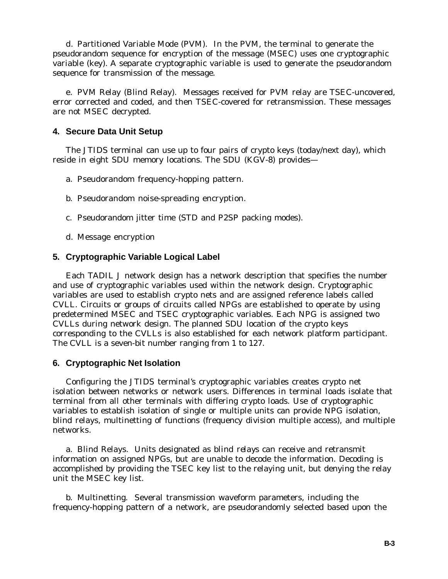d. Partitioned Variable Mode (PVM). In the PVM, the terminal to generate the pseudorandom sequence for encryption of the message (MSEC) uses one cryptographic variable (key). A separate cryptographic variable is used to generate the pseudorandom sequence for transmission of the message.

e. PVM Relay (Blind Relay). Messages received for PVM relay are TSEC-uncovered, error corrected and coded, and then TSEC-covered for retransmission. These messages are not MSEC decrypted.

### **4. Secure Data Unit Setup**

The JTIDS terminal can use up to four pairs of crypto keys (today/next day), which reside in eight SDU memory locations. The SDU (KGV-8) provides—

- a. Pseudorandom frequency-hopping pattern.
- b. Pseudorandom noise-spreading encryption.
- c. Pseudorandom jitter time (STD and P2SP packing modes).
- d. Message encryption

### **5. Cryptographic Variable Logical Label**

Each TADIL J network design has a network description that specifies the number and use of cryptographic variables used within the network design. Cryptographic variables are used to establish crypto nets and are assigned reference labels called CVLL. Circuits or groups of circuits called NPGs are established to operate by using predetermined MSEC and TSEC cryptographic variables. Each NPG is assigned two CVLLs during network design. The planned SDU location of the crypto keys corresponding to the CVLLs is also established for each network platform participant. The CVLL is a seven-bit number ranging from 1 to 127.

### **6. Cryptographic Net Isolation**

Configuring the JTIDS terminal's cryptographic variables creates crypto net isolation between networks or network users. Differences in terminal loads isolate that terminal from all other terminals with differing crypto loads. Use of cryptographic variables to establish isolation of single or multiple units can provide NPG isolation, blind relays, multinetting of functions (frequency division multiple access), and multiple networks.

a. Blind Relays. Units designated as *blind relays* can receive and retransmit information on assigned NPGs, but are unable to decode the information. Decoding is accomplished by providing the TSEC key list to the relaying unit, but denying the relay unit the MSEC key list.

b. Multinetting. Several transmission waveform parameters, including the frequency-hopping pattern of a network, are pseudorandomly selected based upon the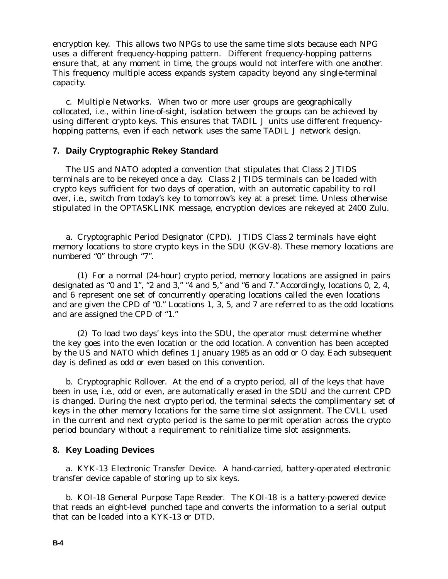encryption key. This allows two NPGs to use the same time slots because each NPG uses a different frequency-hopping pattern. Different frequency-hopping patterns ensure that, at any moment in time, the groups would not interfere with one another. This frequency multiple access expands system capacity beyond any single-terminal capacity.

c. Multiple Networks. When two or more user groups are geographically collocated, i.e., within line-of-sight, isolation between the groups can be achieved by using different crypto keys. This ensures that TADIL J units use different frequencyhopping patterns, even if each network uses the same TADIL J network design.

### **7. Daily Cryptographic Rekey Standard**

The US and NATO adopted a convention that stipulates that Class 2 JTIDS terminals are to be rekeyed once a day. Class 2 JTIDS terminals can be loaded with crypto keys sufficient for two days of operation, with an automatic capability to roll over, i.e., switch from today's key to tomorrow's key at a preset time. Unless otherwise stipulated in the OPTASKLINK message, encryption devices are rekeyed at 2400 Zulu.

a. Cryptographic Period Designator (CPD). JTIDS Class 2 terminals have eight memory locations to store crypto keys in the SDU (KGV-8). These memory locations are numbered "0" through "7".

(1) For a normal (24-hour) crypto period, memory locations are assigned in pairs designated as "0 and 1", "2 and 3," "4 and 5," and "6 and 7." Accordingly, locations 0, 2, 4, and 6 represent one set of concurrently operating locations called the even locations and are given the CPD of "0." Locations 1, 3, 5, and 7 are referred to as the odd locations and are assigned the CPD of "1."

(2) To load two days' keys into the SDU, the operator must determine whether the key goes into the even location or the odd location. A convention has been accepted by the US and NATO which defines 1 January 1985 as an odd or O day. Each subsequent day is defined as odd or even based on this convention.

b. Cryptographic Rollover. At the end of a crypto period, all of the keys that have been in use, i.e., odd or even, are automatically erased in the SDU and the current CPD is changed. During the next crypto period, the terminal selects the complimentary set of keys in the other memory locations for the same time slot assignment. The CVLL used in the current and next crypto period is the same to permit operation across the crypto period boundary without a requirement to reinitialize time slot assignments.

### **8. Key Loading Devices**

a. KYK-13 Electronic Transfer Device. A hand-carried, battery-operated electronic transfer device capable of storing up to six keys.

b. KOI-18 General Purpose Tape Reader. The KOI-18 is a battery-powered device that reads an eight-level punched tape and converts the information to a serial output that can be loaded into a KYK-13 or DTD.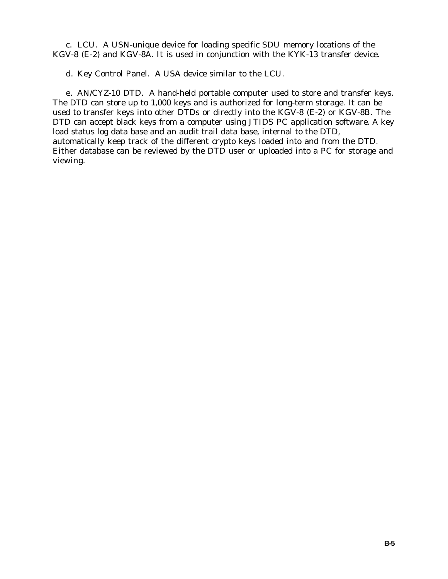c. LCU. A USN-unique device for loading specific SDU memory locations of the KGV-8 (E-2) and KGV-8A. It is used in conjunction with the KYK-13 transfer device.

d. Key Control Panel. A USA device similar to the LCU.

e. AN/CYZ-10 DTD. A hand-held portable computer used to store and transfer keys. The DTD can store up to 1,000 keys and is authorized for long-term storage. It can be used to transfer keys into other DTDs or directly into the KGV-8 (E-2) or KGV-8B. The DTD can accept black keys from a computer using JTIDS PC application software. A key load status log data base and an audit trail data base, internal to the DTD, automatically keep track of the different crypto keys loaded into and from the DTD. Either database can be reviewed by the DTD user or uploaded into a PC for storage and viewing.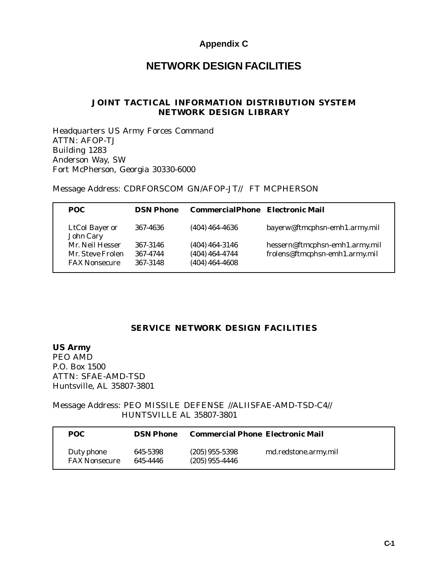## **Appendix C**

# **NETWORK DESIGN FACILITIES**

### **JOINT TACTICAL INFORMATION DISTRIBUTION SYSTEM NETWORK DESIGN LIBRARY**

Headquarters US Army Forces Command ATTN: AFOP-TJ Building 1283 Anderson Way, SW Fort McPherson, Georgia 30330-6000

Message Address: CDRFORSCOM GN/AFOP-JT// FT MCPHERSON

| POC.                        | <b>DSN Phone</b> | CommercialPhone Electronic Mail |                                |
|-----------------------------|------------------|---------------------------------|--------------------------------|
| LtCoI Bayer or<br>John Cary | 367-4636         | $(404)$ 464-4636                | bayerw@ftmcphsn-emh1.army.mil  |
| Mr. Neil Hesser             | 367-3146         | $(404)$ 464-3146                | hessern@ftmcphsn-emh1.army.mil |
| Mr. Steve Frolen            | 367-4744         | $(404)$ 464-4744                | frolens@ftmcphsn-emh1.army.mil |
| <b>FAX Nonsecure</b>        | 367-3148         | $(404)$ 464-4608                |                                |

## **SERVICE NETWORK DESIGN FACILITIES**

**US Army** PEO AMD P.O. Box 1500 ATTN: SFAE-AMD-TSD Huntsville, AL 35807-3801

Message Address: PEO MISSILE DEFENSE //ALIISFAE-AMD-TSD-C4// HUNTSVILLE AL 35807-3801

| POC.                               | <b>DSN Phone</b>     | <b>Commercial Phone Electronic Mail</b> |                      |
|------------------------------------|----------------------|-----------------------------------------|----------------------|
| Duty phone<br><b>FAX Nonsecure</b> | 645-5398<br>645-4446 | $(205)$ 955-5398<br>$(205)$ 955-4446    | md.redstone.army.mil |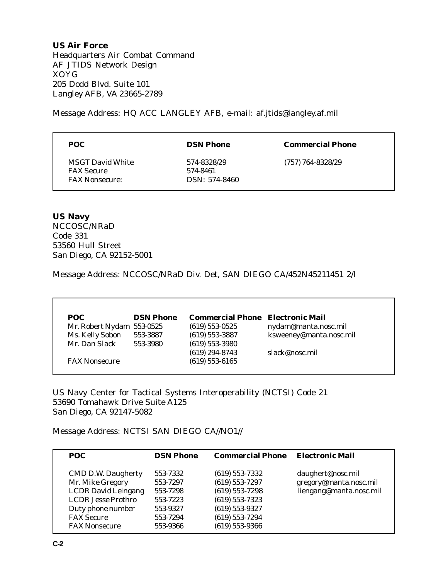**US Air Force** Headquarters Air Combat Command AF JTIDS Network Design XOYG 205 Dodd Blvd. Suite 101 Langley AFB, VA 23665-2789

Message Address: HQ ACC LANGLEY AFB, e-mail: af.jtids@langley.af.mil

| POC.                                                                  | <b>DSN Phone</b>                         | <b>Commercial Phone</b> |
|-----------------------------------------------------------------------|------------------------------------------|-------------------------|
| <b>MSGT David White</b><br><b>FAX Secure</b><br><b>FAX Nonsecure:</b> | 574-8328/29<br>574-8461<br>DSN: 574-8460 | $(757) 764 - 8328/29$   |

**US Navy** NCCOSC/NRaD Code 331 53560 Hull Street San Diego, CA 92152-5001

Message Address: NCCOSC/NRaD Div. Det, SAN DIEGO CA/452N45211451 2/I

| <b>POC</b>                | <b>DSN Phone</b> | <b>Commercial Phone</b> Electronic Mail |                         |
|---------------------------|------------------|-----------------------------------------|-------------------------|
| Mr. Robert Nydam 553-0525 |                  | $(619) 553 - 0525$                      | nydam@manta.nosc.mil    |
| Ms. Kelly Sobon           | 553-3887         | $(619) 553 - 3887$                      | ksweeney@manta.nosc.mil |
| Mr. Dan Slack             | 553-3980         | $(619) 553 - 3980$                      |                         |
|                           |                  | $(619) 294 - 8743$                      | slack@nosc.mil          |
| <b>FAX Nonsecure</b>      |                  | $(619) 553 - 6165$                      |                         |

US Navy Center for Tactical Systems Interoperability (NCTSI) Code 21 53690 Tomahawk Drive Suite A125 San Diego, CA 92147-5082

Message Address: NCTSI SAN DIEGO CA//NO1//

| POC.                                                                                                                                               | <b>DSN Phone</b>                                                     | <b>Commercial Phone</b>                                                                                                          | <b>Electronic Mail</b>                                                 |
|----------------------------------------------------------------------------------------------------------------------------------------------------|----------------------------------------------------------------------|----------------------------------------------------------------------------------------------------------------------------------|------------------------------------------------------------------------|
| <b>CMD D.W. Daugherty</b><br>Mr. Mike Gregory<br><b>LCDR David Leingang</b><br><b>LCDR</b> Jesse Prothro<br>Duty phone number<br><b>FAX Secure</b> | 553-7332<br>553-7297<br>553-7298<br>553-7223<br>553-9327<br>553-7294 | $(619) 553 - 7332$<br>$(619) 553 - 7297$<br>$(619) 553 - 7298$<br>$(619) 553 - 7323$<br>$(619) 553 - 9327$<br>$(619) 553 - 7294$ | daughert@nosc.mil<br>gregory@manta.nosc.mil<br>liengang@manta.nosc.mil |
| <b>FAX Nonsecure</b>                                                                                                                               | 553-9366                                                             | $(619) 553 - 9366$                                                                                                               |                                                                        |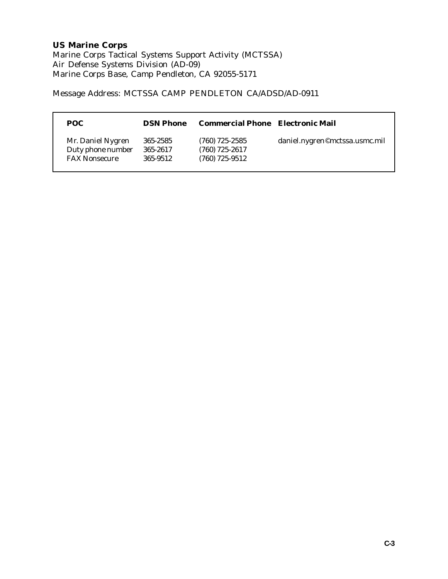# **US Marine Corps**

Marine Corps Tactical Systems Support Activity (MCTSSA) Air Defense Systems Division (AD-09) Marine Corps Base, Camp Pendleton, CA 92055-5171

Message Address: MCTSSA CAMP PENDLETON CA/ADSD/AD-0911

| POC                                                            | <b>DSN Phone</b>                 | <b>Commercial Phone</b> Electronic Mail                  |                               |
|----------------------------------------------------------------|----------------------------------|----------------------------------------------------------|-------------------------------|
| Mr. Daniel Nygren<br>Duty phone number<br><b>FAX Nonsecure</b> | 365-2585<br>365-2617<br>365-9512 | $(760)$ 725-2585<br>$(760)$ 725-2617<br>$(760)$ 725-9512 | daniel.nygren©mctssa.usmc.mil |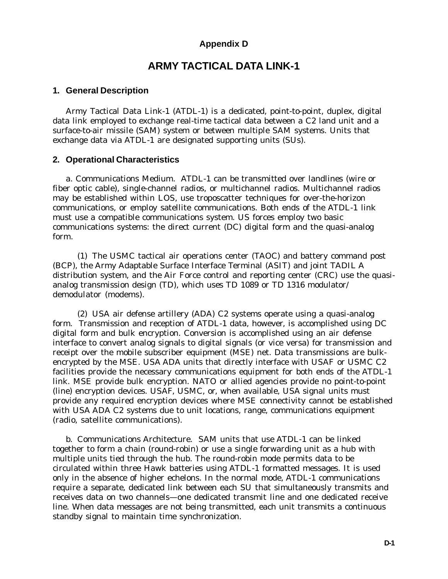## **Appendix D**

## **ARMY TACTICAL DATA LINK-1**

#### **1. General Description**

Army Tactical Data Link-1 (ATDL-1) is a dedicated, point-to-point, duplex, digital data link employed to exchange real-time tactical data between a C2 land unit and a surface-to-air missile (SAM) system or between multiple SAM systems. Units that exchange data via ATDL-1 are designated supporting units (SUs).

#### **2. Operational Characteristics**

a. Communications Medium. ATDL-1 can be transmitted over landlines (wire or fiber optic cable), single-channel radios, or multichannel radios. Multichannel radios may be established within LOS, use troposcatter techniques for over-the-horizon communications, or employ satellite communications. Both ends of the ATDL-1 link must use a compatible communications system. US forces employ two basic communications systems: the direct current (DC) digital form and the quasi-analog form.

(1) The USMC tactical air operations center (TAOC) and battery command post (BCP), the Army Adaptable Surface Interface Terminal (ASIT) and joint TADIL A distribution system, and the Air Force control and reporting center (CRC) use the quasianalog transmission design (TD), which uses TD 1089 or TD 1316 modulator/ demodulator (modems).

(2) USA air defense artillery (ADA) C2 systems operate using a quasi-analog form. Transmission and reception of ATDL-1 data, however, is accomplished using DC digital form and bulk encryption. Conversion is accomplished using an air defense interface to convert analog signals to digital signals (or vice versa) for transmission and receipt over the mobile subscriber equipment (MSE) net. Data transmissions are bulkencrypted by the MSE. USA ADA units that directly interface with USAF or USMC C2 facilities provide the necessary communications equipment for both ends of the ATDL-1 link. MSE provide bulk encryption. NATO or allied agencies provide no point-to-point (line) encryption devices. USAF, USMC, or, when available, USA signal units must provide any required encryption devices where MSE connectivity cannot be established with USA ADA C2 systems due to unit locations, range, communications equipment (radio, satellite communications).

b. Communications Architecture. SAM units that use ATDL-1 can be linked together to form a chain (round-robin) or use a single forwarding unit as a hub with multiple units tied through the hub. The round-robin mode permits data to be circulated within three Hawk batteries using ATDL-1 formatted messages. It is used only in the absence of higher echelons. In the normal mode, ATDL-1 communications require a separate, dedicated link between each SU that simultaneously transmits and receives data on two channels—one dedicated transmit line and one dedicated receive line. When data messages are not being transmitted, each unit transmits a continuous standby signal to maintain time synchronization.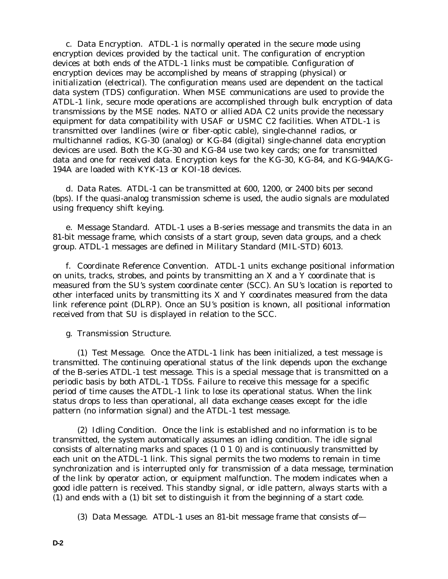c. Data Encryption. ATDL-1 is normally operated in the secure mode using encryption devices provided by the tactical unit. The configuration of encryption devices at both ends of the ATDL-1 links must be compatible. Configuration of encryption devices may be accomplished by means of *strapping* (physical) or *initialization* (electrical). The configuration means used are dependent on the tactical data system (TDS) configuration. When MSE communications are used to provide the ATDL-1 link, secure mode operations are accomplished through bulk encryption of data transmissions by the MSE nodes. NATO or allied ADA C2 units provide the necessary equipment for data compatibility with USAF or USMC C2 facilities. When ATDL-1 is transmitted over landlines (wire or fiber-optic cable), single-channel radios, or multichannel radios, KG-30 (analog) or KG-84 (digital) single-channel data encryption devices are used. Both the KG-30 and KG-84 use two key cards; one for transmitted data and one for received data. Encryption keys for the KG-30, KG-84, and KG-94A/KG-194A are loaded with KYK-13 or KOI-18 devices.

d. Data Rates. ATDL-1 can be transmitted at 600, 1200, or 2400 bits per second (bps). If the quasi-analog transmission scheme is used, the audio signals are modulated using frequency shift keying.

e. Message Standard. ATDL-1 uses a B-series message and transmits the data in an 81-bit message frame, which consists of a start group, seven data groups, and a check group. ATDL-1 messages are defined in Military Standard (MIL-STD) 6013.

f. Coordinate Reference Convention. ATDL-1 units exchange positional information on units, tracks, strobes, and points by transmitting an *X* and a *Y* coordinate that is measured from the SU's system coordinate center (SCC). An SU's location is reported to other interfaced units by transmitting its *X* and *Y* coordinates measured from the data link reference point (DLRP). Once an SU's position is known, all positional information received from that SU is displayed in relation to the SCC.

g. Transmission Structure.

(1) Test Message. Once the ATDL-1 link has been initialized, a test message is transmitted. The continuing operational status of the link depends upon the exchange of the B-series ATDL-1 test message. This is a special message that is transmitted on a periodic basis by both ATDL-1 TDSs. Failure to receive this message for a specific period of time causes the ATDL-1 link to lose its operational status. When the link status drops to less than operational, all data exchange ceases except for the idle pattern (no information signal) and the ATDL-1 test message.

(2) Idling Condition. Once the link is established and no information is to be transmitted, the system automatically assumes an idling condition. The idle signal consists of alternating marks and spaces (1 0 1 0) and is continuously transmitted by each unit on the ATDL-1 link. This signal permits the two modems to remain in time synchronization and is interrupted only for transmission of a data message, termination of the link by operator action, or equipment malfunction. The modem indicates when a good idle pattern is received. This standby signal, or idle pattern, always starts with a (1) and ends with a (1) bit set to distinguish it from the beginning of a start code.

<sup>(3)</sup> Data Message. ATDL-1 uses an 81-bit message frame that consists of—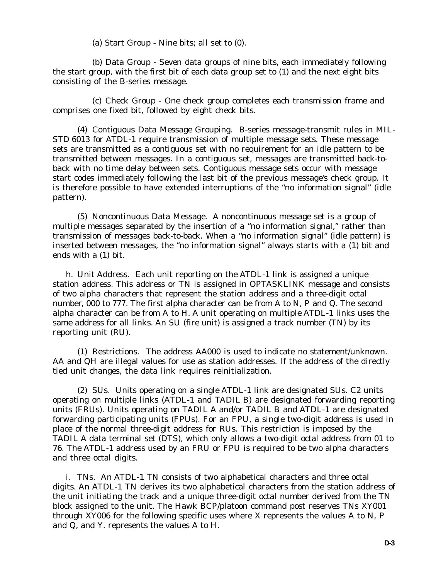(a) Start Group - Nine bits; all set to (0).

(b) Data Group - Seven data groups of nine bits, each immediately following the start group, with the first bit of each data group set to (1) and the next eight bits consisting of the B-series message.

(c) Check Group - One check group completes each transmission frame and comprises one fixed bit, followed by eight check bits.

(4) Contiguous Data Message Grouping. B-series message-transmit rules in MIL-STD 6013 for ATDL-1 require transmission of multiple message sets. These message sets are transmitted as a contiguous set with no requirement for an idle pattern to be transmitted between messages. In a contiguous set, messages are transmitted back-toback with no time delay between sets. Contiguous message sets occur with message start codes immediately following the last bit of the previous message's check group. It is therefore possible to have extended interruptions of the "no information signal" (idle pattern).

(5) Noncontinuous Data Message. A noncontinuous message set is a group of multiple messages separated by the insertion of a "no information signal," rather than transmission of messages back-to-back. When a "no information signal" (idle pattern) is inserted between messages, the "no information signal" always starts with a (1) bit and ends with a (1) bit.

h. Unit Address. Each unit reporting on the ATDL-1 link is assigned a unique station address. This address or TN is assigned in OPTASKLINK message and consists of two alpha characters that represent the station address and a three-digit octal number, 000 to 777. The first alpha character can be from *A* to *N*, *P* and *Q*. The second alpha character can be from *A* to *H*. A unit operating on multiple ATDL-1 links uses the same address for all links. An SU (fire unit) is assigned a track number (TN) by its reporting unit (RU).

(1) Restrictions. The address *AA000* is used to indicate no statement/unknown. *AA* and *QH* are illegal values for use as station addresses. If the address of the directly tied unit changes, the data link requires reinitialization.

(2) SUs. Units operating on a single ATDL-1 link are designated SUs. C2 units operating on multiple links (ATDL-1 and TADIL B) are designated forwarding reporting units (FRUs). Units operating on TADIL A and/or TADIL B and ATDL-1 are designated forwarding participating units (FPUs). For an FPU, a single two-digit address is used in place of the normal three-digit address for RUs. This restriction is imposed by the TADIL A data terminal set (DTS), which only allows a two-digit octal address from 01 to 76. The ATDL-1 address used by an FRU or FPU is required to be two alpha characters and three octal digits.

i. TNs. An ATDL-1 TN consists of two alphabetical characters and three octal digits. An ATDL-1 TN derives its two alphabetical characters from the station address of the unit initiating the track and a unique three-digit octal number derived from the TN block assigned to the unit. The Hawk BCP/platoon command post reserves TNs *XY001* through *XY006* for the following specific uses where *X* represents the values *A* to *N, P* and *Q,* and *Y.* represents the values *A* to *H*.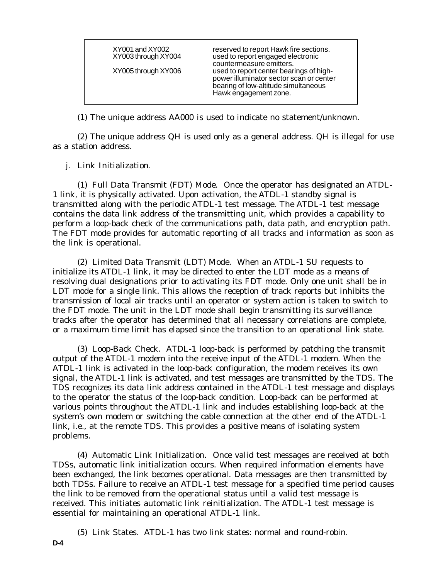XY001 and XY002 reserved to report Hawk fire sections.<br>XY003 through XY004 used to report engaged electronic used to report engaged electronic countermeasure emitters. XY005 through XY006 used to report center bearings of highpower illuminator sector scan or center bearing of low-altitude simultaneous Hawk engagement zone.

(1) The unique address *AA000* is used to indicate no statement/unknown.

(2) The unique address *QH* is used only as a general address. *QH* is illegal for use as a station address.

j. Link Initialization.

(1) Full Data Transmit (FDT) Mode. Once the operator has designated an ATDL-1 link, it is physically activated. Upon activation, the ATDL-1 standby signal is transmitted along with the periodic ATDL-1 test message. The ATDL-1 test message contains the data link address of the transmitting unit, which provides a capability to perform a loop-back check of the communications path, data path, and encryption path. The FDT mode provides for automatic reporting of all tracks and information as soon as the link is operational.

(2) Limited Data Transmit (LDT) Mode. When an ATDL-1 SU requests to initialize its ATDL-1 link, it may be directed to enter the LDT mode as a means of resolving dual designations prior to activating its FDT mode. Only one unit shall be in LDT mode for a single link. This allows the reception of track reports but inhibits the transmission of local air tracks until an operator or system action is taken to switch to the FDT mode. The unit in the LDT mode shall begin transmitting its surveillance tracks after the operator has determined that all necessary correlations are complete, or a maximum time limit has elapsed since the transition to an operational link state.

(3) Loop-Back Check. ATDL-1 loop-back is performed by patching the transmit output of the ATDL-1 modem into the receive input of the ATDL-1 modem. When the ATDL-1 link is activated in the loop-back configuration, the modem receives its own signal, the ATDL-1 link is activated, and test messages are transmitted by the TDS. The TDS recognizes its data link address contained in the ATDL-1 test message and displays to the operator the status of the loop-back condition. Loop-back can be performed at various points throughout the ATDL-1 link and includes establishing loop-back at the system's own modem or switching the cable connection at the other end of the ATDL-1 link, i.e., at the remote TDS. This provides a positive means of isolating system problems.

(4) Automatic Link Initialization. Once valid test messages are received at both TDSs, automatic link initialization occurs. When required information elements have been exchanged, the link becomes operational. Data messages are then transmitted by both TDSs. Failure to receive an ATDL-1 test message for a specified time period causes the link to be removed from the operational status until a valid test message is received. This initiates automatic link reinitialization. The ATDL-1 test message is essential for maintaining an operational ATDL-1 link.

(5) Link States. ATDL-1 has two link states: normal and round-robin.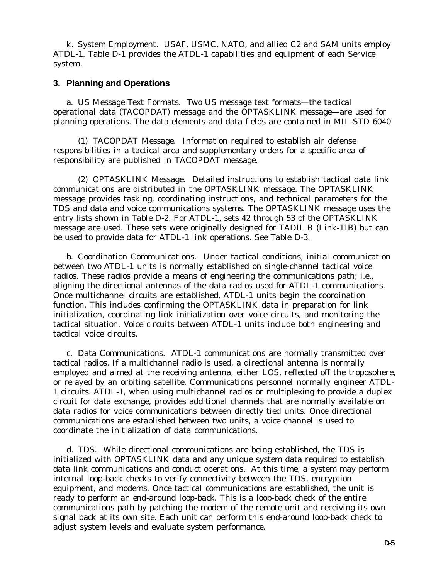k. System Employment. USAF, USMC, NATO, and allied C2 and SAM units employ ATDL-1. Table D-1 provides the ATDL-1 capabilities and equipment of each Service system.

### **3. Planning and Operations**

a. US Message Text Formats. Two US message text formats—the tactical operational data (TACOPDAT) message and the OPTASKLINK message—are used for planning operations. The data elements and data fields are contained in MIL-STD 6040

(1) TACOPDAT Message. Information required to establish air defense responsibilities in a tactical area and supplementary orders for a specific area of responsibility are published in TACOPDAT message.

(2) OPTASKLINK Message. Detailed instructions to establish tactical data link communications are distributed in the OPTASKLINK message. The OPTASKLINK message provides tasking, coordinating instructions, and technical parameters for the TDS and data and voice communications systems. The OPTASKLINK message uses the entry lists shown in Table D-2. For ATDL-1, sets 42 through 53 of the OPTASKLINK message are used. These sets were originally designed for TADIL B (Link-11B) but can be used to provide data for ATDL-1 link operations. See Table D-3.

b. Coordination Communications. Under tactical conditions, initial communication between two ATDL-1 units is normally established on single-channel tactical voice radios. These radios provide a means of engineering the communications path; i.e., aligning the directional antennas of the data radios used for ATDL-1 communications. Once multichannel circuits are established, ATDL-1 units begin the coordination function. This includes confirming the OPTASKLINK data in preparation for link initialization, coordinating link initialization over voice circuits, and monitoring the tactical situation. Voice circuits between ATDL-1 units include both engineering and tactical voice circuits.

c. Data Communications. ATDL-1 communications are normally transmitted over tactical radios. If a multichannel radio is used, a directional antenna is normally employed and aimed at the receiving antenna, either LOS, reflected off the troposphere, or relayed by an orbiting satellite. Communications personnel normally engineer ATDL-1 circuits. ATDL-1, when using multichannel radios or multiplexing to provide a duplex circuit for data exchange, provides additional channels that are normally available on data radios for voice communications between directly tied units. Once *directional* communications are established between two units, a voice channel is used to coordinate the initialization of data communications.

d. TDS. While directional communications are being established, the TDS is initialized with OPTASKLINK data and any unique system data required to establish data link communications and conduct operations. At this time, a system may perform internal loop-back checks to verify connectivity between the TDS, encryption equipment, and modems. Once tactical communications are established, the unit is ready to perform an *end-around loop-back*. This is a loop-back check of the entire communications path by patching the modem of the remote unit and receiving its own signal back at its own site. Each unit can perform this end-around loop-back check to adjust system levels and evaluate system performance.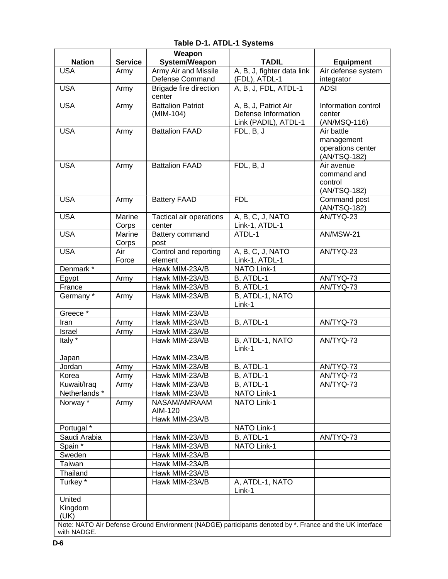|                            |                | Weapon                                  |                                                                                                          |                                  |
|----------------------------|----------------|-----------------------------------------|----------------------------------------------------------------------------------------------------------|----------------------------------|
| <b>Nation</b>              | <b>Service</b> | System/Weapon                           | <b>TADIL</b>                                                                                             | <b>Equipment</b>                 |
| <b>USA</b>                 | Army           | Army Air and Missile<br>Defense Command | A, B, J, fighter data link<br>(FDL), ATDL-1                                                              | Air defense system<br>integrator |
| <b>USA</b>                 | Army           | <b>Brigade fire direction</b>           | A, B, J, FDL, ATDL-1                                                                                     | <b>ADSI</b>                      |
|                            |                | center                                  |                                                                                                          |                                  |
| <b>USA</b>                 | Army           | <b>Battalion Patriot</b>                | A, B, J, Patriot Air                                                                                     | Information control              |
|                            |                | (MIM-104)                               | Defense Information                                                                                      | center                           |
|                            |                |                                         | Link (PADIL), ATDL-1                                                                                     | (AN/MSQ-116)                     |
| <b>USA</b>                 | Army           | <b>Battalion FAAD</b>                   | FDL, B, J                                                                                                | Air battle                       |
|                            |                |                                         |                                                                                                          | management                       |
|                            |                |                                         |                                                                                                          | operations center                |
|                            |                |                                         |                                                                                                          | (AN/TSQ-182)                     |
| <b>USA</b>                 | Army           | <b>Battalion FAAD</b>                   | FDL, B, J                                                                                                | Air avenue                       |
|                            |                |                                         |                                                                                                          | command and                      |
|                            |                |                                         |                                                                                                          | control                          |
|                            |                |                                         |                                                                                                          | (AN/TSQ-182)                     |
| <b>USA</b>                 | Army           | <b>Battery FAAD</b>                     | <b>FDL</b>                                                                                               | Command post<br>(AN/TSQ-182)     |
| <b>USA</b>                 | Marine         | Tactical air operations                 | A, B, C, J, NATO                                                                                         | AN/TYQ-23                        |
|                            | Corps          | center                                  | Link-1, ATDL-1                                                                                           |                                  |
| <b>USA</b>                 | Marine         | Battery command                         | ATDL-1                                                                                                   | AN/MSW-21                        |
|                            | Corps          | post                                    |                                                                                                          |                                  |
| <b>USA</b>                 | Air            | Control and reporting                   | A, B, C, J, NATO                                                                                         | AN/TYQ-23                        |
|                            | Force          | element                                 | Link-1, ATDL-1                                                                                           |                                  |
| Denmark*                   |                | Hawk MIM-23A/B                          | <b>NATO Link-1</b>                                                                                       |                                  |
| Egypt                      | Army           | Hawk MIM-23A/B                          | B, ATDL-1                                                                                                | AN/TYQ-73                        |
| France                     |                | Hawk MIM-23A/B                          | B, ATDL-1                                                                                                | AN/TYQ-73                        |
| Germany*                   | Army           | Hawk MIM-23A/B                          | B, ATDL-1, NATO                                                                                          |                                  |
|                            |                |                                         | Link-1                                                                                                   |                                  |
| Greece <sup>*</sup>        |                | Hawk MIM-23A/B                          |                                                                                                          |                                  |
| Iran                       | Army           | Hawk MIM-23A/B                          | B, ATDL-1                                                                                                | AN/TYQ-73                        |
| Israel                     | Army           | Hawk MIM-23A/B                          |                                                                                                          |                                  |
| Italy *                    |                | Hawk MIM-23A/B                          | B, ATDL-1, NATO                                                                                          | AN/TYQ-73                        |
|                            |                |                                         | Link-1                                                                                                   |                                  |
| Japan                      |                | Hawk MIM-23A/B                          |                                                                                                          |                                  |
| Jordan                     | Army           | Hawk MIM-23A/B                          | B, ATDL-1                                                                                                | AN/TYQ-73                        |
| Korea                      | Army           | Hawk MIM-23A/B                          | B, ATDL-1                                                                                                | AN/TYQ-73                        |
| Kuwait/Iraq                | Army           | Hawk MIM-23A/B                          | B, ATDL-1                                                                                                | AN/TYQ-73                        |
| Netherlands*               |                | Hawk MIM-23A/B                          | <b>NATO Link-1</b>                                                                                       |                                  |
| Norway *                   | Army           | NASAM/AMRAAM                            | NATO Link-1                                                                                              |                                  |
|                            |                | AIM-120                                 |                                                                                                          |                                  |
|                            |                | Hawk MIM-23A/B                          |                                                                                                          |                                  |
| Portugal *<br>Saudi Arabia |                | Hawk MIM-23A/B                          | NATO Link-1                                                                                              |                                  |
| Spain <sup>*</sup>         |                | Hawk MIM-23A/B                          | B, ATDL-1<br>NATO Link-1                                                                                 | AN/TYQ-73                        |
| Sweden                     |                | Hawk MIM-23A/B                          |                                                                                                          |                                  |
| Taiwan                     |                | Hawk MIM-23A/B                          |                                                                                                          |                                  |
| Thailand                   |                | Hawk MIM-23A/B                          |                                                                                                          |                                  |
| Turkey*                    |                | Hawk MIM-23A/B                          | A, ATDL-1, NATO                                                                                          |                                  |
|                            |                |                                         | Link-1                                                                                                   |                                  |
| United                     |                |                                         |                                                                                                          |                                  |
| Kingdom                    |                |                                         |                                                                                                          |                                  |
| (UK)                       |                |                                         |                                                                                                          |                                  |
|                            |                |                                         | Note: NATO Air Defense Ground Environment (NADGE) participants denoted by *. France and the UK interface |                                  |
| with NADGE.                |                |                                         |                                                                                                          |                                  |

**Table D-1. ATDL-1 Systems**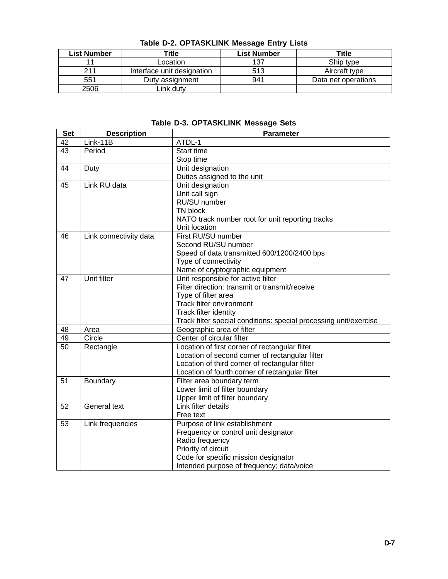| <b>List Number</b> | Title                      | <b>List Number</b> | Title               |
|--------------------|----------------------------|--------------------|---------------------|
|                    | Location                   | 137                | Ship type           |
| 211                | Interface unit designation | 513                | Aircraft type       |
| 551                | Duty assignment            | 941                | Data net operations |
| 2506               | ink dutv                   |                    |                     |

**Table D-2. OPTASKLINK Message Entry Lists**

|  |  | Table D-3. OPTASKLINK Message Sets |  |  |  |
|--|--|------------------------------------|--|--|--|
|--|--|------------------------------------|--|--|--|

| <b>Set</b> | <b>Description</b>     | <b>Parameter</b>                                                  |
|------------|------------------------|-------------------------------------------------------------------|
| 42         | $Link-11B$             | ATDL-1                                                            |
| 43         | Period                 | Start time                                                        |
|            |                        | Stop time                                                         |
| 44         | Duty                   | Unit designation                                                  |
|            |                        | Duties assigned to the unit                                       |
| 45         | Link RU data           | Unit designation                                                  |
|            |                        | Unit call sign                                                    |
|            |                        | RU/SU number                                                      |
|            |                        | TN block                                                          |
|            |                        | NATO track number root for unit reporting tracks                  |
|            |                        | Unit location                                                     |
| 46         | Link connectivity data | First RU/SU number                                                |
|            |                        | Second RU/SU number                                               |
|            |                        | Speed of data transmitted 600/1200/2400 bps                       |
|            |                        | Type of connectivity                                              |
|            |                        | Name of cryptographic equipment                                   |
| 47         | Unit filter            | Unit responsible for active filter                                |
|            |                        | Filter direction: transmit or transmit/receive                    |
|            |                        | Type of filter area                                               |
|            |                        | Track filter environment                                          |
|            |                        | Track filter identity                                             |
|            |                        | Track filter special conditions: special processing unit/exercise |
| 48         | Area                   | Geographic area of filter                                         |
| 49         | Circle                 | Center of circular filter                                         |
| 50         | Rectangle              | Location of first corner of rectangular filter                    |
|            |                        | Location of second corner of rectangular filter                   |
|            |                        | Location of third corner of rectangular filter                    |
|            |                        | Location of fourth corner of rectangular filter                   |
| 51         | Boundary               | Filter area boundary term                                         |
|            |                        | Lower limit of filter boundary                                    |
|            |                        | Upper limit of filter boundary                                    |
| 52         | <b>General text</b>    | Link filter details                                               |
|            |                        | Free text                                                         |
| 53         | Link frequencies       | Purpose of link establishment                                     |
|            |                        | Frequency or control unit designator                              |
|            |                        | Radio frequency                                                   |
|            |                        | Priority of circuit                                               |
|            |                        | Code for specific mission designator                              |
|            |                        | Intended purpose of frequency; data/voice                         |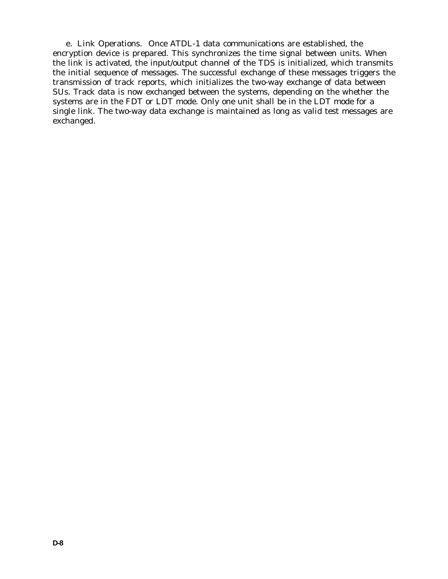e. Link Operations. Once ATDL-1 data communications are established, the encryption device is prepared. This synchronizes the time signal between units. When the link is activated, the input/output channel of the TDS is initialized, which transmits the initial sequence of messages. The successful exchange of these messages triggers the transmission of track reports, which initializes the two-way exchange of data between SUs. Track data is now exchanged between the systems, depending on the whether the systems are in the FDT or LDT mode. Only one unit shall be in the LDT mode for a single link. The two-way data exchange is maintained as long as valid test messages are exchanged.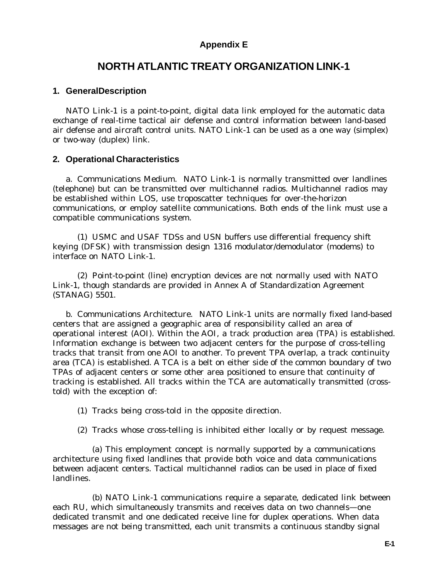## **Appendix E**

## **NORTH ATLANTIC TREATY ORGANIZATION LINK-1**

#### **1. GeneralDescription**

NATO Link-1 is a point-to-point, digital data link employed for the automatic data exchange of real-time tactical air defense and control information between land-based air defense and aircraft control units. NATO Link-1 can be used as a one way (simplex) or two-way (duplex) link.

#### **2. Operational Characteristics**

a. Communications Medium. NATO Link-1 is normally transmitted over landlines (telephone) but can be transmitted over multichannel radios. Multichannel radios may be established within LOS, use troposcatter techniques for over-the-horizon communications, or employ satellite communications. Both ends of the link must use a compatible communications system.

(1) USMC and USAF TDSs and USN buffers use differential frequency shift keying (DFSK) with transmission design 1316 modulator/demodulator (modems) to interface on NATO Link-1.

(2) Point-to-point (line) encryption devices are not normally used with NATO Link-1, though standards are provided in Annex A of Standardization Agreement (STANAG) 5501.

b. Communications Architecture. NATO Link-1 units are normally fixed land-based centers that are assigned a geographic area of responsibility called an area of operational interest (AOI). Within the AOI, a track production area (TPA) is established. Information exchange is between two adjacent centers for the purpose of cross-telling tracks that transit from one AOI to another. To prevent TPA overlap, a track continuity area (TCA) is established. A TCA is a belt on either side of the common boundary of two TPAs of adjacent centers or some other area positioned to ensure that continuity of tracking is established. All tracks within the TCA are automatically transmitted (crosstold) with the exception of:

- (1) Tracks being cross-told in the opposite direction.
- (2) Tracks whose cross-telling is inhibited either locally or by request message.

(a) This employment concept is normally supported by a communications architecture using fixed landlines that provide both voice and data communications between adjacent centers. Tactical multichannel radios can be used in place of fixed landlines.

(b) NATO Link-1 communications require a separate, dedicated link between each RU, which simultaneously transmits and receives data on two channels—one dedicated transmit and one dedicated receive line for duplex operations. When data messages are not being transmitted, each unit transmits a continuous standby signal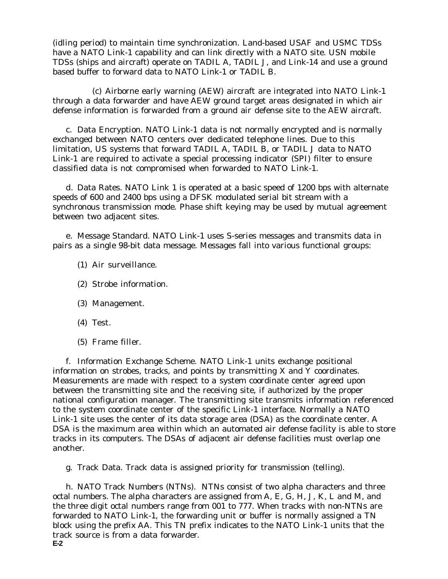(idling period) to maintain time synchronization. Land-based USAF and USMC TDSs have a NATO Link-1 capability and can link directly with a NATO site. USN mobile TDSs (ships and aircraft) operate on TADIL A, TADIL J, and Link-14 and use a ground based buffer to forward data to NATO Link-1 or TADIL B.

(c) Airborne early warning (AEW) aircraft are integrated into NATO Link-1 through a data forwarder and have AEW ground target areas designated in which air defense information is forwarded from a ground air defense site to the AEW aircraft.

c. Data Encryption. NATO Link-1 data is not normally encrypted and is normally exchanged between NATO centers over dedicated telephone lines. Due to this limitation, US systems that forward TADIL A, TADIL B, or TADIL J data to NATO Link-1 are required to activate a special processing indicator (SPI) filter to ensure classified data is not compromised when forwarded to NATO Link-1.

d. Data Rates. NATO Link 1 is operated at a basic speed of 1200 bps with alternate speeds of 600 and 2400 bps using a DFSK modulated serial bit stream with a synchronous transmission mode. Phase shift keying may be used by mutual agreement between two adjacent sites.

e. Message Standard. NATO Link-1 uses S-series messages and transmits data in pairs as a single 98-bit data message. Messages fall into various functional groups:

- (1) Air surveillance.
- (2) Strobe information.
- (3) Management.
- (4) Test.
- (5) Frame filler.

f. Information Exchange Scheme. NATO Link-1 units exchange positional information on strobes, tracks, and points by transmitting X and Y coordinates. Measurements are made with respect to a system coordinate center agreed upon between the transmitting site and the receiving site, if authorized by the proper national configuration manager. The transmitting site transmits information referenced to the system coordinate center of the specific Link-1 interface. Normally a NATO Link-1 site uses the center of its data storage area (DSA) as the coordinate center. A DSA is the maximum area within which an automated air defense facility is able to store tracks in its computers. The DSAs of adjacent air defense facilities must overlap one another.

g. Track Data. Track data is assigned priority for transmission (telling).

**E-2** h. NATO Track Numbers (NTNs). NTNs consist of two alpha characters and three octal numbers. The alpha characters are assigned from A, E, G, H, J, K, L and M, and the three digit octal numbers range from 001 to 777. When tracks with non-NTNs are forwarded to NATO Link-1, the forwarding unit or buffer is normally assigned a TN block using the prefix AA. This TN prefix indicates to the NATO Link-1 units that the track source is from a data forwarder.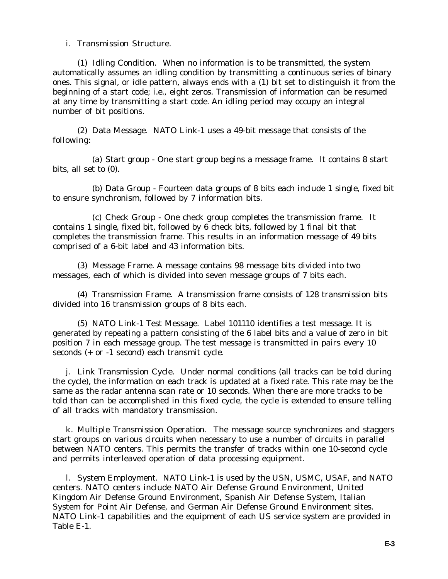i. Transmission Structure.

(1) Idling Condition. When no information is to be transmitted, the system automatically assumes an idling condition by transmitting a continuous series of binary ones. This signal, or idle pattern, always ends with a (1) bit set to distinguish it from the beginning of a start code; i.e., eight zeros. Transmission of information can be resumed at any time by transmitting a start code. An idling period may occupy an integral number of bit positions.

(2) Data Message. NATO Link-1 uses a 49-bit message that consists of the following:

(a) Start group - One start group begins a message frame. It contains 8 start bits, all set to (0).

(b) Data Group - Fourteen data groups of 8 bits each include 1 single, fixed bit to ensure synchronism, followed by 7 information bits.

(c) Check Group - One check group completes the transmission frame. It contains 1 single, fixed bit, followed by 6 check bits, followed by 1 final bit that completes the transmission frame. This results in an information message of 49 bits comprised of a 6-bit label and 43 information bits.

(3) Message Frame. A message contains 98 message bits divided into two messages, each of which is divided into seven message groups of 7 bits each.

(4) Transmission Frame. A transmission frame consists of 128 transmission bits divided into 16 transmission groups of 8 bits each.

(5) NATO Link-1 Test Message. Label 101110 identifies a test message. It is generated by repeating a pattern consisting of the 6 label bits and a value of zero in bit position 7 in each message group. The test message is transmitted in pairs every 10 seconds (+ or -1 second) each transmit cycle.

j. Link Transmission Cycle. Under normal conditions (all tracks can be told during the cycle), the information on each track is updated at a fixed rate. This rate may be the same as the radar antenna scan rate or 10 seconds. When there are more tracks to be told than can be accomplished in this fixed cycle, the cycle is extended to ensure telling of all tracks with mandatory transmission.

k. Multiple Transmission Operation. The message source synchronizes and staggers start groups on various circuits when necessary to use a number of circuits in parallel between NATO centers. This permits the transfer of tracks within one 10-second cycle and permits interleaved operation of data processing equipment.

l. System Employment. NATO Link-1 is used by the USN, USMC, USAF, and NATO centers. NATO centers include NATO Air Defense Ground Environment, United Kingdom Air Defense Ground Environment, Spanish Air Defense System, Italian System for Point Air Defense, and German Air Defense Ground Environment sites. NATO Link-1 capabilities and the equipment of each US service system are provided in Table E-1.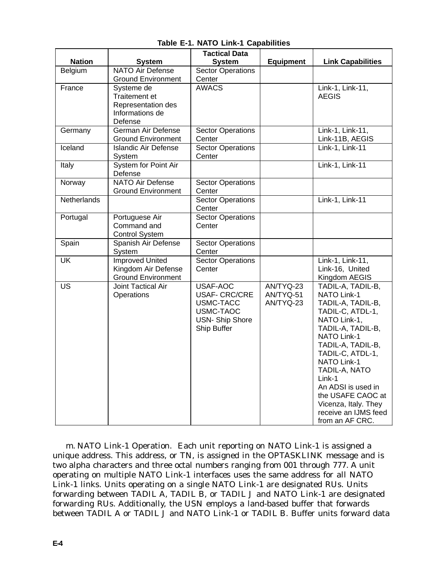|                          |                                                                                        | <b>Tactical Data</b>                                                                               |                                     |                                                                                                                                                                                                                                                                                                                                              |
|--------------------------|----------------------------------------------------------------------------------------|----------------------------------------------------------------------------------------------------|-------------------------------------|----------------------------------------------------------------------------------------------------------------------------------------------------------------------------------------------------------------------------------------------------------------------------------------------------------------------------------------------|
| <b>Nation</b>            | <b>System</b>                                                                          | <b>System</b>                                                                                      | <b>Equipment</b>                    | <b>Link Capabilities</b>                                                                                                                                                                                                                                                                                                                     |
| Belgium                  | <b>NATO Air Defense</b>                                                                | <b>Sector Operations</b>                                                                           |                                     |                                                                                                                                                                                                                                                                                                                                              |
|                          | <b>Ground Environment</b>                                                              | Center                                                                                             |                                     |                                                                                                                                                                                                                                                                                                                                              |
| France                   | Systeme de<br><b>Traitement et</b><br>Representation des<br>Informations de<br>Defense | <b>AWACS</b>                                                                                       |                                     | Link-1, Link-11,<br><b>AEGIS</b>                                                                                                                                                                                                                                                                                                             |
| Germany                  | German Air Defense<br><b>Ground Environment</b>                                        | <b>Sector Operations</b><br>Center                                                                 |                                     | Link-1, Link-11,<br>Link-11B, AEGIS                                                                                                                                                                                                                                                                                                          |
| Iceland                  | <b>Islandic Air Defense</b><br>System                                                  | <b>Sector Operations</b><br>Center                                                                 |                                     | Link-1, Link-11                                                                                                                                                                                                                                                                                                                              |
| Italy                    | System for Point Air<br>Defense                                                        |                                                                                                    |                                     | Link-1, Link-11                                                                                                                                                                                                                                                                                                                              |
| Norway                   | <b>NATO Air Defense</b><br><b>Ground Environment</b>                                   | <b>Sector Operations</b><br>Center                                                                 |                                     |                                                                                                                                                                                                                                                                                                                                              |
| <b>Netherlands</b>       |                                                                                        | <b>Sector Operations</b><br>Center                                                                 |                                     | Link-1, Link-11                                                                                                                                                                                                                                                                                                                              |
| Portugal                 | Portuguese Air<br>Command and<br><b>Control System</b>                                 | <b>Sector Operations</b><br>Center                                                                 |                                     |                                                                                                                                                                                                                                                                                                                                              |
| Spain                    | Spanish Air Defense<br>System                                                          | <b>Sector Operations</b><br>Center                                                                 |                                     |                                                                                                                                                                                                                                                                                                                                              |
| $\overline{\mathsf{UK}}$ | <b>Improved United</b><br>Kingdom Air Defense<br><b>Ground Environment</b>             | <b>Sector Operations</b><br>Center                                                                 |                                     | Link-1, Link-11,<br>Link-16, United<br>Kingdom AEGIS                                                                                                                                                                                                                                                                                         |
| $\overline{US}$          | <b>Joint Tactical Air</b><br>Operations                                                | USAF-AOC<br><b>USAF- CRC/CRE</b><br>USMC-TACC<br>USMC-TAOC<br><b>USN-Ship Shore</b><br>Ship Buffer | AN/TYQ-23<br>AN/TYQ-51<br>AN/TYQ-23 | TADIL-A, TADIL-B,<br><b>NATO Link-1</b><br>TADIL-A, TADIL-B,<br>TADIL-C, ATDL-1,<br>NATO Link-1,<br>TADIL-A, TADIL-B,<br>NATO Link-1<br>TADIL-A, TADIL-B,<br>TADIL-C, ATDL-1,<br><b>NATO Link-1</b><br>TADIL-A, NATO<br>Link-1<br>An ADSI is used in<br>the USAFE CAOC at<br>Vicenza, Italy. They<br>receive an IJMS feed<br>from an AF CRC. |

**Table E-1. NATO Link-1 Capabilities**

m. NATO Link-1 Operation. Each unit reporting on NATO Link-1 is assigned a unique address. This address, or TN, is assigned in the OPTASKLINK message and is two alpha characters and three octal numbers ranging from 001 through 777. A unit operating on multiple NATO Link-1 interfaces uses the same address for all NATO Link-1 links. Units operating on a single NATO Link-1 are designated RUs. Units forwarding between TADIL A, TADIL B, or TADIL J and NATO Link-1 are designated forwarding RUs. Additionally, the USN employs a land-based buffer that forwards between TADIL A or TADIL J and NATO Link-1 or TADIL B. Buffer units forward data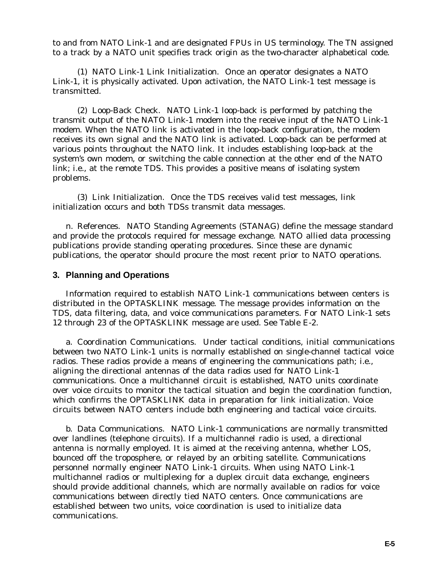to and from NATO Link-1 and are designated FPUs in US terminology. The TN assigned to a track by a NATO unit specifies track origin as the two-character alphabetical code.

(1) NATO Link-1 Link Initialization. Once an operator designates a NATO Link-1, it is physically activated. Upon activation, the NATO Link-1 test message is transmitted.

(2) Loop-Back Check. NATO Link-1 loop-back is performed by patching the transmit output of the NATO Link-1 modem into the receive input of the NATO Link-1 modem. When the NATO link is activated in the loop-back configuration, the modem receives its own signal and the NATO link is activated. Loop-back can be performed at various points throughout the NATO link. It includes establishing loop-back at the system's own modem, or switching the cable connection at the other end of the NATO link; i.e., at the remote TDS. This provides a positive means of isolating system problems.

(3) Link Initialization. Once the TDS receives valid test messages, link initialization occurs and both TDSs transmit data messages.

n. References. NATO Standing Agreements (STANAG) define the message standard and provide the protocols required for message exchange. NATO allied data processing publications provide standing operating procedures. Since these are dynamic publications, the operator should procure the most recent prior to NATO operations.

### **3. Planning and Operations**

Information required to establish NATO Link-1 communications between centers is distributed in the OPTASKLINK message. The message provides information on the TDS, data filtering, data, and voice communications parameters. For NATO Link-1 sets 12 through 23 of the OPTASKLINK message are used. See Table E-2.

a. Coordination Communications. Under tactical conditions, initial communications between two NATO Link-1 units is normally established on single-channel tactical voice radios. These radios provide a means of engineering the communications path; i.e., aligning the directional antennas of the data radios used for NATO Link-1 communications. Once a multichannel circuit is established, NATO units coordinate over voice circuits to monitor the tactical situation and begin the coordination function, which confirms the OPTASKLINK data in preparation for link initialization. Voice circuits between NATO centers include both engineering and tactical voice circuits.

b. Data Communications. NATO Link-1 communications are normally transmitted over landlines (telephone circuits). If a multichannel radio is used, a directional antenna is normally employed. It is aimed at the receiving antenna, whether LOS, bounced off the troposphere, or relayed by an orbiting satellite. Communications personnel normally engineer NATO Link-1 circuits. When using NATO Link-1 multichannel radios or multiplexing for a duplex circuit data exchange, engineers should provide additional channels, which are normally available on radios for voice communications between directly tied NATO centers. Once communications are established between two units, voice coordination is used to initialize data communications.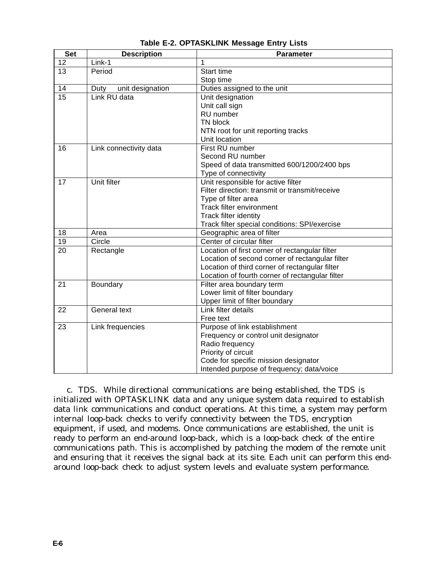| <b>Set</b>      | <b>Description</b>       | Parameter                                       |
|-----------------|--------------------------|-------------------------------------------------|
| 12              | Link-1                   |                                                 |
| 13              | Period                   | Start time                                      |
|                 |                          | Stop time                                       |
| 14              | unit designation<br>Duty | Duties assigned to the unit                     |
| $\overline{15}$ | Link RU data             | Unit designation                                |
|                 |                          | Unit call sign                                  |
|                 |                          | RU number                                       |
|                 |                          | TN block                                        |
|                 |                          | NTN root for unit reporting tracks              |
|                 |                          | Unit location                                   |
| 16              | Link connectivity data   | First RU number                                 |
|                 |                          | Second RU number                                |
|                 |                          | Speed of data transmitted 600/1200/2400 bps     |
|                 |                          | Type of connectivity                            |
| 17              | <b>Unit filter</b>       | Unit responsible for active filter              |
|                 |                          | Filter direction: transmit or transmit/receive  |
|                 |                          | Type of filter area                             |
|                 |                          | Track filter environment                        |
|                 |                          | Track filter identity                           |
|                 |                          | Track filter special conditions: SPI/exercise   |
| 18              | Area                     | Geographic area of filter                       |
| 19              | Circle                   | Center of circular filter                       |
| 20              | Rectangle                | Location of first corner of rectangular filter  |
|                 |                          | Location of second corner of rectangular filter |
|                 |                          | Location of third corner of rectangular filter  |
|                 |                          | Location of fourth corner of rectangular filter |
| 21              | Boundary                 | Filter area boundary term                       |
|                 |                          | Lower limit of filter boundary                  |
|                 |                          | Upper limit of filter boundary                  |
| 22              | General text             | Link filter details                             |
|                 |                          | Free text                                       |
| 23              | Link frequencies         | Purpose of link establishment                   |
|                 |                          | Frequency or control unit designator            |
|                 |                          | Radio frequency                                 |
|                 |                          | Priority of circuit                             |
|                 |                          | Code for specific mission designator            |
|                 |                          | Intended purpose of frequency; data/voice       |

**Table E-2. OPTASKLINK Message Entry Lists**

c. TDS. While directional communications are being established, the TDS is initialized with OPTASKLINK data and any unique system data required to establish data link communications and conduct operations. At this time, a system may perform internal loop-back checks to verify connectivity between the TDS, encryption equipment, if used, and modems. Once communications are established, the unit is ready to perform an end-around loop-back, which is a loop-back check of the entire communications path. This is accomplished by patching the modem of the remote unit and ensuring that it receives the signal back at its site. Each unit can perform this endaround loop-back check to adjust system levels and evaluate system performance.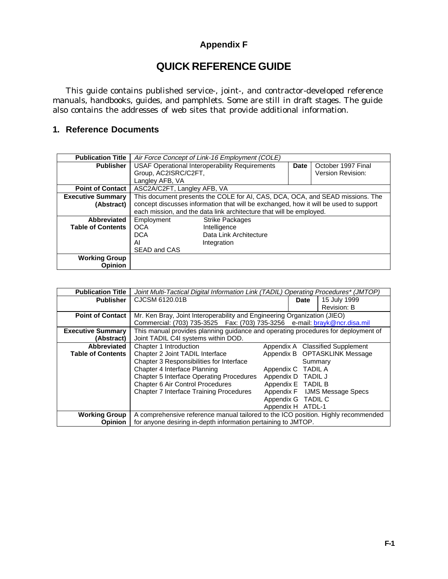## **Appendix F**

# **QUICK REFERENCE GUIDE**

This guide contains published service-, joint-, and contractor-developed reference manuals, handbooks, guides, and pamphlets. Some are still in draft stages. The guide also contains the addresses of web sites that provide additional information.

## **1. Reference Documents**

| <b>Publication Title</b> | Air Force Concept of Link-16 Employment (COLE)                                       |                                                                               |      |                          |
|--------------------------|--------------------------------------------------------------------------------------|-------------------------------------------------------------------------------|------|--------------------------|
| <b>Publisher</b>         | <b>USAF Operational Interoperability Requirements</b>                                |                                                                               | Date | October 1997 Final       |
|                          | Group, AC2ISRC/C2FT,                                                                 |                                                                               |      | <b>Version Revision:</b> |
|                          | Langley AFB, VA                                                                      |                                                                               |      |                          |
| <b>Point of Contact</b>  | ASC2A/C2FT, Langley AFB, VA                                                          |                                                                               |      |                          |
| <b>Executive Summary</b> |                                                                                      | This document presents the COLE for AI, CAS, DCA, OCA, and SEAD missions. The |      |                          |
| (Abstract)               | concept discusses information that will be exchanged, how it will be used to support |                                                                               |      |                          |
|                          | each mission, and the data link architecture that will be employed.                  |                                                                               |      |                          |
| Abbreviated              | Employment<br><b>Strike Packages</b>                                                 |                                                                               |      |                          |
| <b>Table of Contents</b> | <b>OCA</b><br>Intelligence                                                           |                                                                               |      |                          |
|                          | Data Link Architecture<br><b>DCA</b>                                                 |                                                                               |      |                          |
|                          | ΑI                                                                                   | Integration                                                                   |      |                          |
|                          | SEAD and CAS                                                                         |                                                                               |      |                          |
| <b>Working Group</b>     |                                                                                      |                                                                               |      |                          |
| Opinion                  |                                                                                      |                                                                               |      |                          |

| <b>Publication Title</b> | Joint Multi-Tactical Digital Information Link (TADIL) Operating Procedures* (JMTOP) |                    |                |                               |
|--------------------------|-------------------------------------------------------------------------------------|--------------------|----------------|-------------------------------|
| <b>Publisher</b>         | CJCSM 6120.01B                                                                      |                    | Date           | 15 July 1999                  |
|                          |                                                                                     |                    |                | Revision: B                   |
| <b>Point of Contact</b>  | Mr. Ken Bray, Joint Interoperability and Engineering Organization (JIEO)            |                    |                |                               |
|                          | Commercial: (703) 735-3525  Fax: (703) 735-3256  e-mail: brayk@ncr.disa.mil         |                    |                |                               |
| <b>Executive Summary</b> | This manual provides planning guidance and operating procedures for deployment of   |                    |                |                               |
| (Abstract)               | Joint TADIL C4I systems within DOD.                                                 |                    |                |                               |
| Abbreviated              | Chapter 1 Introduction                                                              | Appendix A         |                | <b>Classified Supplement</b>  |
| <b>Table of Contents</b> | Chapter 2 Joint TADIL Interface                                                     |                    |                | Appendix B OPTASKLINK Message |
|                          | Chapter 3 Responsibilities for Interface                                            |                    | Summary        |                               |
|                          | Chapter 4 Interface Planning                                                        | Appendix C         | <b>TADIL A</b> |                               |
|                          | <b>Chapter 5 Interface Operating Procedures</b>                                     | Appendix D         | <b>TADIL J</b> |                               |
|                          | Chapter 6 Air Control Procedures                                                    | Appendix E TADIL B |                |                               |
|                          | <b>Chapter 7 Interface Training Procedures</b>                                      | Appendix F         |                | <b>IJMS Message Specs</b>     |
|                          |                                                                                     | Appendix G TADIL C |                |                               |
|                          |                                                                                     | Appendix H         | ATDL-1         |                               |
| <b>Working Group</b>     | A comprehensive reference manual tailored to the ICO position. Highly recommended   |                    |                |                               |
| <b>Opinion</b>           | for anyone desiring in-depth information pertaining to JMTOP.                       |                    |                |                               |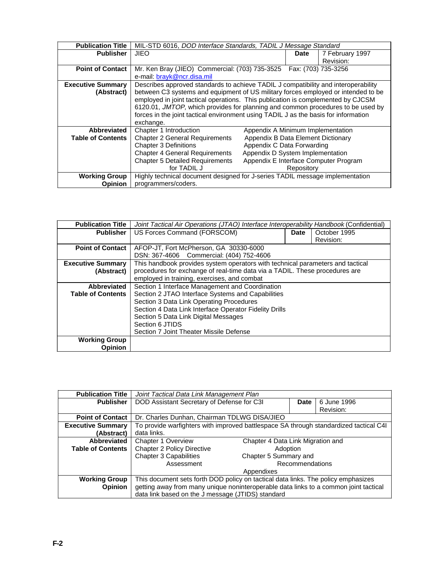| <b>Publication Title</b> | MIL-STD 6016, DOD Interface Standards, TADIL J Message Standard                     |                                   |             |                     |  |
|--------------------------|-------------------------------------------------------------------------------------|-----------------------------------|-------------|---------------------|--|
| <b>Publisher</b>         | <b>JIEO</b>                                                                         |                                   | <b>Date</b> | 7 February 1997     |  |
|                          |                                                                                     |                                   |             | Revision:           |  |
| <b>Point of Contact</b>  | Mr. Ken Bray (JIEO) Commercial: (703) 735-3525                                      |                                   |             | Fax: (703) 735-3256 |  |
|                          | e-mail: brayk@ncr.disa.mil                                                          |                                   |             |                     |  |
| <b>Executive Summary</b> | Describes approved standards to achieve TADIL J compatibility and interoperability  |                                   |             |                     |  |
| (Abstract)               | between C3 systems and equipment of US military forces employed or intended to be   |                                   |             |                     |  |
|                          | employed in joint tactical operations. This publication is complemented by CJCSM    |                                   |             |                     |  |
|                          | 6120.01, JMTOP, which provides for planning and common procedures to be used by     |                                   |             |                     |  |
|                          | forces in the joint tactical environment using TADIL J as the basis for information |                                   |             |                     |  |
|                          | exchange.                                                                           |                                   |             |                     |  |
| Abbreviated              | Chapter 1 Introduction                                                              | Appendix A Minimum Implementation |             |                     |  |
| <b>Table of Contents</b> | Appendix B Data Element Dictionary<br><b>Chapter 2 General Requirements</b>         |                                   |             |                     |  |
|                          | Appendix C Data Forwarding<br><b>Chapter 3 Definitions</b>                          |                                   |             |                     |  |
|                          | Appendix D System Implementation<br><b>Chapter 4 General Requirements</b>           |                                   |             |                     |  |
|                          | <b>Chapter 5 Detailed Requirements</b><br>Appendix E Interface Computer Program     |                                   |             |                     |  |
|                          | for TADIL J                                                                         |                                   | Repository  |                     |  |
| <b>Working Group</b>     | Highly technical document designed for J-series TADIL message implementation        |                                   |             |                     |  |
| Opinion                  | programmers/coders.                                                                 |                                   |             |                     |  |

| <b>Publication Title</b> | Joint Tactical Air Operations (JTAO) Interface Interoperability Handbook (Confidential) |             |              |  |  |
|--------------------------|-----------------------------------------------------------------------------------------|-------------|--------------|--|--|
| <b>Publisher</b>         | US Forces Command (FORSCOM)                                                             | <b>Date</b> | October 1995 |  |  |
|                          |                                                                                         |             | Revision:    |  |  |
| <b>Point of Contact</b>  | AFOP-JT, Fort McPherson, GA 30330-6000                                                  |             |              |  |  |
|                          | DSN: 367-4606 Commercial: (404) 752-4606                                                |             |              |  |  |
| <b>Executive Summary</b> | This handbook provides system operators with technical parameters and tactical          |             |              |  |  |
| (Abstract)               | procedures for exchange of real-time data via a TADIL. These procedures are             |             |              |  |  |
|                          | employed in training, exercises, and combat                                             |             |              |  |  |
| Abbreviated              | Section 1 Interface Management and Coordination                                         |             |              |  |  |
| <b>Table of Contents</b> | Section 2 JTAO Interface Systems and Capabilities                                       |             |              |  |  |
|                          | Section 3 Data Link Operating Procedures                                                |             |              |  |  |
|                          | Section 4 Data Link Interface Operator Fidelity Drills                                  |             |              |  |  |
|                          | Section 5 Data Link Digital Messages                                                    |             |              |  |  |
|                          | Section 6 JTIDS                                                                         |             |              |  |  |
|                          | Section 7 Joint Theater Missile Defense                                                 |             |              |  |  |
| <b>Working Group</b>     |                                                                                         |             |              |  |  |
| <b>Opinion</b>           |                                                                                         |             |              |  |  |

| <b>Publication Title</b> | Joint Tactical Data Link Management Plan                                              |                                   |             |  |
|--------------------------|---------------------------------------------------------------------------------------|-----------------------------------|-------------|--|
| <b>Publisher</b>         | DOD Assistant Secretary of Defense for C3I                                            | Date                              | 6 June 1996 |  |
|                          |                                                                                       |                                   | Revision:   |  |
| <b>Point of Contact</b>  | Dr. Charles Dunhan, Chairman TDLWG DISA/JIEO                                          |                                   |             |  |
| <b>Executive Summary</b> | To provide warfighters with improved battlespace SA through standardized tactical C4I |                                   |             |  |
| (Abstract)               | data links.                                                                           |                                   |             |  |
| Abbreviated              | Chapter 1 Overview                                                                    | Chapter 4 Data Link Migration and |             |  |
| <b>Table of Contents</b> | <b>Chapter 2 Policy Directive</b>                                                     | Adoption                          |             |  |
|                          | <b>Chapter 3 Capabilities</b>                                                         | Chapter 5 Summary and             |             |  |
|                          | Assessment                                                                            | <b>Recommendations</b>            |             |  |
|                          | Appendixes                                                                            |                                   |             |  |
| <b>Working Group</b>     | This document sets forth DOD policy on tactical data links. The policy emphasizes     |                                   |             |  |
| <b>Opinion</b>           | getting away from many unique noninteroperable data links to a common joint tactical  |                                   |             |  |
|                          | data link based on the J message (JTIDS) standard                                     |                                   |             |  |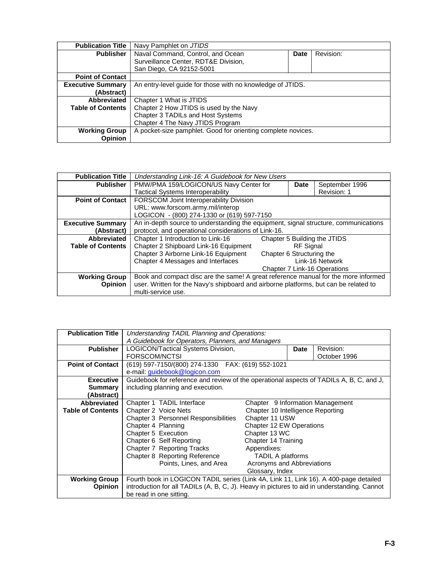| <b>Publication Title</b> | Navy Pamphlet on JTIDS                                       |      |           |  |
|--------------------------|--------------------------------------------------------------|------|-----------|--|
| <b>Publisher</b>         | Naval Command, Control, and Ocean                            | Date | Revision: |  |
|                          | Surveillance Center, RDT&E Division,                         |      |           |  |
|                          | San Diego, CA 92152-5001                                     |      |           |  |
| <b>Point of Contact</b>  |                                                              |      |           |  |
| <b>Executive Summary</b> | An entry-level quide for those with no knowledge of JTIDS.   |      |           |  |
| (Abstract)               |                                                              |      |           |  |
| Abbreviated              | Chapter 1 What is JTIDS                                      |      |           |  |
| <b>Table of Contents</b> | Chapter 2 How JTIDS is used by the Navy                      |      |           |  |
|                          | Chapter 3 TADILs and Host Systems                            |      |           |  |
|                          | Chapter 4 The Navy JTIDS Program                             |      |           |  |
| <b>Working Group</b>     | A pocket-size pamphlet. Good for orienting complete novices. |      |           |  |
| Opinion                  |                                                              |      |           |  |

| <b>Publication Title</b> | Understanding Link-16: A Guidebook for New Users                                     |                           |                  |                |
|--------------------------|--------------------------------------------------------------------------------------|---------------------------|------------------|----------------|
| <b>Publisher</b>         | PMW/PMA 159/LOGICON/US Navy Center for                                               |                           | <b>Date</b>      | September 1996 |
|                          | <b>Tactical Systems Interoperability</b>                                             |                           |                  | Revision: 1    |
| <b>Point of Contact</b>  | FORSCOM Joint Interoperability Division                                              |                           |                  |                |
|                          | URL: www.forscom.army.mil/interop                                                    |                           |                  |                |
|                          | LOGICON - (800) 274-1330 or (619) 597-7150                                           |                           |                  |                |
| <b>Executive Summary</b> | An in-depth source to understanding the equipment, signal structure, communications  |                           |                  |                |
| (Abstract)               | protocol, and operational considerations of Link-16.                                 |                           |                  |                |
| Abbreviated              | Chapter 1 Introduction to Link-16<br>Chapter 5 Building the JTIDS                    |                           |                  |                |
| <b>Table of Contents</b> | Chapter 2 Shipboard Link-16 Equipment                                                |                           | <b>RF</b> Signal |                |
|                          | Chapter 3 Airborne Link-16 Equipment                                                 | Chapter 6 Structuring the |                  |                |
|                          | Chapter 4 Messages and Interfaces<br>Link-16 Network                                 |                           |                  |                |
|                          | Chapter 7 Link-16 Operations                                                         |                           |                  |                |
| <b>Working Group</b>     | Book and compact disc are the same! A great reference manual for the more informed   |                           |                  |                |
| <b>Opinion</b>           | user. Written for the Navy's shipboard and airborne platforms, but can be related to |                           |                  |                |
|                          | multi-service use.                                                                   |                           |                  |                |

| <b>Publication Title</b> | Understanding TADIL Planning and Operations:                                                |                                   |      |           |
|--------------------------|---------------------------------------------------------------------------------------------|-----------------------------------|------|-----------|
|                          | A Guidebook for Operators, Planners, and Managers                                           |                                   |      |           |
| <b>Publisher</b>         | <b>LOGICON/Tactical Systems Division,</b>                                                   |                                   | Date | Revision: |
|                          | FORSCOM/NCTSI<br>October 1996                                                               |                                   |      |           |
| <b>Point of Contact</b>  | (619) 597-7150/(800) 274-1330  FAX: (619) 552-1021                                          |                                   |      |           |
|                          | e-mail: guidebook@logicon.com                                                               |                                   |      |           |
| <b>Executive</b>         | Guidebook for reference and review of the operational aspects of TADILs A, B, C, and J,     |                                   |      |           |
| <b>Summary</b>           | including planning and execution.                                                           |                                   |      |           |
| (Abstract)               |                                                                                             |                                   |      |           |
| Abbreviated              | Chapter 1 TADIL Interface                                                                   | Chapter 9 Information Management  |      |           |
| <b>Table of Contents</b> | Chapter 2 Voice Nets                                                                        | Chapter 10 Intelligence Reporting |      |           |
|                          | <b>Chapter 3 Personnel Responsibilities</b>                                                 | Chapter 11 USW                    |      |           |
|                          | Chapter 4 Planning                                                                          | Chapter 12 EW Operations          |      |           |
|                          | Chapter 5 Execution                                                                         | Chapter 13 WC                     |      |           |
|                          | Chapter 6 Self Reporting                                                                    | Chapter 14 Training               |      |           |
|                          | Chapter 7 Reporting Tracks                                                                  | Appendixes:                       |      |           |
|                          | Chapter 8 Reporting Reference                                                               | TADIL A platforms                 |      |           |
|                          | Points, Lines, and Area                                                                     | Acronyms and Abbreviations        |      |           |
|                          |                                                                                             | Glossary, Index                   |      |           |
| <b>Working Group</b>     | Fourth book in LOGICON TADIL series (Link 4A, Link 11, Link 16). A 400-page detailed        |                                   |      |           |
| <b>Opinion</b>           | introduction for all TADILs (A, B, C, J). Heavy in pictures to aid in understanding. Cannot |                                   |      |           |
|                          | be read in one sitting.                                                                     |                                   |      |           |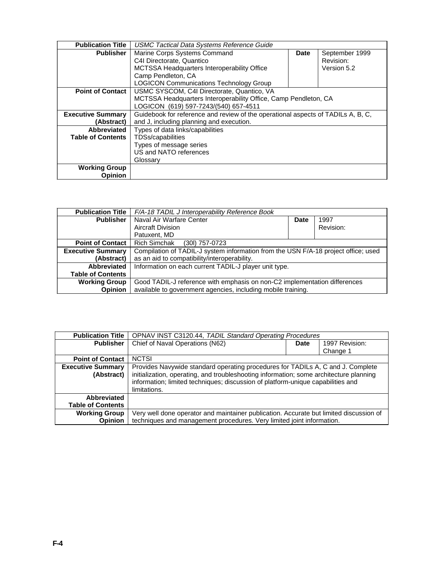| <b>Publication Title</b> | <b>USMC Tactical Data Systems Reference Guide</b>                                |  |                |
|--------------------------|----------------------------------------------------------------------------------|--|----------------|
| <b>Publisher</b>         | Marine Corps Systems Command<br>Date                                             |  | September 1999 |
|                          | C4I Directorate, Quantico                                                        |  | Revision:      |
|                          | MCTSSA Headquarters Interoperability Office                                      |  | Version 5.2    |
|                          | Camp Pendleton, CA                                                               |  |                |
|                          | <b>LOGICON Communications Technology Group</b>                                   |  |                |
| <b>Point of Contact</b>  | USMC SYSCOM, C4I Directorate, Quantico, VA                                       |  |                |
|                          | MCTSSA Headquarters Interoperability Office, Camp Pendleton, CA                  |  |                |
|                          | LOGICON (619) 597-7243/(540) 657-4511                                            |  |                |
| <b>Executive Summary</b> | Guidebook for reference and review of the operational aspects of TADILs A, B, C, |  |                |
| (Abstract)               | and J, including planning and execution.                                         |  |                |
| Abbreviated              | Types of data links/capabilities                                                 |  |                |
| <b>Table of Contents</b> | TDSs/capabilities                                                                |  |                |
|                          | Types of message series                                                          |  |                |
|                          | US and NATO references                                                           |  |                |
|                          | Glossary                                                                         |  |                |
| <b>Working Group</b>     |                                                                                  |  |                |
| Opinion                  |                                                                                  |  |                |

| <b>Publication Title</b> | F/A-18 TADIL J Interoperability Reference Book                                     |  |           |
|--------------------------|------------------------------------------------------------------------------------|--|-----------|
| <b>Publisher</b>         | Naval Air Warfare Center                                                           |  | 1997      |
|                          | <b>Aircraft Division</b>                                                           |  | Revision: |
|                          | Patuxent, MD                                                                       |  |           |
| <b>Point of Contact</b>  | <b>Rich Simchak</b><br>(30I) 757-0723                                              |  |           |
| <b>Executive Summary</b> | Compilation of TADIL-J system information from the USN F/A-18 project office; used |  |           |
| (Abstract)               | as an aid to compatibility/interoperability.                                       |  |           |
| Abbreviated              | Information on each current TADIL-J player unit type.                              |  |           |
| <b>Table of Contents</b> |                                                                                    |  |           |
| <b>Working Group</b>     | Good TADIL-J reference with emphasis on non-C2 implementation differences          |  |           |
| <b>Opinion</b>           | available to government agencies, including mobile training.                       |  |           |

| <b>Publication Title</b> | <b>OPNAV INST C3120.44, TADIL Standard Operating Procedures</b>                        |  |          |
|--------------------------|----------------------------------------------------------------------------------------|--|----------|
| <b>Publisher</b>         | Chief of Naval Operations (N62)<br>1997 Revision:<br><b>Date</b>                       |  |          |
|                          |                                                                                        |  | Change 1 |
| <b>Point of Contact</b>  | <b>NCTSI</b>                                                                           |  |          |
| <b>Executive Summary</b> | Provides Navywide standard operating procedures for TADILs A, C and J. Complete        |  |          |
| (Abstract)               | initialization, operating, and troubleshooting information; some architecture planning |  |          |
|                          | information; limited techniques; discussion of platform-unique capabilities and        |  |          |
|                          | limitations.                                                                           |  |          |
| Abbreviated              |                                                                                        |  |          |
| <b>Table of Contents</b> |                                                                                        |  |          |
| <b>Working Group</b>     | Very well done operator and maintainer publication. Accurate but limited discussion of |  |          |
| <b>Opinion</b>           | techniques and management procedures. Very limited joint information.                  |  |          |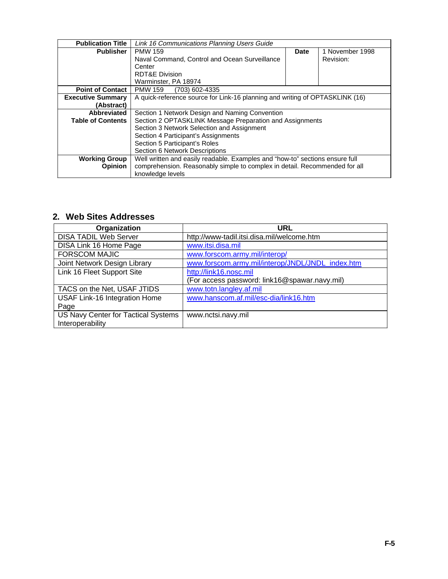| <b>Publication Title</b> | Link 16 Communications Planning Users Guide                                  |  |                 |
|--------------------------|------------------------------------------------------------------------------|--|-----------------|
| <b>Publisher</b>         | <b>PMW 159</b><br><b>Date</b>                                                |  | 1 November 1998 |
|                          | Naval Command, Control and Ocean Surveillance                                |  | Revision:       |
|                          | Center                                                                       |  |                 |
|                          | <b>RDT&amp;E Division</b>                                                    |  |                 |
|                          | Warminster, PA 18974                                                         |  |                 |
| <b>Point of Contact</b>  | <b>PMW 159</b><br>(703) 602-4335                                             |  |                 |
| <b>Executive Summary</b> | A quick-reference source for Link-16 planning and writing of OPTASKLINK (16) |  |                 |
| (Abstract)               |                                                                              |  |                 |
| Abbreviated              | Section 1 Network Design and Naming Convention                               |  |                 |
| <b>Table of Contents</b> | Section 2 OPTASKLINK Message Preparation and Assignments                     |  |                 |
|                          | Section 3 Network Selection and Assignment                                   |  |                 |
|                          | Section 4 Participant's Assignments                                          |  |                 |
|                          | Section 5 Participant's Roles                                                |  |                 |
|                          | Section 6 Network Descriptions                                               |  |                 |
| <b>Working Group</b>     | Well written and easily readable. Examples and "how-to" sections ensure full |  |                 |
| <b>Opinion</b>           | comprehension. Reasonably simple to complex in detail. Recommended for all   |  |                 |
|                          | knowledge levels                                                             |  |                 |

## **2. Web Sites Addresses**

| Organization                        | <b>URL</b>                                       |
|-------------------------------------|--------------------------------------------------|
| <b>DISA TADIL Web Server</b>        | http://www-tadil.itsi.disa.mil/welcome.htm       |
| <b>DISA Link 16 Home Page</b>       | www.itsi.disa.mil                                |
| <b>FORSCOM MAJIC</b>                | www.forscom.army.mil/interop/                    |
| Joint Network Design Library        | www.forscom.army.mil/interop/JNDL/JNDL_index.htm |
| Link 16 Fleet Support Site          | http://link16.nosc.mil                           |
|                                     | (For access password: link16@spawar.navy.mil)    |
| TACS on the Net, USAF JTIDS         | www.totn.langley.af.mil                          |
| USAF Link-16 Integration Home       | www.hanscom.af.mil/esc-dia/link16.htm            |
| Page                                |                                                  |
| US Navy Center for Tactical Systems | www.nctsi.navy.mil                               |
| Interoperability                    |                                                  |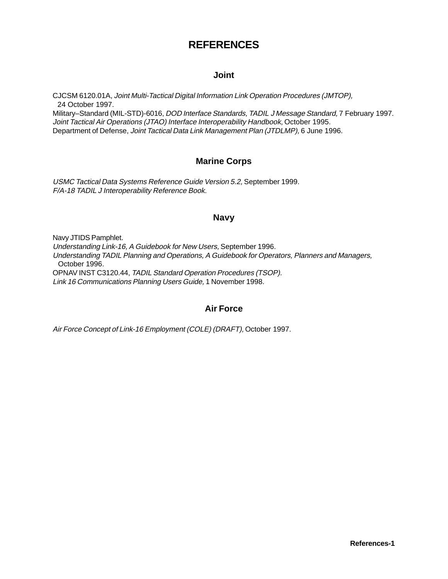# **REFERENCES**

## **Joint**

CJCSM 6120.01A, Joint Multi-Tactical Digital Information Link Operation Procedures (JMTOP), 24 October 1997.

Military–Standard (MIL-STD)-6016, *DOD Interface Standards, TADIL J Message Standard*, 7 February 1997. Joint Tactical Air Operations (JTAO) Interface Interoperability Handbook, October 1995. Department of Defense, Joint Tactical Data Link Management Plan (JTDLMP), 6 June 1996.

## **Marine Corps**

USMC Tactical Data Systems Reference Guide Version 5.2, September 1999. F/A-18 TADIL J Interoperability Reference Book.

#### **Navy**

Navy JTIDS Pamphlet. Understanding Link-16, A Guidebook for New Users, September 1996. Understanding TADIL Planning and Operations, A Guidebook for Operators, Planners and Managers, October 1996. OPNAV INST C3120.44, TADIL Standard Operation Procedures (TSOP). Link 16 Communications Planning Users Guide, 1 November 1998.

## **Air Force**

Air Force Concept of Link-16 Employment (COLE) (DRAFT), October 1997.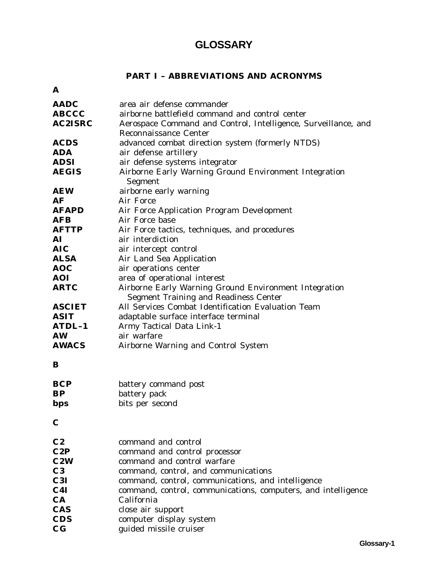# **GLOSSARY**

## **PART I – ABBREVIATIONS AND ACRONYMS**

| A              |                                                                                                       |
|----------------|-------------------------------------------------------------------------------------------------------|
| <b>AADC</b>    | area air defense commander                                                                            |
| <b>ABCCC</b>   | airborne battlefield command and control center                                                       |
| <b>AC2ISRC</b> | Aerospace Command and Control, Intelligence, Surveillance, and                                        |
|                | <b>Reconnaissance Center</b>                                                                          |
| <b>ACDS</b>    | advanced combat direction system (formerly NTDS)                                                      |
| <b>ADA</b>     | air defense artillery                                                                                 |
| <b>ADSI</b>    | air defense systems integrator                                                                        |
| <b>AEGIS</b>   | Airborne Early Warning Ground Environment Integration<br>Segment                                      |
| <b>AEW</b>     | airborne early warning                                                                                |
| AF             | Air Force                                                                                             |
| <b>AFAPD</b>   | Air Force Application Program Development                                                             |
| <b>AFB</b>     | Air Force base                                                                                        |
| <b>AFTTP</b>   | Air Force tactics, techniques, and procedures                                                         |
| AI             | air interdiction                                                                                      |
| <b>AIC</b>     | air intercept control                                                                                 |
| <b>ALSA</b>    | Air Land Sea Application                                                                              |
| <b>AOC</b>     | air operations center                                                                                 |
| <b>AOI</b>     | area of operational interest                                                                          |
| <b>ARTC</b>    | Airborne Early Warning Ground Environment Integration<br><b>Segment Training and Readiness Center</b> |
| <b>ASCIET</b>  | All Services Combat Identification Evaluation Team                                                    |
| <b>ASIT</b>    | adaptable surface interface terminal                                                                  |
| ATDL-1         | Army Tactical Data Link-1                                                                             |
| <b>AW</b>      | air warfare                                                                                           |
| <b>AWACS</b>   | Airborne Warning and Control System                                                                   |
| B              |                                                                                                       |
| <b>BCP</b>     | battery command post                                                                                  |
| <b>BP</b>      | battery pack                                                                                          |
| bps            | bits per second                                                                                       |
|                |                                                                                                       |
| $\mathbf C$    |                                                                                                       |
| C <sub>2</sub> | command and control                                                                                   |
| C2P            | command and control processor                                                                         |
| C2W            | command and control warfare                                                                           |
| C <sub>3</sub> | command, control, and communications                                                                  |
| C3I            | command, control, communications, and intelligence                                                    |
| C4I            | command, control, communications, computers, and intelligence                                         |
| CA             | California                                                                                            |
| <b>CAS</b>     | close air support                                                                                     |
| <b>CDS</b>     | computer display system                                                                               |
| $\bf{C}$       | guided missile cruiser                                                                                |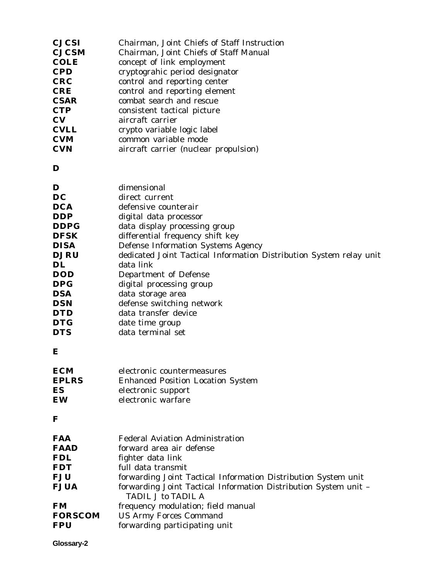| <b>CJCSI</b>   | Chairman, Joint Chiefs of Staff Instruction                                                   |
|----------------|-----------------------------------------------------------------------------------------------|
| <b>CJCSM</b>   | Chairman, Joint Chiefs of Staff Manual                                                        |
| COLE           | concept of link employment                                                                    |
| <b>CPD</b>     | cryptograhic period designator                                                                |
| <b>CRC</b>     | control and reporting center                                                                  |
| <b>CRE</b>     | control and reporting element                                                                 |
| <b>CSAR</b>    | combat search and rescue                                                                      |
| <b>CTP</b>     | consistent tactical picture                                                                   |
| CV             | aircraft carrier                                                                              |
| <b>CVLL</b>    | crypto variable logic label                                                                   |
| <b>CVM</b>     | common variable mode                                                                          |
| <b>CVN</b>     | aircraft carrier (nuclear propulsion)                                                         |
| D              |                                                                                               |
| D              | dimensional                                                                                   |
| DC             | direct current                                                                                |
| DCA            | defensive counterair                                                                          |
| DDP            | digital data processor                                                                        |
| DDPG           | data display processing group                                                                 |
| <b>DFSK</b>    | differential frequency shift key                                                              |
| <b>DISA</b>    | <b>Defense Information Systems Agency</b>                                                     |
| <b>DJRU</b>    | dedicated Joint Tactical Information Distribution System relay unit                           |
| DL             | data link                                                                                     |
| DOD            | Department of Defense                                                                         |
| DPG            | digital processing group                                                                      |
| DSA            | data storage area                                                                             |
| DSN            | defense switching network                                                                     |
| <b>DTD</b>     | data transfer device                                                                          |
| DTG            | date time group                                                                               |
| <b>DTS</b>     | data terminal set                                                                             |
| E              |                                                                                               |
| ECM            | electronic countermeasures                                                                    |
| <b>EPLRS</b>   | <b>Enhanced Position Location System</b>                                                      |
| ES             | electronic support                                                                            |
| EW             | electronic warfare                                                                            |
| F              |                                                                                               |
| FAA            | <b>Federal Aviation Administration</b>                                                        |
| FAAD           | forward area air defense                                                                      |
| FDL            | fighter data link                                                                             |
| <b>FDT</b>     | full data transmit                                                                            |
| FJU            | forwarding Joint Tactical Information Distribution System unit                                |
| <b>FJUA</b>    | forwarding Joint Tactical Information Distribution System unit -<br><b>TADIL J to TADIL A</b> |
| FM             | frequency modulation; field manual                                                            |
| <b>FORSCOM</b> | <b>US Army Forces Command</b>                                                                 |
| FPU            | forwarding participating unit                                                                 |
|                |                                                                                               |

**Glossary-2**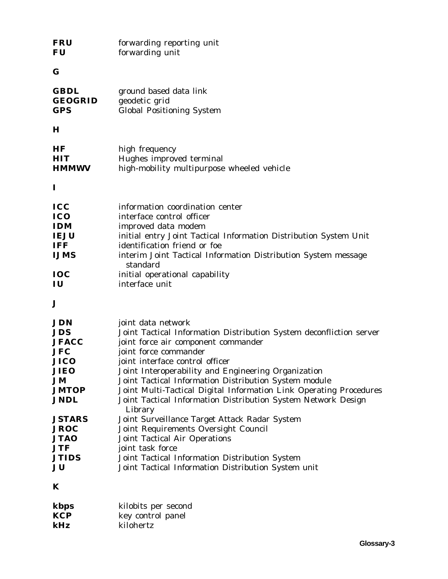| <b>FRU</b><br><b>FU</b>                                                                                                                                                                                      | forwarding reporting unit<br>forwarding unit                                                                                                                                                                                                                                                                                                                                                                                                                                                                                                                                                                                                                                                                                 |
|--------------------------------------------------------------------------------------------------------------------------------------------------------------------------------------------------------------|------------------------------------------------------------------------------------------------------------------------------------------------------------------------------------------------------------------------------------------------------------------------------------------------------------------------------------------------------------------------------------------------------------------------------------------------------------------------------------------------------------------------------------------------------------------------------------------------------------------------------------------------------------------------------------------------------------------------------|
| G                                                                                                                                                                                                            |                                                                                                                                                                                                                                                                                                                                                                                                                                                                                                                                                                                                                                                                                                                              |
| <b>GBDL</b><br><b>GEOGRID</b><br><b>GPS</b>                                                                                                                                                                  | ground based data link<br>geodetic grid<br><b>Global Positioning System</b>                                                                                                                                                                                                                                                                                                                                                                                                                                                                                                                                                                                                                                                  |
| $\bf H$                                                                                                                                                                                                      |                                                                                                                                                                                                                                                                                                                                                                                                                                                                                                                                                                                                                                                                                                                              |
| HF<br><b>HIT</b><br><b>HMMWV</b>                                                                                                                                                                             | high frequency<br>Hughes improved terminal<br>high-mobility multipurpose wheeled vehicle                                                                                                                                                                                                                                                                                                                                                                                                                                                                                                                                                                                                                                     |
| $\bf{I}$                                                                                                                                                                                                     |                                                                                                                                                                                                                                                                                                                                                                                                                                                                                                                                                                                                                                                                                                                              |
| <b>ICC</b><br><b>ICO</b><br><b>IDM</b><br><b>IEJU</b><br><b>IFF</b><br><b>IJMS</b><br>IOC<br>IU                                                                                                              | information coordination center<br>interface control officer<br>improved data modem<br>initial entry Joint Tactical Information Distribution System Unit<br>identification friend or foe<br>interim Joint Tactical Information Distribution System message<br>standard<br>initial operational capability<br>interface unit                                                                                                                                                                                                                                                                                                                                                                                                   |
| J                                                                                                                                                                                                            |                                                                                                                                                                                                                                                                                                                                                                                                                                                                                                                                                                                                                                                                                                                              |
| JDN<br><b>JDS</b><br><b>JFACC</b><br><b>JFC</b><br><b>JICO</b><br><b>JIEO</b><br><b>JM</b><br><b>JMTOP</b><br><b>JNDL</b><br><b>JSTARS</b><br><b>JROC</b><br><b>JTAO</b><br><b>JTF</b><br><b>JTIDS</b><br>JU | joint data network<br>Joint Tactical Information Distribution System deconfliction server<br>joint force air component commander<br>joint force commander<br>joint interface control officer<br>Joint Interoperability and Engineering Organization<br>Joint Tactical Information Distribution System module<br>Joint Multi-Tactical Digital Information Link Operating Procedures<br>Joint Tactical Information Distribution System Network Design<br>Library<br>Joint Surveillance Target Attack Radar System<br>Joint Requirements Oversight Council<br><b>Joint Tactical Air Operations</b><br>joint task force<br>Joint Tactical Information Distribution System<br>Joint Tactical Information Distribution System unit |
| K                                                                                                                                                                                                            |                                                                                                                                                                                                                                                                                                                                                                                                                                                                                                                                                                                                                                                                                                                              |

| kbps       | kilobits per second |
|------------|---------------------|
| <b>KCP</b> | key control panel   |
| kHz        | kilohertz           |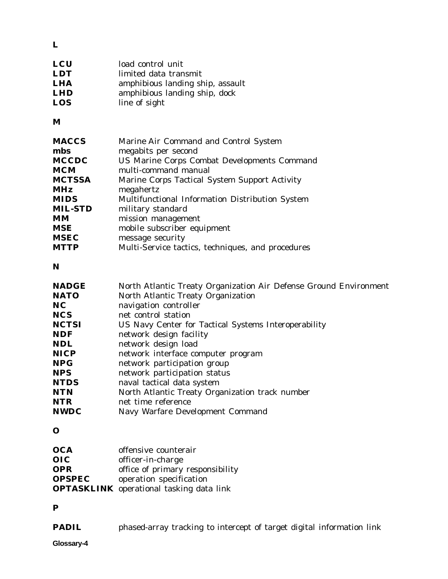**L**

| amphibious landing ship, assault |
|----------------------------------|
| amphibious landing ship, dock    |
|                                  |
|                                  |

**M**

| <b>MACCS</b><br>mbs<br><b>MCCDC</b><br><b>MCM</b><br><b>MCTSSA</b> | Marine Air Command and Control System<br>megabits per second<br><b>US Marine Corps Combat Developments Command</b><br>multi-command manual<br>Marine Corps Tactical System Support Activity |
|--------------------------------------------------------------------|---------------------------------------------------------------------------------------------------------------------------------------------------------------------------------------------|
| <b>MHz</b>                                                         | megahertz                                                                                                                                                                                   |
| <b>MIDS</b>                                                        | Multifunctional Information Distribution System                                                                                                                                             |
| <b>MIL-STD</b>                                                     | military standard                                                                                                                                                                           |
| MМ                                                                 | mission management                                                                                                                                                                          |
| <b>MSE</b>                                                         | mobile subscriber equipment                                                                                                                                                                 |
| <b>MSEC</b>                                                        | message security                                                                                                                                                                            |
| <b>MTTP</b>                                                        | Multi-Service tactics, techniques, and procedures                                                                                                                                           |

**N**

| <b>NADGE</b> | North Atlantic Treaty Organization Air Defense Ground Environment |
|--------------|-------------------------------------------------------------------|
| <b>NATO</b>  | North Atlantic Treaty Organization                                |
| <b>NC</b>    | navigation controller                                             |
| <b>NCS</b>   | net control station                                               |
| <b>NCTSI</b> | US Navy Center for Tactical Systems Interoperability              |
| <b>NDF</b>   | network design facility                                           |
| <b>NDL</b>   | network design load                                               |
| <b>NICP</b>  | network interface computer program                                |
| <b>NPG</b>   | network participation group                                       |
| <b>NPS</b>   | network participation status                                      |
| <b>NTDS</b>  | naval tactical data system                                        |
| <b>NTN</b>   | North Atlantic Treaty Organization track number                   |
| <b>NTR</b>   | net time reference                                                |
| <b>NWDC</b>  | Navy Warfare Development Command                                  |

**O**

| <b>OCA</b>    | offensive counterair                            |
|---------------|-------------------------------------------------|
| $_{\rm OIC}$  | officer-in-charge                               |
| <b>OPR</b>    | office of primary responsibility                |
| <b>OPSPEC</b> | operation specification                         |
|               | <b>OPTASKLINK</b> operational tasking data link |

## **P**

**PADIL** phased-array tracking to intercept of target digital information link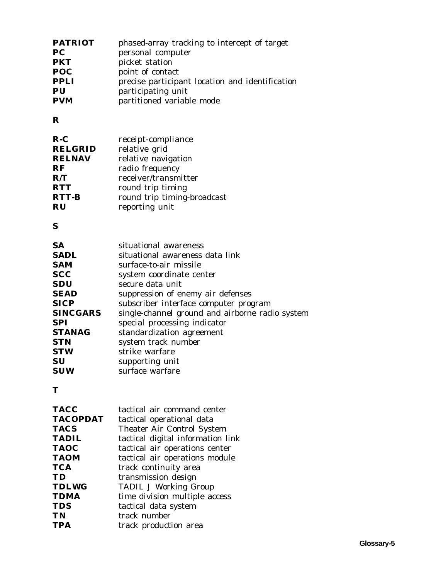| phased-array tracking to intercept of target    |
|-------------------------------------------------|
| personal computer                               |
| picket station                                  |
| point of contact                                |
| precise participant location and identification |
| participating unit                              |
| partitioned variable mode                       |
|                                                 |

## **R**

| $R-C$          | receipt-compliance          |
|----------------|-----------------------------|
| <b>RELGRID</b> | relative grid               |
| <b>RELNAV</b>  | relative navigation         |
| <b>RF</b>      | radio frequency             |
| R/T            | receiver/transmitter        |
| <b>RTT</b>     | round trip timing           |
| <b>RTT-B</b>   | round trip timing-broadcast |
| <b>RU</b>      | reporting unit              |

## **S**

| <b>SA</b>       | situational awareness                           |
|-----------------|-------------------------------------------------|
| <b>SADL</b>     | situational awareness data link                 |
| <b>SAM</b>      | surface-to-air missile                          |
| <b>SCC</b>      | system coordinate center                        |
| <b>SDU</b>      | secure data unit                                |
| <b>SEAD</b>     | suppression of enemy air defenses               |
| <b>SICP</b>     | subscriber interface computer program           |
| <b>SINCGARS</b> | single-channel ground and airborne radio system |
| <b>SPI</b>      | special processing indicator                    |
| <b>STANAG</b>   | standardization agreement                       |
| <b>STN</b>      | system track number                             |
| <b>STW</b>      | strike warfare                                  |
| <b>SU</b>       | supporting unit                                 |
| <b>SUW</b>      | surface warfare                                 |

## **T**

| <b>TACC</b>     | tactical air command center       |
|-----------------|-----------------------------------|
| <b>TACOPDAT</b> | tactical operational data         |
| <b>TACS</b>     | <b>Theater Air Control System</b> |
| <b>TADIL</b>    | tactical digital information link |
| <b>TAOC</b>     | tactical air operations center    |
| <b>TAOM</b>     | tactical air operations module    |
| <b>TCA</b>      | track continuity area             |
| TD              | transmission design               |
| <b>TDLWG</b>    | <b>TADIL J Working Group</b>      |
| <b>TDMA</b>     | time division multiple access     |
| <b>TDS</b>      | tactical data system              |
| <b>TN</b>       | track number                      |
| <b>TPA</b>      | track production area             |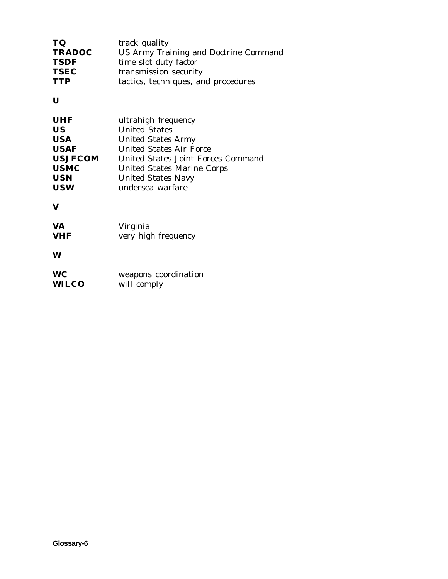| track quality                                |
|----------------------------------------------|
| <b>US Army Training and Doctrine Command</b> |
| time slot duty factor                        |
| transmission security                        |
| tactics, techniques, and procedures          |
|                                              |

**U**

**V**

| <b>VA</b>  | Virginia            |
|------------|---------------------|
| <b>VHF</b> | very high frequency |

**W**

| <b>WC</b>    | weapons coordination |
|--------------|----------------------|
| <b>WILCO</b> | will comply          |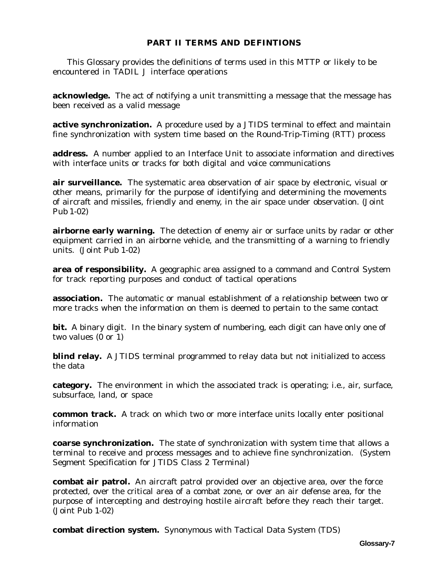## **PART II TERMS AND DEFINTIONS**

 This Glossary provides the definitions of terms used in this MTTP or likely to be encountered in TADIL J interface operations

**acknowledge.** The act of notifying a unit transmitting a message that the message has been received as a valid message

**active synchronization.** A procedure used by a JTIDS terminal to effect and maintain fine synchronization with system time based on the Round-Trip-Timing (RTT) process

**address.** A number applied to an Interface Unit to associate information and directives with interface units or tracks for both digital and voice communications

**air surveillance.** The systematic area observation of air space by electronic, visual or other means, primarily for the purpose of identifying and determining the movements of aircraft and missiles, friendly and enemy, in the air space under observation. (Joint Pub 1-02)

**airborne early warning.** The detection of enemy air or surface units by radar or other equipment carried in an airborne vehicle, and the transmitting of a warning to friendly units. (Joint Pub 1-02)

**area of responsibility.** A geographic area assigned to a command and Control System for track reporting purposes and conduct of tactical operations

**association.** The automatic or manual establishment of a relationship between two or more tracks when the information on them is deemed to pertain to the same contact

**bit.** A binary digit. In the binary system of numbering, each digit can have only one of two values (0 or 1)

**blind relay.** A JTIDS terminal programmed to relay data but not initialized to access the data

**category.** The environment in which the associated track is operating; i.e., air, surface, subsurface, land, or space

**common track.** A track on which two or more interface units locally enter positional information

**coarse synchronization.** The state of synchronization with system time that allows a terminal to receive and process messages and to achieve fine synchronization. (System Segment Specification for JTIDS Class 2 Terminal)

**combat air patrol.** An aircraft patrol provided over an objective area, over the force protected, over the critical area of a combat zone, or over an air defense area, for the purpose of intercepting and destroying hostile aircraft before they reach their target. (Joint Pub 1-02)

**combat direction system.** Synonymous with Tactical Data System (TDS)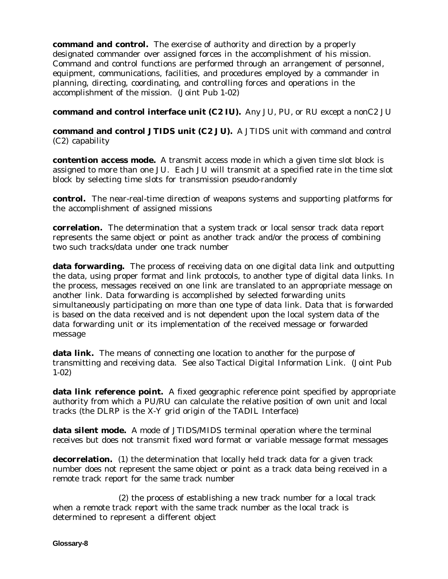**command and control.** The exercise of authority and direction by a properly designated commander over assigned forces in the accomplishment of his mission. Command and control functions are performed through an arrangement of personnel, equipment, communications, facilities, and procedures employed by a commander in planning, directing, coordinating, and controlling forces and operations in the accomplishment of the mission. (Joint Pub 1-02)

**command and control interface unit (C2 IU).** Any JU, PU, or RU except a nonC2 JU

**command and control JTIDS unit (C2 JU).** A JTIDS unit with command and control (C2) capability

**contention access mode.** A transmit access mode in which a given time slot block is assigned to more than one JU. Each JU will transmit at a specified rate in the time slot block by selecting time slots for transmission pseudo-randomly

**control.** The near-real-time direction of weapons systems and supporting platforms for the accomplishment of assigned missions

**correlation.** The determination that a system track or local sensor track data report represents the same object or point as another track and/or the process of combining two such tracks/data under one track number

**data forwarding.** The process of receiving data on one digital data link and outputting the data, using proper format and link protocols, to another type of digital data links. In the process, messages received on one link are translated to an appropriate message on another link. Data forwarding is accomplished by selected forwarding units simultaneously participating on more than one type of data link. Data that is forwarded is based on the data received and is not dependent upon the local system data of the data forwarding unit or its implementation of the received message or forwarded message

**data link.** The means of connecting one location to another for the purpose of transmitting and receiving data. See also Tactical Digital Information Link. (Joint Pub 1-02)

**data link reference point.** A fixed geographic reference point specified by appropriate authority from which a PU/RU can calculate the relative position of own unit and local tracks (the DLRP is the X-Y grid origin of the TADIL Interface)

**data silent mode.** A mode of JTIDS/MIDS terminal operation where the terminal receives but does not transmit fixed word format or variable message format messages

**decorrelation.** (1) the determination that locally held track data for a given track number does not represent the same object or point as a track data being received in a remote track report for the same track number

(2) the process of establishing a new track number for a local track when a remote track report with the same track number as the local track is determined to represent a different object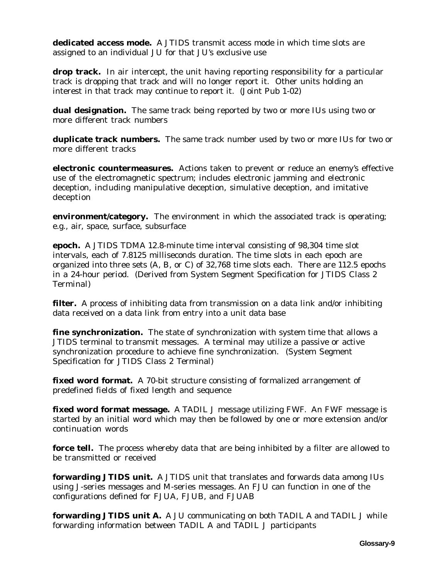**dedicated access mode.** A JTIDS transmit access mode in which time slots are assigned to an individual JU for that JU's exclusive use

**drop track.** In air intercept, the unit having reporting responsibility for a particular track is dropping that track and will no longer report it. Other units holding an interest in that track may continue to report it. (Joint Pub 1-02)

**dual designation.** The same track being reported by two or more IUs using two or more different track numbers

**duplicate track numbers.** The same track number used by two or more IUs for two or more different tracks

**electronic countermeasures.** Actions taken to prevent or reduce an enemy's effective use of the electromagnetic spectrum; includes electronic jamming and electronic deception, including manipulative deception, simulative deception, and imitative deception

**environment/category.** The environment in which the associated track is operating; e.g., air, space, surface, subsurface

**epoch.** A JTIDS TDMA 12.8-minute time interval consisting of 98,304 time slot intervals, each of 7.8125 milliseconds duration. The time slots in each epoch are organized into three sets (A, B, or C) of 32,768 time slots each. There are 112.5 epochs in a 24-hour period. (Derived from System Segment Specification for JTIDS Class 2 Terminal)

**filter.** A process of inhibiting data from transmission on a data link and/or inhibiting data received on a data link from entry into a unit data base

**fine synchronization.** The state of synchronization with system time that allows a JTIDS terminal to transmit messages. A terminal may utilize a passive or active synchronization procedure to achieve fine synchronization. (System Segment Specification for JTIDS Class 2 Terminal)

**fixed word format.** A 70-bit structure consisting of formalized arrangement of predefined fields of fixed length and sequence

**fixed word format message.** A TADIL J message utilizing FWF. An FWF message is started by an initial word which may then be followed by one or more extension and/or continuation words

**force tell.** The process whereby data that are being inhibited by a filter are allowed to be transmitted or received

**forwarding JTIDS unit.** A JTIDS unit that translates and forwards data among IUs using J-series messages and M-series messages. An FJU can function in one of the configurations defined for FJUA, FJUB, and FJUAB

**forwarding JTIDS unit A.** A JU communicating on both TADIL A and TADIL J while forwarding information between TADIL A and TADIL J participants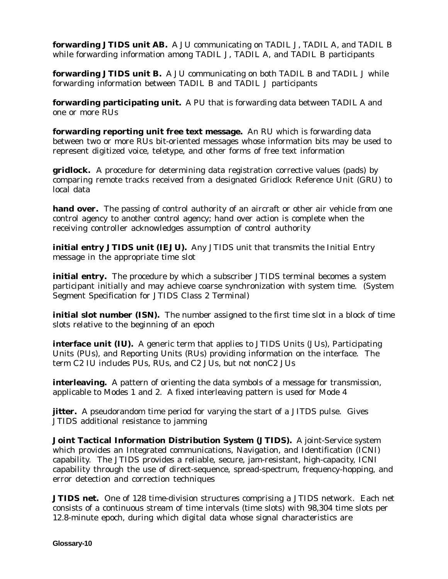**forwarding JTIDS unit AB.** A JU communicating on TADIL J, TADIL A, and TADIL B while forwarding information among TADIL J, TADIL A, and TADIL B participants

**forwarding JTIDS unit B.** A JU communicating on both TADIL B and TADIL J while forwarding information between TADIL B and TADIL J participants

**forwarding participating unit.** A PU that is forwarding data between TADIL A and one or more RUs

**forwarding reporting unit free text message.** An RU which is forwarding data between two or more RUs bit-oriented messages whose information bits may be used to represent digitized voice, teletype, and other forms of free text information

**gridlock.** A procedure for determining data registration corrective values (pads) by comparing remote tracks received from a designated Gridlock Reference Unit (GRU) to local data

**hand over.** The passing of control authority of an aircraft or other air vehicle from one control agency to another control agency; hand over action is complete when the receiving controller acknowledges assumption of control authority

**initial entry JTIDS unit (IEJU).** Any JTIDS unit that transmits the Initial Entry message in the appropriate time slot

**initial entry.** The procedure by which a subscriber JTIDS terminal becomes a system participant initially and may achieve coarse synchronization with system time. (System Segment Specification for JTIDS Class 2 Terminal)

**initial slot number (ISN).** The number assigned to the first time slot in a block of time slots relative to the beginning of an epoch

**interface unit (IU).** A generic term that applies to JTIDS Units (JUs), Participating Units (PUs), and Reporting Units (RUs) providing information on the interface. The term C2 IU includes PUs, RUs, and C2 JUs, but not nonC2 JUs

**interleaving.** A pattern of orienting the data symbols of a message for transmission, applicable to Modes 1 and 2. A fixed interleaving pattern is used for Mode 4

**jitter.** A pseudorandom time period for varying the start of a JITDS pulse. Gives JTIDS additional resistance to jamming

**Joint Tactical Information Distribution System (JTIDS).** A joint-Service system which provides an Integrated communications, Navigation, and Identification (ICNI) capability. The JTIDS provides a reliable, secure, jam-resistant, high-capacity, ICNI capability through the use of direct-sequence, spread-spectrum, frequency-hopping, and error detection and correction techniques

**JTIDS net.** One of 128 time-division structures comprising a JTIDS network. Each net consists of a continuous stream of time intervals (time slots) with 98,304 time slots per 12.8-minute epoch, during which digital data whose signal characteristics are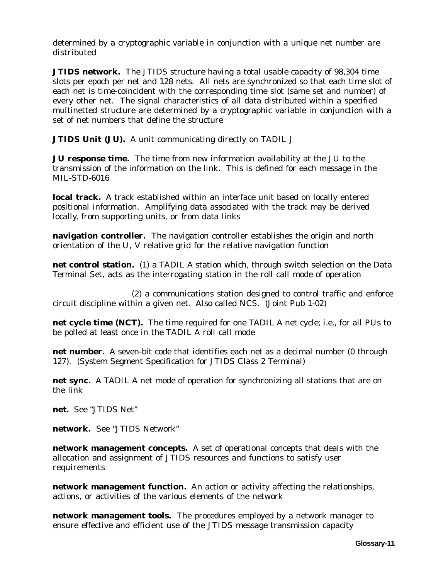determined by a cryptographic variable in conjunction with a unique net number are distributed

**JTIDS network.** The JTIDS structure having a total usable capacity of 98,304 time slots per epoch per net and 128 nets. All nets are synchronized so that each time slot of each net is time-coincident with the corresponding time slot (same set and number) of every other net. The signal characteristics of all data distributed within a specified multinetted structure are determined by a cryptographic variable in conjunction with a set of net numbers that define the structure

**JTIDS Unit (JU).** A unit communicating directly on TADIL J

**JU response time.** The time from new information availability at the JU to the transmission of the information on the link. This is defined for each message in the MIL-STD-6016

**local track.** A track established within an interface unit based on locally entered positional information. Amplifying data associated with the track may be derived locally, from supporting units, or from data links

**navigation controller.** The navigation controller establishes the origin and north orientation of the U, V relative grid for the relative navigation function

**net control station.** (1) a TADIL A station which, through switch selection on the Data Terminal Set, acts as the interrogating station in the roll call mode of operation

(2) a communications station designed to control traffic and enforce circuit discipline within a given net. Also called NCS. (Joint Pub 1-02)

**net cycle time (NCT).** The time required for one TADIL A net cycle; i.e., for all PUs to be polled at least once in the TADIL A roll call mode

**net number.** A seven-bit code that identifies each net as a decimal number (0 through 127). (System Segment Specification for JTIDS Class 2 Terminal)

**net sync.** A TADIL A net mode of operation for synchronizing all stations that are on the link

**net.** See "JTIDS Net"

**network.** See "JTIDS Network"

**network management concepts.** A set of operational concepts that deals with the allocation and assignment of JTIDS resources and functions to satisfy user requirements

**network management function.** An action or activity affecting the relationships, actions, or activities of the various elements of the network

**network management tools.** The procedures employed by a network manager to ensure effective and efficient use of the JTIDS message transmission capacity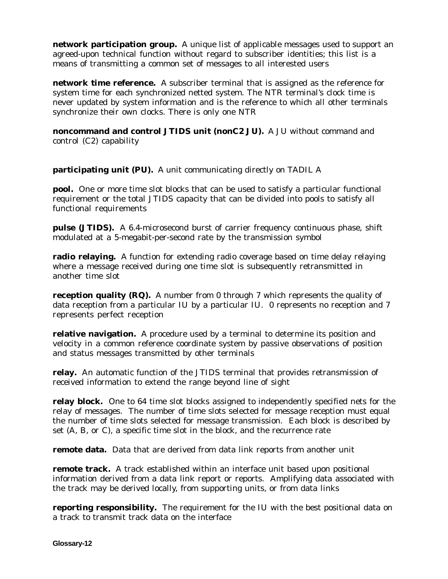**network participation group.** A unique list of applicable messages used to support an agreed-upon technical function without regard to subscriber identities; this list is a means of transmitting a common set of messages to all interested users

**network time reference.** A subscriber terminal that is assigned as the reference for system time for each synchronized netted system. The NTR terminal's clock time is never updated by system information and is the reference to which all other terminals synchronize their own clocks. There is only one NTR

**noncommand and control JTIDS unit (nonC2 JU).** A JU without command and control (C2) capability

**participating unit (PU).** A unit communicating directly on TADIL A

**pool.** One or more time slot blocks that can be used to satisfy a particular functional requirement or the total JTIDS capacity that can be divided into pools to satisfy all functional requirements

**pulse (JTIDS).** A 6.4-microsecond burst of carrier frequency continuous phase, shift modulated at a 5-megabit-per-second rate by the transmission symbol

**radio relaying.** A function for extending radio coverage based on time delay relaying where a message received during one time slot is subsequently retransmitted in another time slot

**reception quality (RQ).** A number from 0 through 7 which represents the quality of data reception from a particular IU by a particular IU. 0 represents no reception and 7 represents perfect reception

**relative navigation.** A procedure used by a terminal to determine its position and velocity in a common reference coordinate system by passive observations of position and status messages transmitted by other terminals

**relay.** An automatic function of the JTIDS terminal that provides retransmission of received information to extend the range beyond line of sight

**relay block.** One to 64 time slot blocks assigned to independently specified nets for the relay of messages. The number of time slots selected for message reception must equal the number of time slots selected for message transmission. Each block is described by set (A, B, or C), a specific time slot in the block, and the recurrence rate

**remote data.** Data that are derived from data link reports from another unit

**remote track.** A track established within an interface unit based upon positional information derived from a data link report or reports. Amplifying data associated with the track may be derived locally, from supporting units, or from data links

**reporting responsibility.** The requirement for the IU with the best positional data on a track to transmit track data on the interface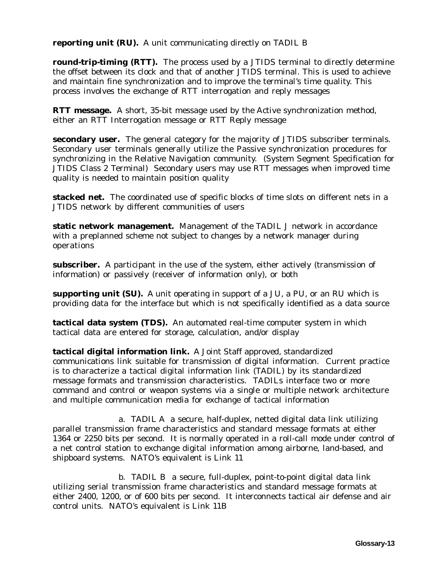**reporting unit (RU).** A unit communicating directly on TADIL B

**round-trip-timing (RTT).** The process used by a JTIDS terminal to directly determine the offset between its clock and that of another JTIDS terminal. This is used to achieve and maintain fine synchronization and to improve the terminal's time quality. This process involves the exchange of RTT interrogation and reply messages

**RTT message.** A short, 35-bit message used by the Active synchronization method, either an RTT Interrogation message or RTT Reply message

**secondary user.** The general category for the majority of JTIDS subscriber terminals. Secondary user terminals generally utilize the Passive synchronization procedures for synchronizing in the Relative Navigation community. (System Segment Specification for JTIDS Class 2 Terminal) Secondary users may use RTT messages when improved time quality is needed to maintain position quality

**stacked net.** The coordinated use of specific blocks of time slots on different nets in a JTIDS network by different communities of users

**static network management.** Management of the TADIL J network in accordance with a preplanned scheme not subject to changes by a network manager during operations

**subscriber.** A participant in the use of the system, either actively (transmission of information) or passively (receiver of information only), or both

**supporting unit (SU).** A unit operating in support of a JU, a PU, or an RU which is providing data for the interface but which is not specifically identified as a data source

**tactical data system (TDS).** An automated real-time computer system in which tactical data are entered for storage, calculation, and/or display

**tactical digital information link.** A Joint Staff approved, standardized communications link suitable for transmission of digital information. Current practice is to characterize a tactical digital information link (TADIL) by its standardized message formats and transmission characteristics. TADILs interface two or more command and control or weapon systems via a single or multiple network architecture and multiple communication media for exchange of tactical information

a. TADIL A a secure, half-duplex, netted digital data link utilizing parallel transmission frame characteristics and standard message formats at either 1364 or 2250 bits per second. It is normally operated in a roll-call mode under control of a net control station to exchange digital information among airborne, land-based, and shipboard systems. NATO's equivalent is Link 11

b. TADIL B a secure, full-duplex, point-to-point digital data link utilizing serial transmission frame characteristics and standard message formats at either 2400, 1200, or of 600 bits per second. It interconnects tactical air defense and air control units. NATO's equivalent is Link 11B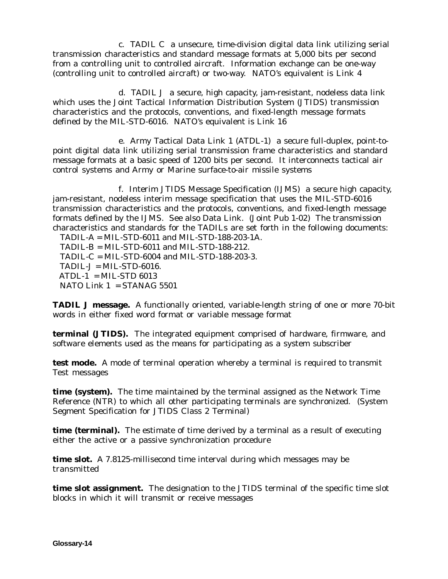c. TADIL C a unsecure, time-division digital data link utilizing serial transmission characteristics and standard message formats at 5,000 bits per second from a controlling unit to controlled aircraft. Information exchange can be one-way (controlling unit to controlled aircraft) or two-way. NATO's equivalent is Link 4

d. TADIL J a secure, high capacity, jam-resistant, nodeless data link which uses the Joint Tactical Information Distribution System (JTIDS) transmission characteristics and the protocols, conventions, and fixed-length message formats defined by the MIL-STD-6016. NATO's equivalent is Link 16

e. Army Tactical Data Link 1 (ATDL-1) a secure full-duplex, point-topoint digital data link utilizing serial transmission frame characteristics and standard message formats at a basic speed of 1200 bits per second. It interconnects tactical air control systems and Army or Marine surface-to-air missile systems

f. Interim JTIDS Message Specification (IJMS) a secure high capacity, jam-resistant, nodeless interim message specification that uses the MIL-STD-6016 transmission characteristics and the protocols, conventions, and fixed-length message formats defined by the IJMS. See also Data Link. (Joint Pub 1-02) The transmission characteristics and standards for the TADILs are set forth in the following documents:

 TADIL-A = MIL-STD-6011 and MIL-STD-188-203-1A.  $TADIL-B = MIL-STD-6011$  and  $MIL-STD-188-212$ . TADIL-C = MIL-STD-6004 and MIL-STD-188-203-3.  $TADIL-J = MIL-STD-6016.$  $ATDL-1 = MIL-STD 6013$ NATO Link  $1 = STANAG 5501$ 

**TADIL J message.** A functionally oriented, variable-length string of one or more 70-bit words in either fixed word format or variable message format

**terminal (JTIDS).** The integrated equipment comprised of hardware, firmware, and software elements used as the means for participating as a system subscriber

**test mode.** A mode of terminal operation whereby a terminal is required to transmit Test messages

**time (system).** The time maintained by the terminal assigned as the Network Time Reference (NTR) to which all other participating terminals are synchronized. (System Segment Specification for JTIDS Class 2 Terminal)

**time (terminal).** The estimate of time derived by a terminal as a result of executing either the active or a passive synchronization procedure

**time slot.** A 7.8125-millisecond time interval during which messages may be transmitted

**time slot assignment.** The designation to the JTIDS terminal of the specific time slot blocks in which it will transmit or receive messages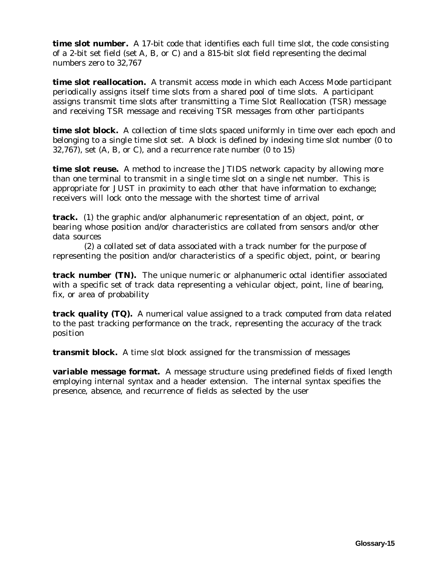**time slot number.** A 17-bit code that identifies each full time slot, the code consisting of a 2-bit set field (set A, B, or C) and a 815-bit slot field representing the decimal numbers zero to 32,767

**time slot reallocation.** A transmit access mode in which each Access Mode participant periodically assigns itself time slots from a shared pool of time slots. A participant assigns transmit time slots after transmitting a Time Slot Reallocation (TSR) message and receiving TSR message and receiving TSR messages from other participants

**time slot block.** A collection of time slots spaced uniformly in time over each epoch and belonging to a single time slot set. A block is defined by indexing time slot number (0 to  $32,767$ , set  $(A, B, or C)$ , and a recurrence rate number  $(0, 15)$ 

**time slot reuse.** A method to increase the JTIDS network capacity by allowing more than one terminal to transmit in a single time slot on a single net number. This is appropriate for JUST in proximity to each other that have information to exchange; receivers will lock onto the message with the shortest time of arrival

**track.** (1) the graphic and/or alphanumeric representation of an object, point, or bearing whose position and/or characteristics are collated from sensors and/or other data sources

 (2) a collated set of data associated with a track number for the purpose of representing the position and/or characteristics of a specific object, point, or bearing

**track number (TN).** The unique numeric or alphanumeric octal identifier associated with a specific set of track data representing a vehicular object, point, line of bearing, fix, or area of probability

**track quality (TQ).** A numerical value assigned to a track computed from data related to the past tracking performance on the track, representing the accuracy of the track position

**transmit block.** A time slot block assigned for the transmission of messages

**variable message format.** A message structure using predefined fields of fixed length employing internal syntax and a header extension. The internal syntax specifies the presence, absence, and recurrence of fields as selected by the user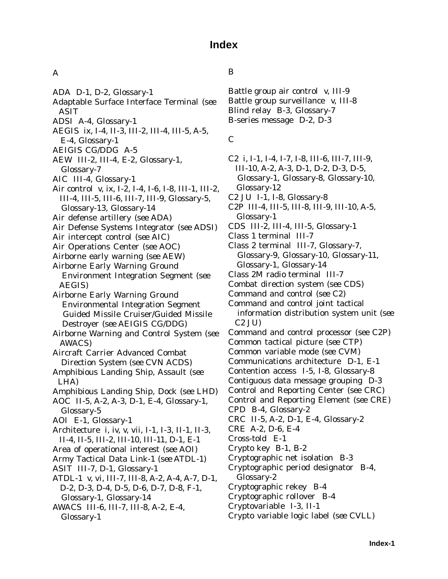# **Index**

### A

- ADA D-1, D-2, Glossary-1
- Adaptable Surface Interface Terminal (*see* ASIT
- ADSI A-4, Glossary-1
- AEGIS ix, I-4, II-3, III-2, III-4, III-5, A-5, E-4, Glossary-1
- AEIGIS CG/DDG A-5
- AEW III-2, III-4, E-2, Glossary-1, Glossary-7
- AIC III-4, Glossary-1
- Air control v, ix, I-2, I-4, I-6, I-8, III-1, III-2, III-4, III-5, III-6, III-7, III-9, Glossary-5, Glossary-13, Glossary-14
- Air defense artillery (*see* ADA)
- Air Defense Systems Integrator (*see* ADSI)
- Air intercept control (*see* AIC)
- Air Operations Center (*see* AOC)
- Airborne early warning (*see* AEW)
- Airborne Early Warning Ground Environment Integration Segment (*see* AEGIS)
- Airborne Early Warning Ground Environmental Integration Segment Guided Missile Cruiser/Guided Missile Destroyer (*see* AEIGIS CG/DDG)
- Airborne Warning and Control System (*see* AWACS)
- Aircraft Carrier Advanced Combat Direction System (*see* CVN ACDS)
- Amphibious Landing Ship, Assault (*see* LHA)
- Amphibious Landing Ship, Dock (*see* LHD)
- AOC II-5, A-2, A-3, D-1, E-4, Glossary-1, Glossary-5
- AOI E-1, Glossary-1
- Architecture i, iv, v, vii, I-1, I-3, II-1, II-3, II-4, II-5, III-2, III-10, III-11, D-1, E-1
- Area of operational interest (*see* AOI)
- Army Tactical Data Link-1 (*see* ATDL-1)
- ASIT III-7, D-1, Glossary-1
- ATDL-1 v, vi, III-7, III-8, A-2, A-4, A-7, D-1, D-2, D-3, D-4, D-5, D-6, D-7, D-8, F-1, Glossary-1, Glossary-14
- AWACS III-6, III-7, III-8, A-2, E-4, Glossary-1

#### B

Battle group air control v, III-9 Battle group surveillance v, III-8 Blind relay B-3, Glossary-7 B-series message D-2, D-3

#### C

- C2 i, I-1, I-4, I-7, I-8, III-6, III-7, III-9, III-10, A-2, A-3, D-1, D-2, D-3, D-5, Glossary-1, Glossary-8, Glossary-10, Glossary-12 C2 JU I-1, I-8, Glossary-8 C2P III-4, III-5, III-8, III-9, III-10, A-5, Glossary-1 CDS III-2, III-4, III-5, Glossary-1 Class 1 terminal III-7 Class 2 terminal III-7, Glossary-7, Glossary-9, Glossary-10, Glossary-11, Glossary-1, Glossary-14 Class 2M radio terminal III-7 Combat direction system (*see* CDS) Command and control (*see* C2) Command and control joint tactical information distribution system unit (*see* C2 JU) Command and control processor (*see* C2P) Common tactical picture (*see* CTP) Common variable mode (*see* CVM) Communications architecture D-1, E-1 Contention access I-5, I-8, Glossary-8 Contiguous data message grouping D-3 Control and Reporting Center (*see* CRC) Control and Reporting Element (*see* CRE) CPD B-4, Glossary-2 CRC II-5, A-2, D-1, E-4, Glossary-2 CRE A-2, D-6, E-4 Cross-told E-1 Crypto key B-1, B-2 Cryptographic net isolation B-3 Cryptographic period designator B-4, Glossary-2 Cryptographic rekey B-4 Cryptographic rollover B-4 Cryptovariable I-3, II-1
- Crypto variable logic label (*see* CVLL)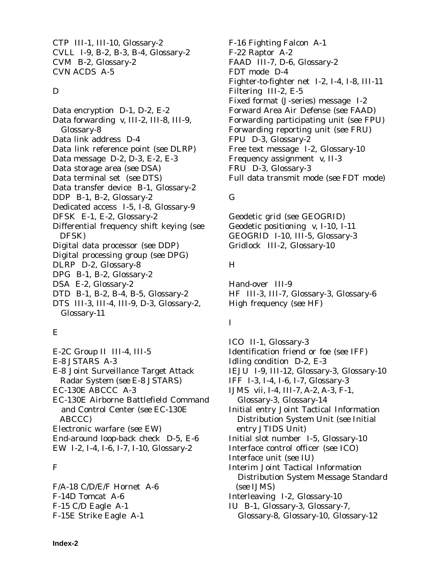CTP III-1, III-10, Glossary-2 CVLL I-9, B-2, B-3, B-4, Glossary-2 CVM B-2, Glossary-2 CVN ACDS A-5

#### D

Data encryption D-1, D-2, E-2 Data forwarding v, III-2, III-8, III-9, Glossary-8 Data link address D-4 Data link reference point (*see* DLRP) Data message D-2, D-3, E-2, E-3 Data storage area (*see* DSA) Data terminal set (*see* DTS) Data transfer device B-1, Glossary-2 DDP B-1, B-2, Glossary-2 Dedicated access I-5, I-8, Glossary-9 DFSK E-1, E-2, Glossary-2 Differential frequency shift keying (*see* DFSK) Digital data processor (*see* DDP) Digital processing group (*see* DPG) DLRP D-2, Glossary-8 DPG B-1, B-2, Glossary-2 DSA E-2, Glossary-2 DTD B-1, B-2, B-4, B-5, Glossary-2 DTS III-3, III-4, III-9, D-3, Glossary-2,

## E

Glossary-11

E-2C Group II III-4, III-5 E-8 JSTARS A-3 E-8 Joint Surveillance Target Attack Radar System (*see* E-8 JSTARS) EC-130E ABCCC A-3 EC-130E Airborne Battlefield Command and Control Center (*see* EC-130E ABCCC) Electronic warfare (*see* EW) End-around loop-back check D-5, E-6 EW I-2, I-4, I-6, I-7, I-10, Glossary-2

## F

F/A-18 C/D/E/F Hornet A-6 F-14D Tomcat A-6 F-15 C/D Eagle A-1 F-15E Strike Eagle A-1

F-16 Fighting Falcon A-1 F-22 Raptor A-2 FAAD III-7, D-6, Glossary-2 FDT mode D-4 Fighter-to-fighter net I-2, I-4, I-8, III-11 Filtering III-2, E-5 Fixed format (J-series) message I-2 Forward Area Air Defense (*see* FAAD) Forwarding participating unit (*see* FPU) Forwarding reporting unit (*see* FRU) FPU D-3, Glossary-2 Free text message I-2, Glossary-10 Frequency assignment v, II-3 FRU D-3, Glossary-3 Full data transmit mode (*see* FDT mode)

## G

Geodetic grid (*see* GEOGRID) Geodetic positioning v, I-10, I-11 GEOGRID I-10, III-5, Glossary-3 Gridlock III-2, Glossary-10

## H

Hand-over III-9 HF III-3, III-7, Glossary-3, Glossary-6 High frequency (*see* HF)

## I

ICO II-1, Glossary-3 Identification friend or foe (*see* IFF) Idling condition D-2, E-3 IEJU I-9, III-12, Glossary-3, Glossary-10 IFF I-3, I-4, I-6, I-7, Glossary-3 IJMS vii, I-4, III-7, A-2, A-3, F-1, Glossary-3, Glossary-14 Initial entry Joint Tactical Information Distribution System Unit (*see* Initial entry JTIDS Unit) Initial slot number I-5, Glossary-10 Interface control officer (*see* ICO) Interface unit (*see* IU) Interim Joint Tactical Information Distribution System Message Standard (*see* IJMS) Interleaving I-2, Glossary-10 IU B-1, Glossary-3, Glossary-7, Glossary-8, Glossary-10, Glossary-12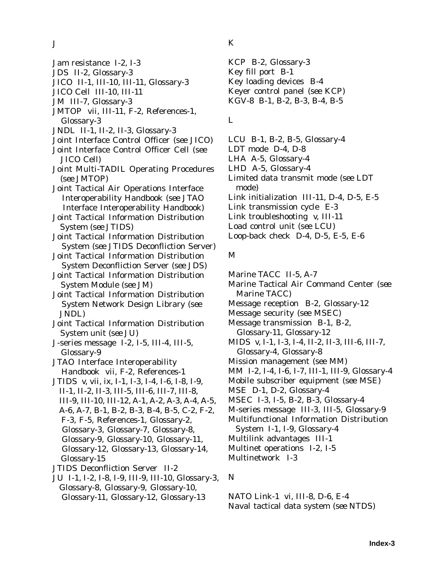J

- Jam resistance I-2, I-3
- JDS II-2, Glossary-3
- JICO II-1, III-10, III-11, Glossary-3
- JICO Cell III-10, III-11
- JM III-7, Glossary-3
- JMTOP vii, III-11, F-2, References-1, Glossary-3
- JNDL II-1, II-2, II-3, Glossary-3
- Joint Interface Control Officer (*see* JICO)
- Joint Interface Control Officer Cell (*see* JICO Cell)
- Joint Multi-TADIL Operating Procedures (*see* JMTOP)
- Joint Tactical Air Operations Interface Interoperability Handbook (*see* JTAO Interface Interoperability Handbook)
- Joint Tactical Information Distribution System (*see* JTIDS)
- Joint Tactical Information Distribution System (*see* JTIDS Deconfliction Server)
- Joint Tactical Information Distribution System Deconfliction Server (*see* JDS)
- Joint Tactical Information Distribution System Module (*see* JM)
- Joint Tactical Information Distribution System Network Design Library (*see* JNDL)
- Joint Tactical Information Distribution System unit (*see* JU)
- J-series message I-2, I-5, III-4, III-5, Glossary-9
- JTAO Interface Interoperability Handbook vii, F-2, References-1
- JTIDS v, vii, ix, I-1, I-3, I-4, I-6, I-8, I-9, II-1, II-2, II-3, III-5, III-6, III-7, III-8, III-9, III-10, III-12, A-1, A-2, A-3, A-4, A-5, A-6, A-7, B-1, B-2, B-3, B-4, B-5, C-2, F-2, F-3, F-5, References-1, Glossary-2, Glossary-3, Glossary-7, Glossary-8, Glossary-9, Glossary-10, Glossary-11, Glossary-12, Glossary-13, Glossary-14, Glossary-15
- JTIDS Deconfliction Server II-2
- JU I-1, I-2, I-8, I-9, III-9, III-10, Glossary-3, Glossary-8, Glossary-9, Glossary-10, Glossary-11, Glossary-12, Glossary-13

## K

KCP B-2, Glossary-3 Key fill port B-1 Key loading devices B-4 Keyer control panel (*see* KCP) KGV-8 B-1, B-2, B-3, B-4, B-5

## L

- LCU B-1, B-2, B-5, Glossary-4
- LDT mode D-4, D-8
- LHA A-5, Glossary-4
- LHD A-5, Glossary-4
- Limited data transmit mode (*see* LDT mode)
- Link initialization III-11, D-4, D-5, E-5
- Link transmission cycle E-3
- Link troubleshooting v, III-11
- Load control unit (*see* LCU)
- Loop-back check D-4, D-5, E-5, E-6

## M

- Marine TACC II-5, A-7
- Marine Tactical Air Command Center (*see* Marine TACC)
- Message reception B-2, Glossary-12
- Message security (*see* MSEC)
- Message transmission B-1, B-2, Glossary-11, Glossary-12
- MIDS v, I-1, I-3, I-4, II-2, II-3, III-6, III-7, Glossary-4, Glossary-8
- Mission management (*see* MM)
- MM I-2, I-4, I-6, I-7, III-1, III-9, Glossary-4
- Mobile subscriber equipment (*see* MSE)
- MSE D-1, D-2, Glossary-4
- MSEC I-3, I-5, B-2, B-3, Glossary-4
- M-series message III-3, III-5, Glossary-9
- Multifunctional Information Distribution
- System I-1, I-9, Glossary-4
- Multilink advantages III-1
- Multinet operations I-2, I-5
- Multinetwork I-3
- N

NATO Link-1 vi, III-8, D-6, E-4 Naval tactical data system (*see* NTDS)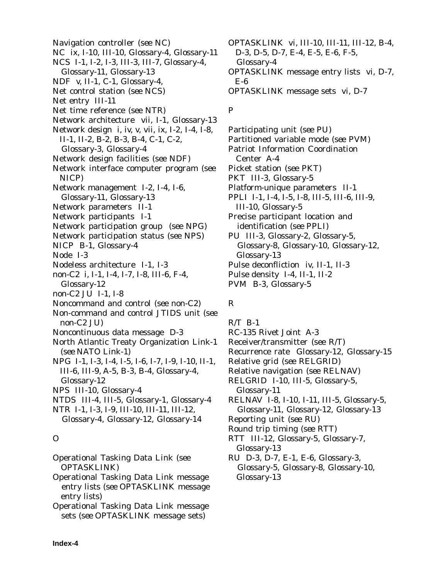Navigation controller (*see* NC) NC ix, I-10, III-10, Glossary-4, Glossary-11 NCS I-1, I-2, I-3, III-3, III-7, Glossary-4, Glossary-11, Glossary-13 NDF v, II-1, C-1, Glossary-4, Net control station (*see* NCS) Net entry III-11 Net time reference (*see* NTR) Network architecture vii, I-1, Glossary-13 Network design i, iv, v, vii, ix, I-2, I-4, I-8, II-1, II-2, B-2, B-3, B-4, C-1, C-2, Glossary-3, Glossary-4 Network design facilities (*see* NDF) Network interface computer program (*see* NICP) Network management I-2, I-4, I-6, Glossary-11, Glossary-13 Network parameters II-1 Network participants I-1 Network participation group (*see* NPG) Network participation status (*see* NPS) NICP B-1, Glossary-4 Node I-3 Nodeless architecture I-1, I-3 non-C2 i, I-1, I-4, I-7, I-8, III-6, F-4, Glossary-12 non-C2 JU I-1, I-8 Noncommand and control (*see* non-C2) Non-command and control JTIDS unit (*see* non-C2 JU) Noncontinuous data message D-3 North Atlantic Treaty Organization Link-1 (*see* NATO Link-1) NPG I-1, I-3, I-4, I-5, I-6, I-7, I-9, I-10, II-1,

- III-6, III-9, A-5, B-3, B-4, Glossary-4, Glossary-12
- NPS III-10, Glossary-4
- NTDS III-4, III-5, Glossary-1, Glossary-4
- NTR I-1, I-3, I-9, III-10, III-11, III-12, Glossary-4, Glossary-12, Glossary-14

## O

- Operational Tasking Data Link (*see* OPTASKLINK)
- Operational Tasking Data Link message entry lists (*see* OPTASKLINK message entry lists)
- Operational Tasking Data Link message sets (*see* OPTASKLINK message sets)

OPTASKLINK vi, III-10, III-11, III-12, B-4, D-3, D-5, D-7, E-4, E-5, E-6, F-5, Glossary-4 OPTASKLINK message entry lists vi, D-7, E-6 OPTASKLINK message sets vi, D-7

## P

Participating unit (*see* PU) Partitioned variable mode (*see* PVM) Patriot Information Coordination Center A-4 Picket station (*see* PKT) PKT III-3, Glossary-5 Platform-unique parameters II-1 PPLI I-1, I-4, I-5, I-8, III-5, III-6, III-9, III-10, Glossary-5 Precise participant location and identification (*see* PPLI) PU III-3, Glossary-2, Glossary-5, Glossary-8, Glossary-10, Glossary-12, Glossary-13 Pulse deconfliction iv, II-1, II-3 Pulse density I-4, II-1, II-2 PVM B-3, Glossary-5

## R

 $R/T$  B-1

- RC-135 Rivet Joint A-3
- Receiver/transmitter (*see* R/T)
- Recurrence rate Glossary-12, Glossary-15
- Relative grid (*see* RELGRID)

Relative navigation (*see* RELNAV)

- RELGRID I-10, III-5, Glossary-5, Glossary-11
- RELNAV I-8, I-10, I-11, III-5, Glossary-5, Glossary-11, Glossary-12, Glossary-13
- Reporting unit (*see* RU)
- Round trip timing (*see* RTT)
- RTT III-12, Glossary-5, Glossary-7, Glossary-13
- RU D-3, D-7, E-1, E-6, Glossary-3, Glossary-5, Glossary-8, Glossary-10, Glossary-13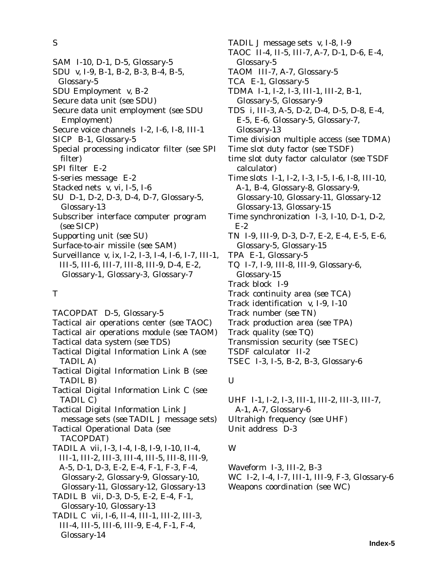S

- SAM I-10, D-1, D-5, Glossary-5
- SDU v, I-9, B-1, B-2, B-3, B-4, B-5,
- Glossary-5
- SDU Employment v, B-2
- Secure data unit (*see* SDU)
- Secure data unit employment (*see* SDU Employment)
- Secure voice channels I-2, I-6, I-8, III-1
- SICP B-1, Glossary-5
- Special processing indicator filter (*see* SPI filter)
- SPI filter E-2
- S-series message E-2
- Stacked nets v, vi, I-5, I-6
- SU D-1, D-2, D-3, D-4, D-7, Glossary-5, Glossary-13
- Subscriber interface computer program (*see* SICP)
- Supporting unit (*see* SU)
- Surface-to-air missile (*see* SAM)
- Surveillance v, ix, I-2, I-3, I-4, I-6, I-7, III-1, III-5, III-6, III-7, III-8, III-9, D-4, E-2, Glossary-1, Glossary-3, Glossary-7

#### T

TACOPDAT D-5, Glossary-5 Tactical air operations center (*see* TAOC) Tactical air operations module (*see* TAOM) Tactical data system (*see* TDS) Tactical Digital Information Link A (*see* TADIL A) Tactical Digital Information Link B (*see* TADIL B) Tactical Digital Information Link C (*see* TADIL C) Tactical Digital Information Link J message sets (*see* TADIL J message sets) Tactical Operational Data (*see* TACOPDAT) TADIL A vii, I-3, I-4, I-8, I-9, I-10, II-4, III-1, III-2, III-3, III-4, III-5, III-8, III-9, A-5, D-1, D-3, E-2, E-4, F-1, F-3, F-4, Glossary-2, Glossary-9, Glossary-10, Glossary-11, Glossary-12, Glossary-13 TADIL B vii, D-3, D-5, E-2, E-4, F-1, Glossary-10, Glossary-13 TADIL C vii, I-6, II-4, III-1, III-2, III-3, III-4, III-5, III-6, III-9, E-4, F-1, F-4, Glossary-14

TADIL J message sets v, I-8, I-9 TAOC II-4, II-5, III-7, A-7, D-1, D-6, E-4, Glossary-5 TAOM III-7, A-7, Glossary-5 TCA E-1, Glossary-5 TDMA I-1, I-2, I-3, III-1, III-2, B-1, Glossary-5, Glossary-9 TDS i, III-3, A-5, D-2, D-4, D-5, D-8, E-4, E-5, E-6, Glossary-5, Glossary-7, Glossary-13 Time division multiple access (*see* TDMA) Time slot duty factor (*see* TSDF) time slot duty factor calculator (*see* TSDF calculator) Time slots I-1, I-2, I-3, I-5, I-6, I-8, III-10, A-1, B-4, Glossary-8, Glossary-9, Glossary-10, Glossary-11, Glossary-12 Glossary-13, Glossary-15 Time synchronization I-3, I-10, D-1, D-2, E-2 TN I-9, III-9, D-3, D-7, E-2, E-4, E-5, E-6, Glossary-5, Glossary-15 TPA E-1, Glossary-5 TQ I-7, I-9, III-8, III-9, Glossary-6, Glossary-15 Track block I-9 Track continuity area (*see* TCA) Track identification v, I-9, I-10 Track number (*see* TN) Track production area (*see* TPA) Track quality (*see* TQ) Transmission security (*see* TSEC) TSDF calculator II-2

TSEC I-3, I-5, B-2, B-3, Glossary-6

## U

UHF I-1, I-2, I-3, III-1, III-2, III-3, III-7, A-1, A-7, Glossary-6 Ultrahigh frequency (*see* UHF) Unit address D-3

## W

Waveform I-3, III-2, B-3 WC I-2, I-4, I-7, III-1, III-9, F-3, Glossary-6 Weapons coordination (*see* WC)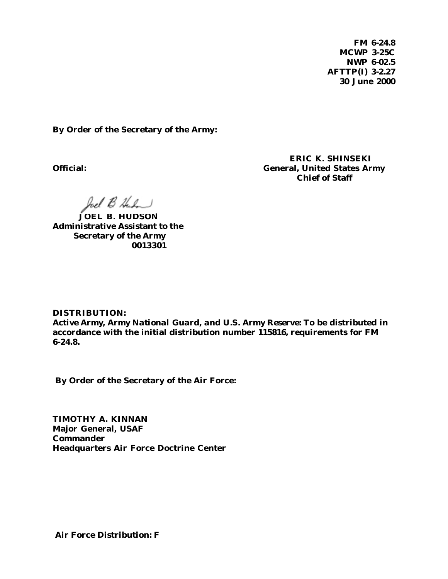**FM 6-24.8 MCWP 3-25C NWP 6-02.5 AFTTP(I) 3-2.27 30 June 2000**

**By Order of the Secretary of the Army:**

**ERIC K. SHINSEKI Official: General, United States Army Chief of Staff**

*JUßJÜL-J*

**JOEL B. HUDSON Administrative Assistant to the Secretary of the Army 0013301**

**DISTRIBUTION:**

*Active Army, Army National Guard, and U.S. Army Reserve***: To be distributed in accordance with the initial distribution number 115816, requirements for FM 6-24.8.**

 **By Order of the Secretary of the Air Force:**

**TIMOTHY A. KINNAN Major General, USAF Commander Headquarters Air Force Doctrine Center**

 **Air Force Distribution: F**